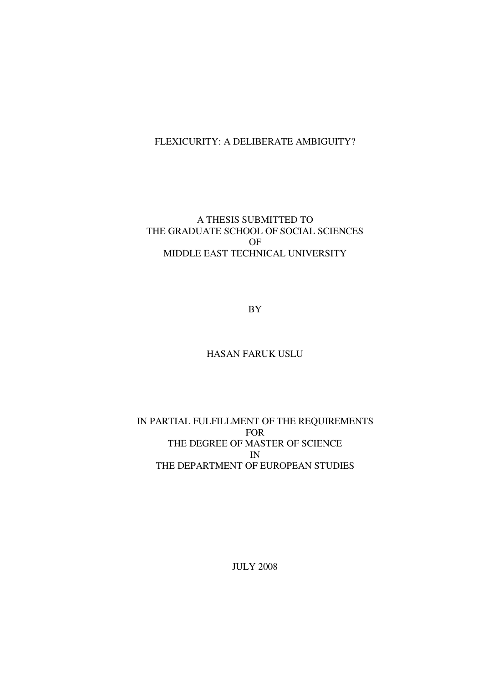## FLEXICURITY: A DELIBERATE AMBIGUITY?

# A THESIS SUBMITTED TO THE GRADUATE SCHOOL OF SOCIAL SCIENCES OF MIDDLE EAST TECHNICAL UNIVERSITY

BY

### HASAN FARUK USLU

### IN PARTIAL FULFILLMENT OF THE REQUIREMENTS FOR THE DEGREE OF MASTER OF SCIENCE IN THE DEPARTMENT OF EUROPEAN STUDIES

JULY 2008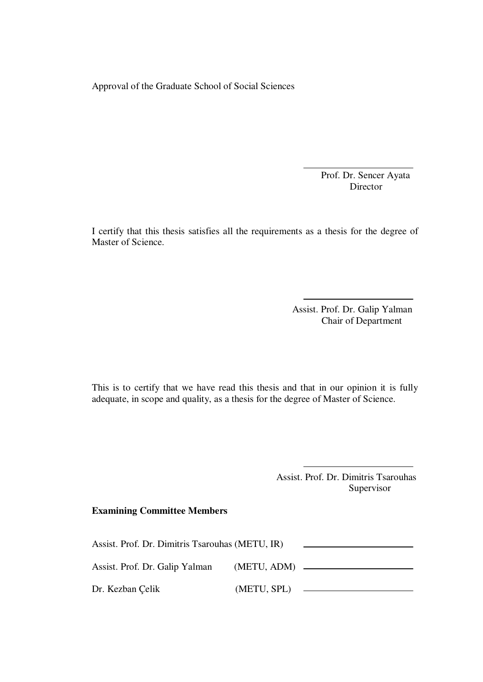Approval of the Graduate School of Social Sciences

Prof. Dr. Sencer Ayata Director

I certify that this thesis satisfies all the requirements as a thesis for the degree of Master of Science.

> Assist. Prof. Dr. Galip Yalman Chair of Department

This is to certify that we have read this thesis and that in our opinion it is fully adequate, in scope and quality, as a thesis for the degree of Master of Science.

> Assist. Prof. Dr. Dimitris Tsarouhas Supervisor

### **Examining Committee Members**

| Assist. Prof. Dr. Dimitris Tsarouhas (METU, IR) |             |  |
|-------------------------------------------------|-------------|--|
| Assist. Prof. Dr. Galip Yalman                  |             |  |
| Dr. Kezban Çelik                                | (METU, SPL) |  |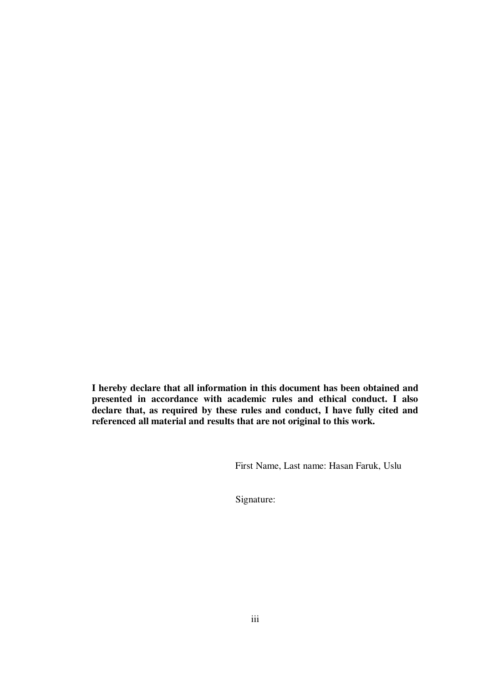**I hereby declare that all information in this document has been obtained and presented in accordance with academic rules and ethical conduct. I also declare that, as required by these rules and conduct, I have fully cited and referenced all material and results that are not original to this work.** 

First Name, Last name: Hasan Faruk, Uslu

Signature: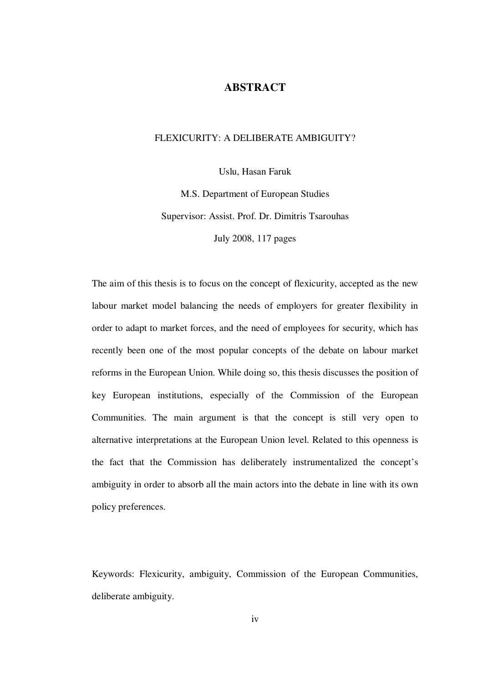### **ABSTRACT**

# FLEXICURITY: A DELIBERATE AMBIGUITY?

Uslu, Hasan Faruk

M.S. Department of European Studies Supervisor: Assist. Prof. Dr. Dimitris Tsarouhas July 2008, 117 pages

The aim of this thesis is to focus on the concept of flexicurity, accepted as the new labour market model balancing the needs of employers for greater flexibility in order to adapt to market forces, and the need of employees for security, which has recently been one of the most popular concepts of the debate on labour market reforms in the European Union. While doing so, this thesis discusses the position of key European institutions, especially of the Commission of the European Communities. The main argument is that the concept is still very open to alternative interpretations at the European Union level. Related to this openness is the fact that the Commission has deliberately instrumentalized the concept's ambiguity in order to absorb all the main actors into the debate in line with its own policy preferences.

Keywords: Flexicurity, ambiguity, Commission of the European Communities, deliberate ambiguity.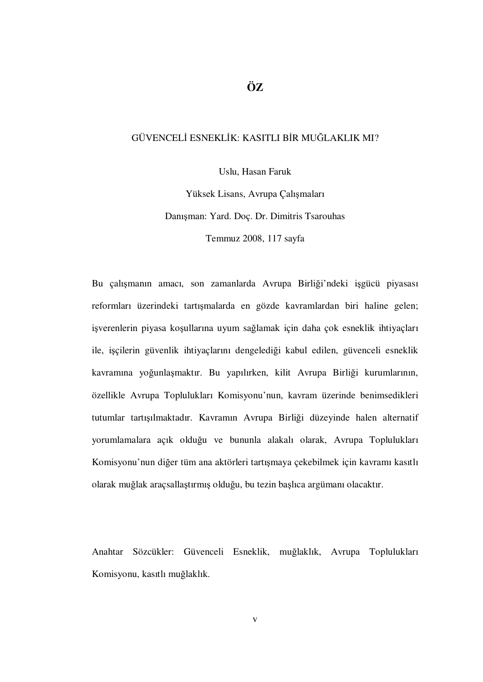# **ÖZ**

### GÜVENCELİ ESNEKLİK: KASITLI BİR MUĞLAKLIK MI?

Uslu, Hasan Faruk

Yüksek Lisans, Avrupa Çalışmaları Danışman: Yard. Doç. Dr. Dimitris Tsarouhas Temmuz 2008, 117 sayfa

Bu çalışmanın amacı, son zamanlarda Avrupa Birliği'ndeki işgücü piyasası reformları üzerindeki tartışmalarda en gözde kavramlardan biri haline gelen; işverenlerin piyasa koşullarına uyum sağlamak için daha çok esneklik ihtiyaçları ile, işçilerin güvenlik ihtiyaçlarını dengelediği kabul edilen, güvenceli esneklik kavramına yoğunlaşmaktır. Bu yapılırken, kilit Avrupa Birliği kurumlarının, özellikle Avrupa Toplulukları Komisyonu'nun, kavram üzerinde benimsedikleri tutumlar tartışılmaktadır. Kavramın Avrupa Birliği düzeyinde halen alternatif yorumlamalara açık olduğu ve bununla alakalı olarak, Avrupa Toplulukları Komisyonu'nun diğer tüm ana aktörleri tartışmaya çekebilmek için kavramı kasıtlı olarak muğlak araçsallaştırmış olduğu, bu tezin başlıca argümanı olacaktır.

Anahtar Sözcükler: Güvenceli Esneklik, muğlaklık, Avrupa Toplulukları Komisyonu, kasıtlı muğlaklık.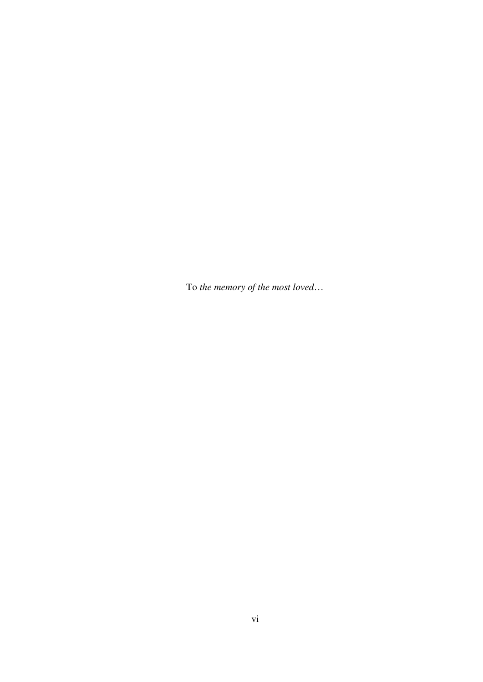To *the memory of the most loved*…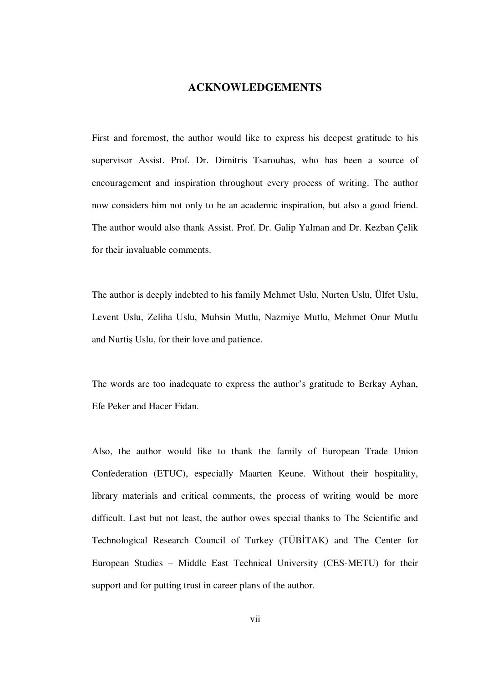### **ACKNOWLEDGEMENTS**

First and foremost, the author would like to express his deepest gratitude to his supervisor Assist. Prof. Dr. Dimitris Tsarouhas, who has been a source of encouragement and inspiration throughout every process of writing. The author now considers him not only to be an academic inspiration, but also a good friend. The author would also thank Assist. Prof. Dr. Galip Yalman and Dr. Kezban Çelik for their invaluable comments.

The author is deeply indebted to his family Mehmet Uslu, Nurten Uslu, Ülfet Uslu, Levent Uslu, Zeliha Uslu, Muhsin Mutlu, Nazmiye Mutlu, Mehmet Onur Mutlu and Nurtiş Uslu, for their love and patience.

The words are too inadequate to express the author's gratitude to Berkay Ayhan, Efe Peker and Hacer Fidan.

Also, the author would like to thank the family of European Trade Union Confederation (ETUC), especially Maarten Keune. Without their hospitality, library materials and critical comments, the process of writing would be more difficult. Last but not least, the author owes special thanks to The Scientific and Technological Research Council of Turkey (TÜBİTAK) and The Center for European Studies – Middle East Technical University (CES-METU) for their support and for putting trust in career plans of the author.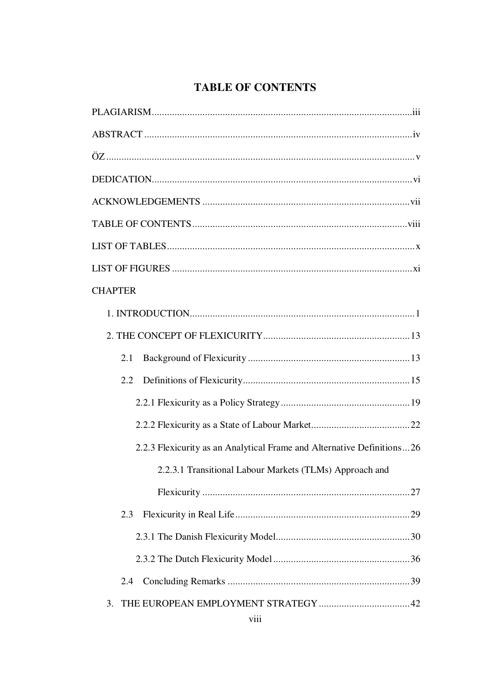# **TABLE OF CONTENTS**

| <b>CHAPTER</b>                                                         |
|------------------------------------------------------------------------|
|                                                                        |
|                                                                        |
| 2.1                                                                    |
| $2.2^{\circ}$                                                          |
|                                                                        |
|                                                                        |
| 2.2.3 Flexicurity as an Analytical Frame and Alternative Definitions26 |
| 2.2.3.1 Transitional Labour Markets (TLMs) Approach and                |
|                                                                        |
| 2.3                                                                    |
|                                                                        |
|                                                                        |
| 2.4                                                                    |
| 3.                                                                     |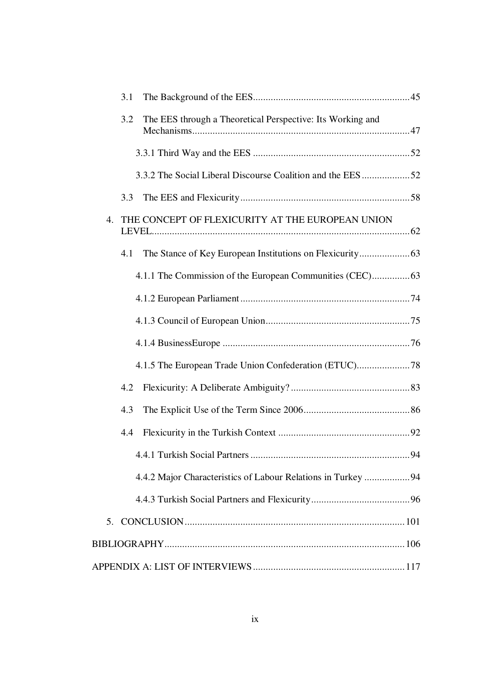|    | 3.1 |                                                              |  |
|----|-----|--------------------------------------------------------------|--|
|    | 3.2 | The EES through a Theoretical Perspective: Its Working and   |  |
|    |     |                                                              |  |
|    |     | 3.3.2 The Social Liberal Discourse Coalition and the EES52   |  |
|    | 3.3 |                                                              |  |
| 4. |     | THE CONCEPT OF FLEXICURITY AT THE EUROPEAN UNION             |  |
|    | 4.1 |                                                              |  |
|    |     |                                                              |  |
|    |     |                                                              |  |
|    |     |                                                              |  |
|    |     |                                                              |  |
|    |     |                                                              |  |
|    | 4.2 |                                                              |  |
|    | 4.3 |                                                              |  |
|    | 4.4 |                                                              |  |
|    |     |                                                              |  |
|    |     | 4.4.2 Major Characteristics of Labour Relations in Turkey 94 |  |
|    |     |                                                              |  |
|    |     |                                                              |  |
|    |     |                                                              |  |
|    |     |                                                              |  |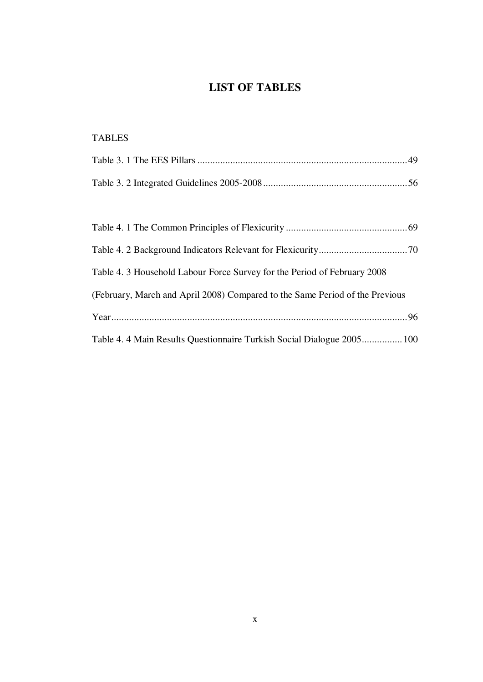# **LIST OF TABLES**

# TABLES Table 3. 1 The EES Pillars ...................................................................................49 Table 3. 2 Integrated Guidelines 2005-2008.........................................................56 Table 4. 1 The Common Principles of Flexicurity ................................................69 Table 4. 2 Background Indicators Relevant for Flexicurity...................................70 Table 4. 3 Household Labour Force Survey for the Period of February 2008 (February, March and April 2008) Compared to the Same Period of the Previous Year.....................................................................................................................96 Table 4. 4 Main Results Questionnaire Turkish Social Dialogue 2005................100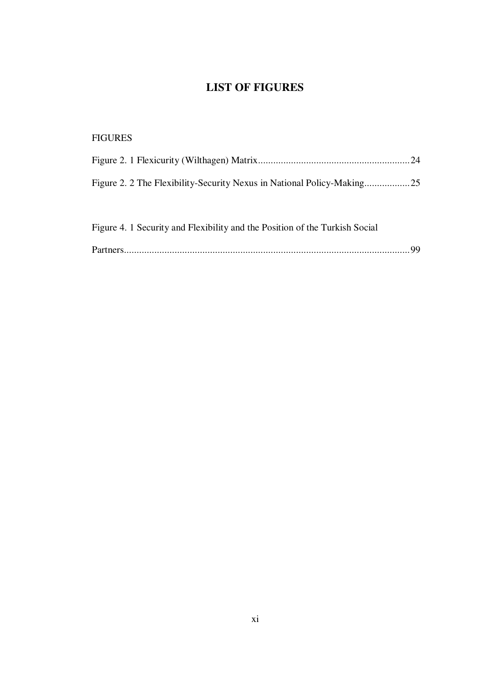# **LIST OF FIGURES**

| <b>FIGURES</b>                                                              |  |
|-----------------------------------------------------------------------------|--|
|                                                                             |  |
|                                                                             |  |
|                                                                             |  |
| Figure 4. 1 Security and Flexibility and the Position of the Turkish Social |  |

|--|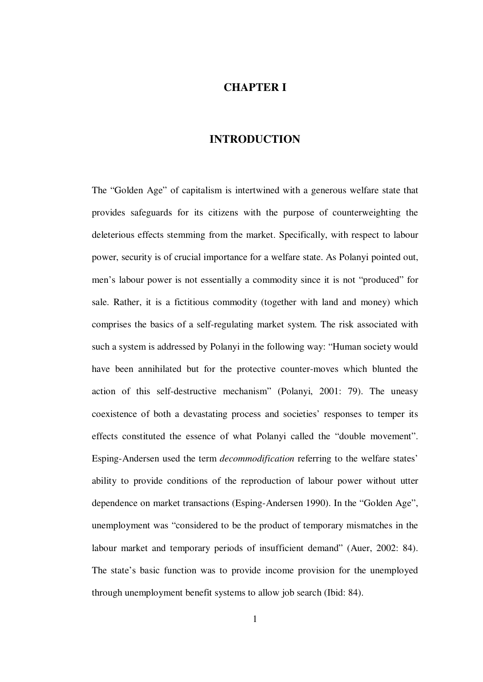### **CHAPTER I**

### **INTRODUCTION**

The "Golden Age" of capitalism is intertwined with a generous welfare state that provides safeguards for its citizens with the purpose of counterweighting the deleterious effects stemming from the market. Specifically, with respect to labour power, security is of crucial importance for a welfare state. As Polanyi pointed out, men's labour power is not essentially a commodity since it is not "produced" for sale. Rather, it is a fictitious commodity (together with land and money) which comprises the basics of a self-regulating market system. The risk associated with such a system is addressed by Polanyi in the following way: "Human society would have been annihilated but for the protective counter-moves which blunted the action of this self-destructive mechanism" (Polanyi, 2001: 79). The uneasy coexistence of both a devastating process and societies' responses to temper its effects constituted the essence of what Polanyi called the "double movement". Esping-Andersen used the term *decommodification* referring to the welfare states' ability to provide conditions of the reproduction of labour power without utter dependence on market transactions (Esping-Andersen 1990). In the "Golden Age", unemployment was "considered to be the product of temporary mismatches in the labour market and temporary periods of insufficient demand" (Auer, 2002: 84). The state's basic function was to provide income provision for the unemployed through unemployment benefit systems to allow job search (Ibid: 84).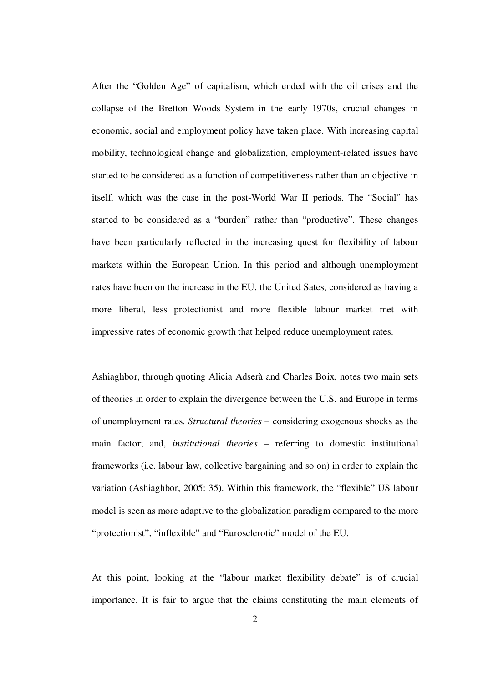After the "Golden Age" of capitalism, which ended with the oil crises and the collapse of the Bretton Woods System in the early 1970s, crucial changes in economic, social and employment policy have taken place. With increasing capital mobility, technological change and globalization, employment-related issues have started to be considered as a function of competitiveness rather than an objective in itself, which was the case in the post-World War II periods. The "Social" has started to be considered as a "burden" rather than "productive". These changes have been particularly reflected in the increasing quest for flexibility of labour markets within the European Union. In this period and although unemployment rates have been on the increase in the EU, the United Sates, considered as having a more liberal, less protectionist and more flexible labour market met with impressive rates of economic growth that helped reduce unemployment rates.

Ashiaghbor, through quoting Alicia Adserà and Charles Boix, notes two main sets of theories in order to explain the divergence between the U.S. and Europe in terms of unemployment rates. *Structural theories* – considering exogenous shocks as the main factor; and, *institutional theories* – referring to domestic institutional frameworks (i.e. labour law, collective bargaining and so on) in order to explain the variation (Ashiaghbor, 2005: 35). Within this framework, the "flexible" US labour model is seen as more adaptive to the globalization paradigm compared to the more "protectionist", "inflexible" and "Eurosclerotic" model of the EU.

At this point, looking at the "labour market flexibility debate" is of crucial importance. It is fair to argue that the claims constituting the main elements of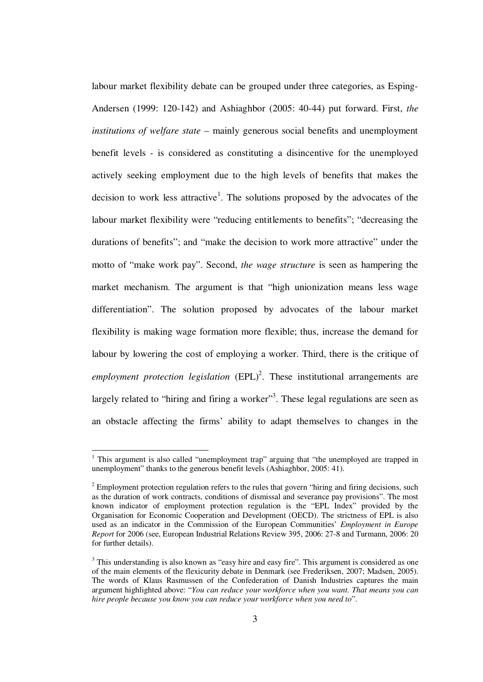labour market flexibility debate can be grouped under three categories, as Esping-Andersen (1999: 120-142) and Ashiaghbor (2005: 40-44) put forward. First, *the institutions of welfare state* – mainly generous social benefits and unemployment benefit levels - is considered as constituting a disincentive for the unemployed actively seeking employment due to the high levels of benefits that makes the decision to work less attractive<sup>1</sup>. The solutions proposed by the advocates of the labour market flexibility were "reducing entitlements to benefits"; "decreasing the durations of benefits"; and "make the decision to work more attractive" under the motto of "make work pay". Second, *the wage structure* is seen as hampering the market mechanism. The argument is that "high unionization means less wage differentiation". The solution proposed by advocates of the labour market flexibility is making wage formation more flexible; thus, increase the demand for labour by lowering the cost of employing a worker. Third, there is the critique of  $employment protection legislation (EPL)<sup>2</sup>$ . These institutional arrangements are largely related to "hiring and firing a worker"<sup>3</sup>. These legal regulations are seen as an obstacle affecting the firms' ability to adapt themselves to changes in the

1

<sup>&</sup>lt;sup>1</sup> This argument is also called "unemployment trap" arguing that "the unemployed are trapped in unemployment" thanks to the generous benefit levels (Ashiaghbor, 2005: 41).

 $2$  Employment protection regulation refers to the rules that govern "hiring and firing decisions, such as the duration of work contracts, conditions of dismissal and severance pay provisions". The most known indicator of employment protection regulation is the "EPL Index" provided by the Organisation for Economic Cooperation and Development (OECD). The strictness of EPL is also used as an indicator in the Commission of the European Communities' *Employment in Europe Report* for 2006 (see, European Industrial Relations Review 395, 2006: 27-8 and Turmann, 2006: 20 for further details).

 $3$  This understanding is also known as "easy hire and easy fire". This argument is considered as one of the main elements of the flexicurity debate in Denmark (see Frederiksen, 2007; Madsen, 2005). The words of Klaus Rasmussen of the Confederation of Danish Industries captures the main argument highlighted above: "*You can reduce your workforce when you want. That means you can hire people because you know you can reduce your workforce when you need to*".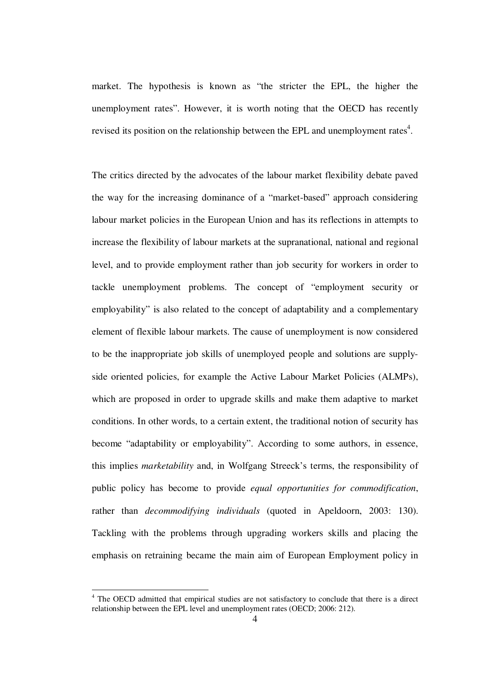market. The hypothesis is known as "the stricter the EPL, the higher the unemployment rates". However, it is worth noting that the OECD has recently revised its position on the relationship between the EPL and unemployment rates<sup>4</sup>.

The critics directed by the advocates of the labour market flexibility debate paved the way for the increasing dominance of a "market-based" approach considering labour market policies in the European Union and has its reflections in attempts to increase the flexibility of labour markets at the supranational, national and regional level, and to provide employment rather than job security for workers in order to tackle unemployment problems. The concept of "employment security or employability" is also related to the concept of adaptability and a complementary element of flexible labour markets. The cause of unemployment is now considered to be the inappropriate job skills of unemployed people and solutions are supplyside oriented policies, for example the Active Labour Market Policies (ALMPs), which are proposed in order to upgrade skills and make them adaptive to market conditions. In other words, to a certain extent, the traditional notion of security has become "adaptability or employability". According to some authors, in essence, this implies *marketability* and, in Wolfgang Streeck's terms, the responsibility of public policy has become to provide *equal opportunities for commodification*, rather than *decommodifying individuals* (quoted in Apeldoorn, 2003: 130). Tackling with the problems through upgrading workers skills and placing the emphasis on retraining became the main aim of European Employment policy in

1

<sup>4</sup> The OECD admitted that empirical studies are not satisfactory to conclude that there is a direct relationship between the EPL level and unemployment rates (OECD; 2006: 212).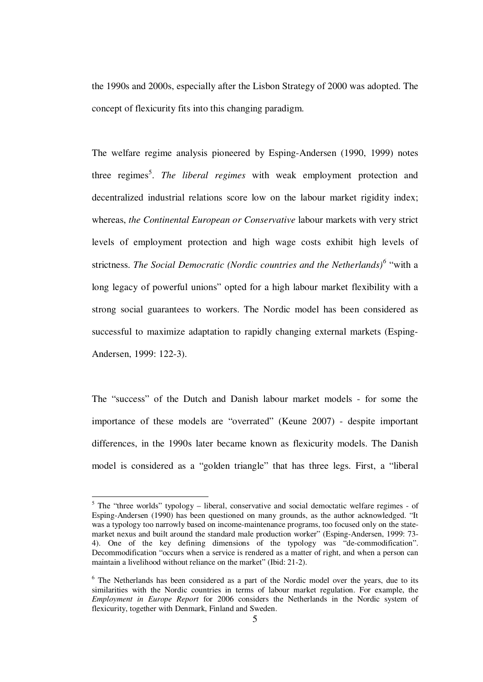the 1990s and 2000s, especially after the Lisbon Strategy of 2000 was adopted. The concept of flexicurity fits into this changing paradigm.

The welfare regime analysis pioneered by Esping-Andersen (1990, 1999) notes three regimes<sup>5</sup>. The liberal regimes with weak employment protection and decentralized industrial relations score low on the labour market rigidity index; whereas, *the Continental European or Conservative* labour markets with very strict levels of employment protection and high wage costs exhibit high levels of strictness. *The Social Democratic (Nordic countries and the Netherlands)*<sup>6</sup> "with a long legacy of powerful unions" opted for a high labour market flexibility with a strong social guarantees to workers. The Nordic model has been considered as successful to maximize adaptation to rapidly changing external markets (Esping-Andersen, 1999: 122-3).

The "success" of the Dutch and Danish labour market models - for some the importance of these models are "overrated" (Keune 2007) - despite important differences, in the 1990s later became known as flexicurity models. The Danish model is considered as a "golden triangle" that has three legs. First, a "liberal

<u>.</u>

 $<sup>5</sup>$  The "three worlds" typology – liberal, conservative and social democtatic welfare regimes - of</sup> Esping-Andersen (1990) has been questioned on many grounds, as the author acknowledged. "It was a typology too narrowly based on income-maintenance programs, too focused only on the statemarket nexus and built around the standard male production worker" (Esping-Andersen, 1999: 73- 4). One of the key defining dimensions of the typology was "de-commodification". Decommodification "occurs when a service is rendered as a matter of right, and when a person can maintain a livelihood without reliance on the market" (Ibid: 21-2).

 $6$  The Netherlands has been considered as a part of the Nordic model over the years, due to its similarities with the Nordic countries in terms of labour market regulation. For example, the *Employment in Europe Report* for 2006 considers the Netherlands in the Nordic system of flexicurity, together with Denmark, Finland and Sweden.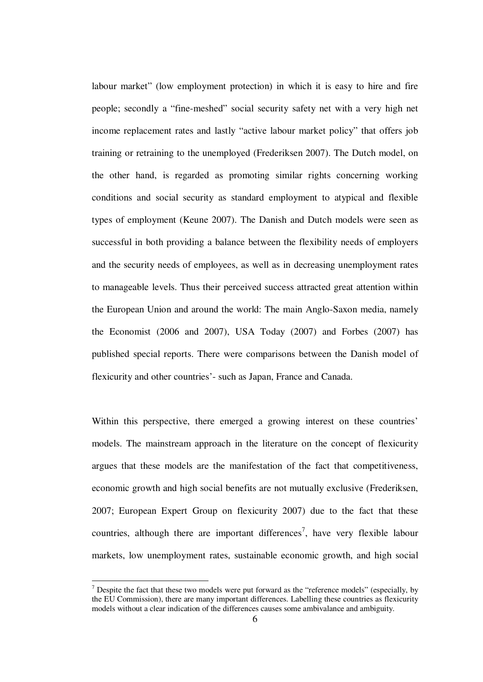labour market" (low employment protection) in which it is easy to hire and fire people; secondly a "fine-meshed" social security safety net with a very high net income replacement rates and lastly "active labour market policy" that offers job training or retraining to the unemployed (Frederiksen 2007). The Dutch model, on the other hand, is regarded as promoting similar rights concerning working conditions and social security as standard employment to atypical and flexible types of employment (Keune 2007). The Danish and Dutch models were seen as successful in both providing a balance between the flexibility needs of employers and the security needs of employees, as well as in decreasing unemployment rates to manageable levels. Thus their perceived success attracted great attention within the European Union and around the world: The main Anglo-Saxon media, namely the Economist (2006 and 2007), USA Today (2007) and Forbes (2007) has published special reports. There were comparisons between the Danish model of flexicurity and other countries'- such as Japan, France and Canada.

Within this perspective, there emerged a growing interest on these countries' models. The mainstream approach in the literature on the concept of flexicurity argues that these models are the manifestation of the fact that competitiveness, economic growth and high social benefits are not mutually exclusive (Frederiksen, 2007; European Expert Group on flexicurity 2007) due to the fact that these countries, although there are important differences<sup>7</sup>, have very flexible labour markets, low unemployment rates, sustainable economic growth, and high social

<u>.</u>

 $<sup>7</sup>$  Despite the fact that these two models were put forward as the "reference models" (especially, by</sup> the EU Commission), there are many important differences. Labelling these countries as flexicurity models without a clear indication of the differences causes some ambivalance and ambiguity.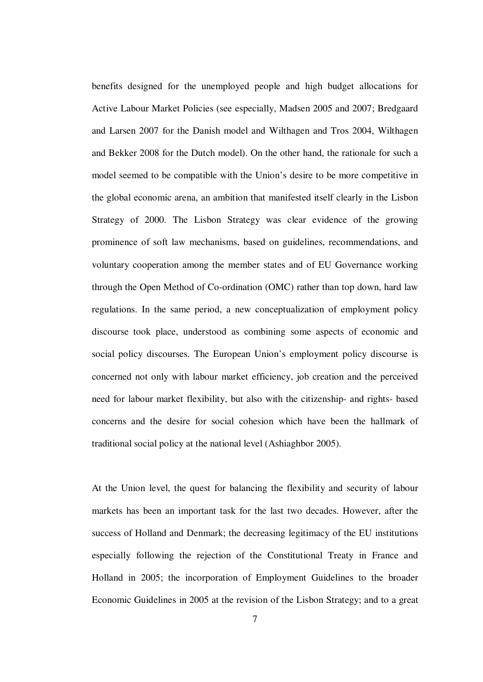benefits designed for the unemployed people and high budget allocations for Active Labour Market Policies (see especially, Madsen 2005 and 2007; Bredgaard and Larsen 2007 for the Danish model and Wilthagen and Tros 2004, Wilthagen and Bekker 2008 for the Dutch model). On the other hand, the rationale for such a model seemed to be compatible with the Union's desire to be more competitive in the global economic arena, an ambition that manifested itself clearly in the Lisbon Strategy of 2000. The Lisbon Strategy was clear evidence of the growing prominence of soft law mechanisms, based on guidelines, recommendations, and voluntary cooperation among the member states and of EU Governance working through the Open Method of Co-ordination (OMC) rather than top down, hard law regulations. In the same period, a new conceptualization of employment policy discourse took place, understood as combining some aspects of economic and social policy discourses. The European Union's employment policy discourse is concerned not only with labour market efficiency, job creation and the perceived need for labour market flexibility, but also with the citizenship- and rights- based concerns and the desire for social cohesion which have been the hallmark of traditional social policy at the national level (Ashiaghbor 2005).

At the Union level, the quest for balancing the flexibility and security of labour markets has been an important task for the last two decades. However, after the success of Holland and Denmark; the decreasing legitimacy of the EU institutions especially following the rejection of the Constitutional Treaty in France and Holland in 2005; the incorporation of Employment Guidelines to the broader Economic Guidelines in 2005 at the revision of the Lisbon Strategy; and to a great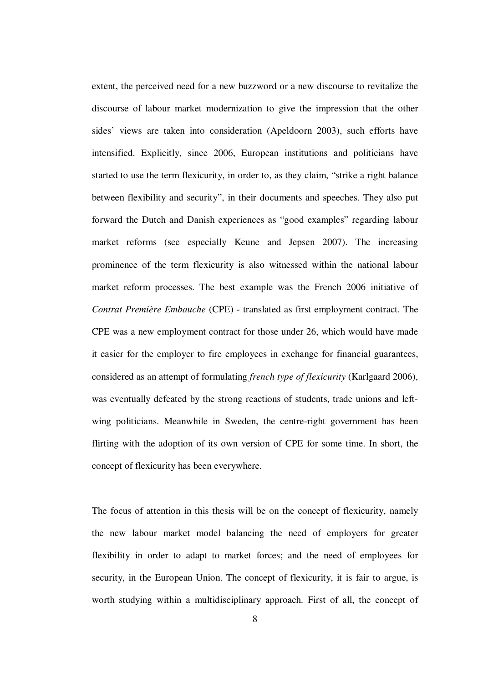extent, the perceived need for a new buzzword or a new discourse to revitalize the discourse of labour market modernization to give the impression that the other sides' views are taken into consideration (Apeldoorn 2003), such efforts have intensified. Explicitly, since 2006, European institutions and politicians have started to use the term flexicurity, in order to, as they claim, "strike a right balance between flexibility and security", in their documents and speeches. They also put forward the Dutch and Danish experiences as "good examples" regarding labour market reforms (see especially Keune and Jepsen 2007). The increasing prominence of the term flexicurity is also witnessed within the national labour market reform processes. The best example was the French 2006 initiative of *Contrat Première Embauche* (CPE) - translated as first employment contract. The CPE was a new employment contract for those under 26, which would have made it easier for the employer to fire employees in exchange for financial guarantees, considered as an attempt of formulating *french type of flexicurity* (Karlgaard 2006), was eventually defeated by the strong reactions of students, trade unions and leftwing politicians. Meanwhile in Sweden, the centre-right government has been flirting with the adoption of its own version of CPE for some time. In short, the concept of flexicurity has been everywhere.

The focus of attention in this thesis will be on the concept of flexicurity, namely the new labour market model balancing the need of employers for greater flexibility in order to adapt to market forces; and the need of employees for security, in the European Union. The concept of flexicurity, it is fair to argue, is worth studying within a multidisciplinary approach. First of all, the concept of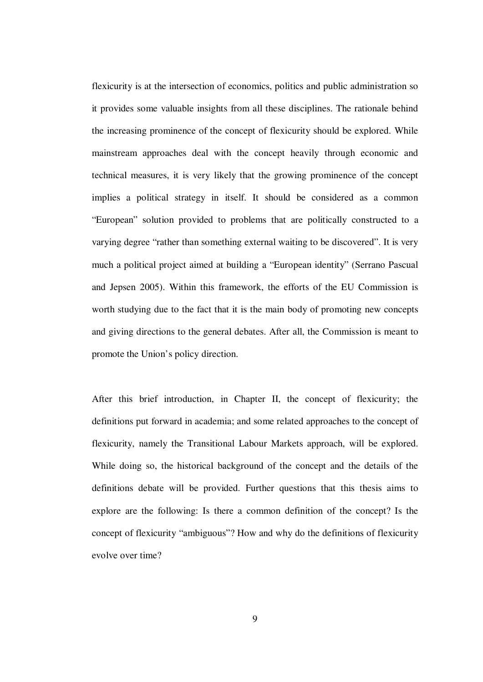flexicurity is at the intersection of economics, politics and public administration so it provides some valuable insights from all these disciplines. The rationale behind the increasing prominence of the concept of flexicurity should be explored. While mainstream approaches deal with the concept heavily through economic and technical measures, it is very likely that the growing prominence of the concept implies a political strategy in itself. It should be considered as a common "European" solution provided to problems that are politically constructed to a varying degree "rather than something external waiting to be discovered". It is very much a political project aimed at building a "European identity" (Serrano Pascual and Jepsen 2005). Within this framework, the efforts of the EU Commission is worth studying due to the fact that it is the main body of promoting new concepts and giving directions to the general debates. After all, the Commission is meant to promote the Union's policy direction.

After this brief introduction, in Chapter II, the concept of flexicurity; the definitions put forward in academia; and some related approaches to the concept of flexicurity, namely the Transitional Labour Markets approach, will be explored. While doing so, the historical background of the concept and the details of the definitions debate will be provided. Further questions that this thesis aims to explore are the following: Is there a common definition of the concept? Is the concept of flexicurity "ambiguous"? How and why do the definitions of flexicurity evolve over time?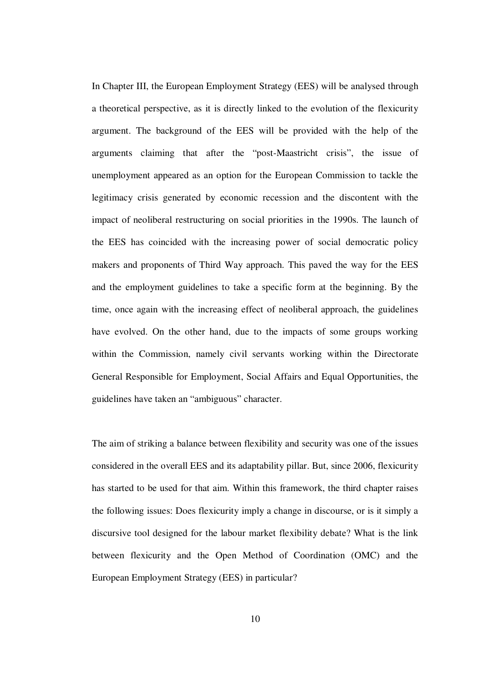In Chapter III, the European Employment Strategy (EES) will be analysed through a theoretical perspective, as it is directly linked to the evolution of the flexicurity argument. The background of the EES will be provided with the help of the arguments claiming that after the "post-Maastricht crisis", the issue of unemployment appeared as an option for the European Commission to tackle the legitimacy crisis generated by economic recession and the discontent with the impact of neoliberal restructuring on social priorities in the 1990s. The launch of the EES has coincided with the increasing power of social democratic policy makers and proponents of Third Way approach. This paved the way for the EES and the employment guidelines to take a specific form at the beginning. By the time, once again with the increasing effect of neoliberal approach, the guidelines have evolved. On the other hand, due to the impacts of some groups working within the Commission, namely civil servants working within the Directorate General Responsible for Employment, Social Affairs and Equal Opportunities, the guidelines have taken an "ambiguous" character.

The aim of striking a balance between flexibility and security was one of the issues considered in the overall EES and its adaptability pillar. But, since 2006, flexicurity has started to be used for that aim. Within this framework, the third chapter raises the following issues: Does flexicurity imply a change in discourse, or is it simply a discursive tool designed for the labour market flexibility debate? What is the link between flexicurity and the Open Method of Coordination (OMC) and the European Employment Strategy (EES) in particular?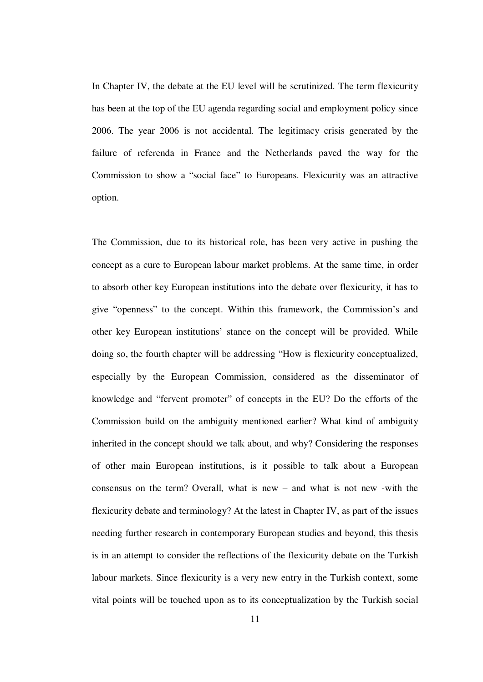In Chapter IV, the debate at the EU level will be scrutinized. The term flexicurity has been at the top of the EU agenda regarding social and employment policy since 2006. The year 2006 is not accidental. The legitimacy crisis generated by the failure of referenda in France and the Netherlands paved the way for the Commission to show a "social face" to Europeans. Flexicurity was an attractive option.

The Commission, due to its historical role, has been very active in pushing the concept as a cure to European labour market problems. At the same time, in order to absorb other key European institutions into the debate over flexicurity, it has to give "openness" to the concept. Within this framework, the Commission's and other key European institutions' stance on the concept will be provided. While doing so, the fourth chapter will be addressing "How is flexicurity conceptualized, especially by the European Commission, considered as the disseminator of knowledge and "fervent promoter" of concepts in the EU? Do the efforts of the Commission build on the ambiguity mentioned earlier? What kind of ambiguity inherited in the concept should we talk about, and why? Considering the responses of other main European institutions, is it possible to talk about a European consensus on the term? Overall, what is new – and what is not new -with the flexicurity debate and terminology? At the latest in Chapter IV, as part of the issues needing further research in contemporary European studies and beyond, this thesis is in an attempt to consider the reflections of the flexicurity debate on the Turkish labour markets. Since flexicurity is a very new entry in the Turkish context, some vital points will be touched upon as to its conceptualization by the Turkish social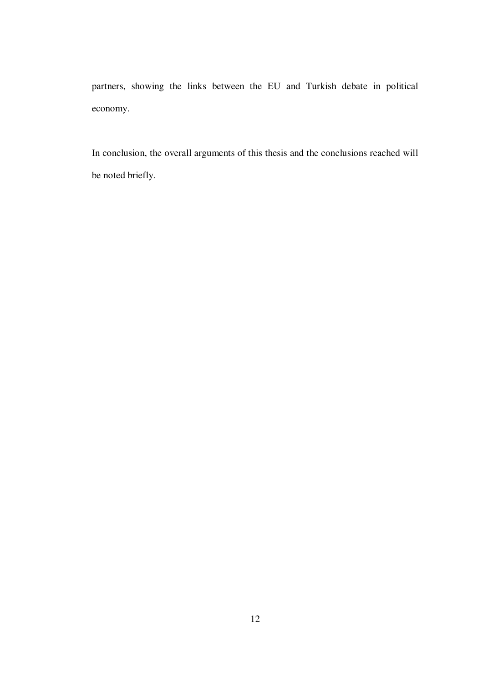partners, showing the links between the EU and Turkish debate in political economy.

In conclusion, the overall arguments of this thesis and the conclusions reached will be noted briefly.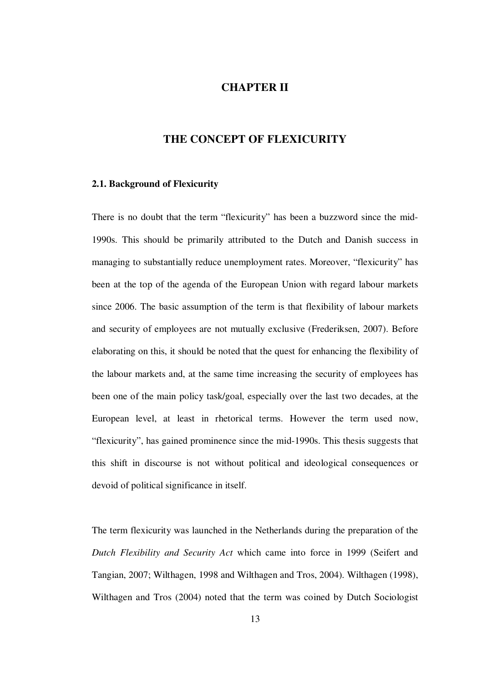### **CHAPTER II**

# **THE CONCEPT OF FLEXICURITY**

#### **2.1. Background of Flexicurity**

There is no doubt that the term "flexicurity" has been a buzzword since the mid-1990s. This should be primarily attributed to the Dutch and Danish success in managing to substantially reduce unemployment rates. Moreover, "flexicurity" has been at the top of the agenda of the European Union with regard labour markets since 2006. The basic assumption of the term is that flexibility of labour markets and security of employees are not mutually exclusive (Frederiksen, 2007). Before elaborating on this, it should be noted that the quest for enhancing the flexibility of the labour markets and, at the same time increasing the security of employees has been one of the main policy task/goal, especially over the last two decades, at the European level, at least in rhetorical terms. However the term used now, "flexicurity", has gained prominence since the mid-1990s. This thesis suggests that this shift in discourse is not without political and ideological consequences or devoid of political significance in itself.

The term flexicurity was launched in the Netherlands during the preparation of the *Dutch Flexibility and Security Act* which came into force in 1999 (Seifert and Tangian, 2007; Wilthagen, 1998 and Wilthagen and Tros, 2004). Wilthagen (1998), Wilthagen and Tros (2004) noted that the term was coined by Dutch Sociologist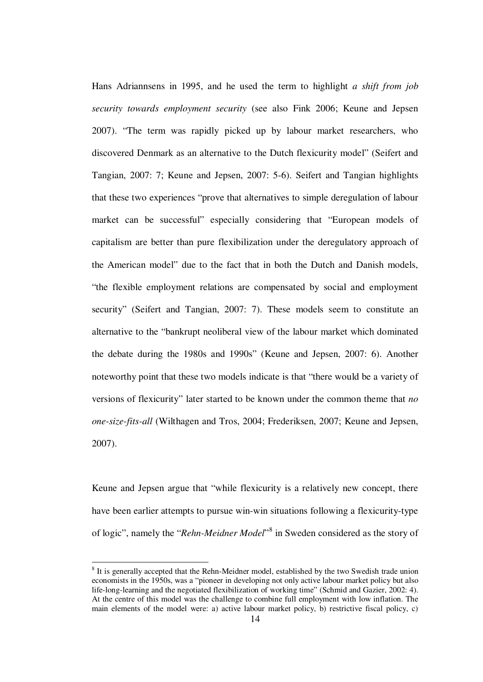Hans Adriannsens in 1995, and he used the term to highlight *a shift from job security towards employment security* (see also Fink 2006; Keune and Jepsen 2007). "The term was rapidly picked up by labour market researchers, who discovered Denmark as an alternative to the Dutch flexicurity model" (Seifert and Tangian, 2007: 7; Keune and Jepsen, 2007: 5-6). Seifert and Tangian highlights that these two experiences "prove that alternatives to simple deregulation of labour market can be successful" especially considering that "European models of capitalism are better than pure flexibilization under the deregulatory approach of the American model" due to the fact that in both the Dutch and Danish models, "the flexible employment relations are compensated by social and employment security" (Seifert and Tangian, 2007: 7). These models seem to constitute an alternative to the "bankrupt neoliberal view of the labour market which dominated the debate during the 1980s and 1990s" (Keune and Jepsen, 2007: 6). Another noteworthy point that these two models indicate is that "there would be a variety of versions of flexicurity" later started to be known under the common theme that *no one-size-fits-all* (Wilthagen and Tros, 2004; Frederiksen, 2007; Keune and Jepsen, 2007).

Keune and Jepsen argue that "while flexicurity is a relatively new concept, there have been earlier attempts to pursue win-win situations following a flexicurity-type of logic", namely the "*Rehn-Meidner Model*"<sup>8</sup> in Sweden considered as the story of

1

<sup>&</sup>lt;sup>8</sup> It is generally accepted that the Rehn-Meidner model, established by the two Swedish trade union economists in the 1950s, was a "pioneer in developing not only active labour market policy but also life-long-learning and the negotiated flexibilization of working time" (Schmid and Gazier, 2002: 4). At the centre of this model was the challenge to combine full employment with low inflation. The main elements of the model were: a) active labour market policy, b) restrictive fiscal policy, c)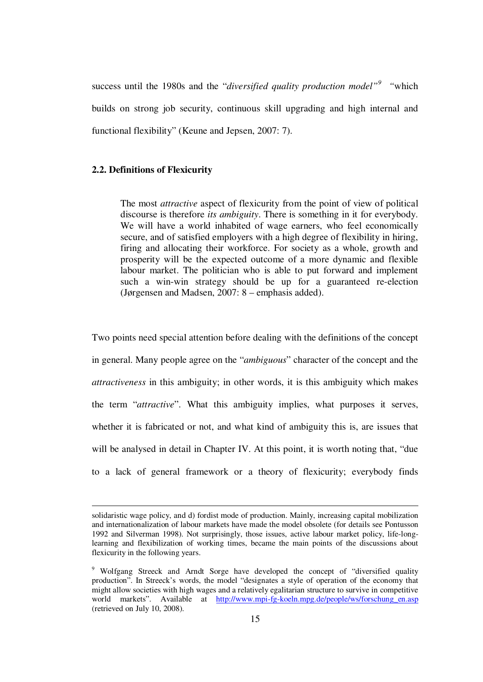success until the 1980s and the "*diversified quality production model"<sup>9</sup> "*which builds on strong job security, continuous skill upgrading and high internal and functional flexibility" (Keune and Jepsen, 2007: 7).

### **2.2. Definitions of Flexicurity**

<u>.</u>

The most *attractive* aspect of flexicurity from the point of view of political discourse is therefore *its ambiguity*. There is something in it for everybody. We will have a world inhabited of wage earners, who feel economically secure, and of satisfied employers with a high degree of flexibility in hiring, firing and allocating their workforce. For society as a whole, growth and prosperity will be the expected outcome of a more dynamic and flexible labour market. The politician who is able to put forward and implement such a win-win strategy should be up for a guaranteed re-election (Jørgensen and Madsen, 2007: 8 – emphasis added).

Two points need special attention before dealing with the definitions of the concept in general. Many people agree on the "*ambiguous*" character of the concept and the *attractiveness* in this ambiguity; in other words, it is this ambiguity which makes the term "*attractive*". What this ambiguity implies, what purposes it serves, whether it is fabricated or not, and what kind of ambiguity this is, are issues that will be analysed in detail in Chapter IV. At this point, it is worth noting that, "due to a lack of general framework or a theory of flexicurity; everybody finds

solidaristic wage policy, and d) fordist mode of production. Mainly, increasing capital mobilization and internationalization of labour markets have made the model obsolete (for details see Pontusson 1992 and Silverman 1998). Not surprisingly, those issues, active labour market policy, life-longlearning and flexibilization of working times, became the main points of the discussions about flexicurity in the following years.

<sup>&</sup>lt;sup>9</sup> Wolfgang Streeck and Arndt Sorge have developed the concept of "diversified quality production". In Streeck's words, the model "designates a style of operation of the economy that might allow societies with high wages and a relatively egalitarian structure to survive in competitive world markets". Available at http://www.mpi-fg-koeln.mpg.de/people/ws/forschung\_en.asp (retrieved on July 10, 2008).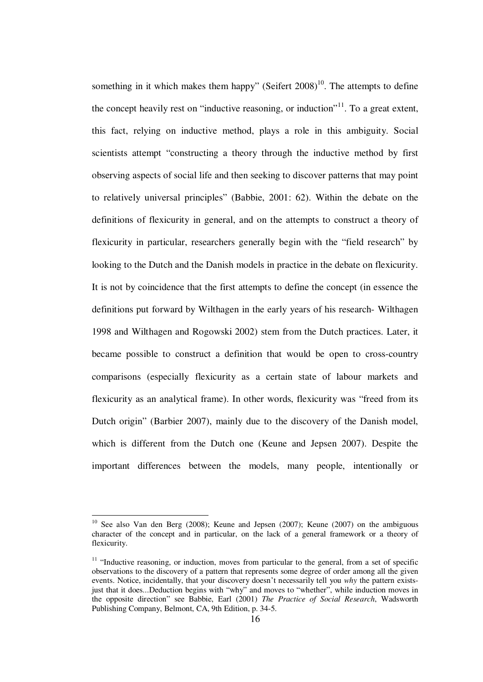something in it which makes them happy" (Seifert  $2008$ )<sup>10</sup>. The attempts to define the concept heavily rest on "inductive reasoning, or induction"<sup>11</sup>. To a great extent, this fact, relying on inductive method, plays a role in this ambiguity. Social scientists attempt "constructing a theory through the inductive method by first observing aspects of social life and then seeking to discover patterns that may point to relatively universal principles" (Babbie, 2001: 62). Within the debate on the definitions of flexicurity in general, and on the attempts to construct a theory of flexicurity in particular, researchers generally begin with the "field research" by looking to the Dutch and the Danish models in practice in the debate on flexicurity. It is not by coincidence that the first attempts to define the concept (in essence the definitions put forward by Wilthagen in the early years of his research- Wilthagen 1998 and Wilthagen and Rogowski 2002) stem from the Dutch practices. Later, it became possible to construct a definition that would be open to cross-country comparisons (especially flexicurity as a certain state of labour markets and flexicurity as an analytical frame). In other words, flexicurity was "freed from its Dutch origin" (Barbier 2007), mainly due to the discovery of the Danish model, which is different from the Dutch one (Keune and Jepsen 2007). Despite the important differences between the models, many people, intentionally or

<u>.</u>

 $10$  See also Van den Berg (2008); Keune and Jepsen (2007); Keune (2007) on the ambiguous character of the concept and in particular, on the lack of a general framework or a theory of flexicurity.

<sup>&</sup>lt;sup>11</sup> "Inductive reasoning, or induction, moves from particular to the general, from a set of specific observations to the discovery of a pattern that represents some degree of order among all the given events. Notice, incidentally, that your discovery doesn't necessarily tell you *why* the pattern existsjust that it does...Deduction begins with "why" and moves to "whether", while induction moves in the opposite direction" see Babbie, Earl (2001) *The Practice of Social Research*, Wadsworth Publishing Company, Belmont, CA, 9th Edition, p. 34-5.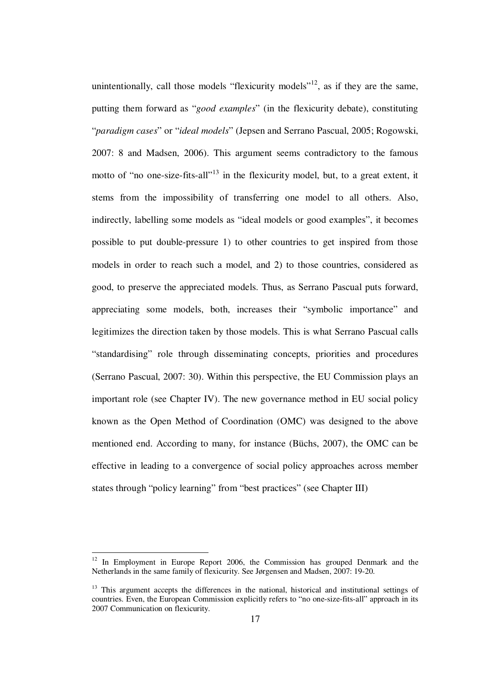unintentionally, call those models "flexicurity models"<sup>12</sup>, as if they are the same, putting them forward as "*good examples*" (in the flexicurity debate), constituting "*paradigm cases*" or "*ideal models*" (Jepsen and Serrano Pascual, 2005; Rogowski, 2007: 8 and Madsen, 2006). This argument seems contradictory to the famous motto of "no one-size-fits-all"<sup>13</sup> in the flexicurity model, but, to a great extent, it stems from the impossibility of transferring one model to all others. Also, indirectly, labelling some models as "ideal models or good examples", it becomes possible to put double-pressure 1) to other countries to get inspired from those models in order to reach such a model, and 2) to those countries, considered as good, to preserve the appreciated models. Thus, as Serrano Pascual puts forward, appreciating some models, both, increases their "symbolic importance" and legitimizes the direction taken by those models. This is what Serrano Pascual calls "standardising" role through disseminating concepts, priorities and procedures (Serrano Pascual, 2007: 30). Within this perspective, the EU Commission plays an important role (see Chapter IV). The new governance method in EU social policy known as the Open Method of Coordination (OMC) was designed to the above mentioned end. According to many, for instance (Büchs, 2007), the OMC can be effective in leading to a convergence of social policy approaches across member states through "policy learning" from "best practices" (see Chapter III)

<u>.</u>

<sup>&</sup>lt;sup>12</sup> In Employment in Europe Report 2006, the Commission has grouped Denmark and the Netherlands in the same family of flexicurity. See Jørgensen and Madsen, 2007: 19-20.

<sup>&</sup>lt;sup>13</sup> This argument accepts the differences in the national, historical and institutional settings of countries. Even, the European Commission explicitly refers to "no one-size-fits-all" approach in its 2007 Communication on flexicurity.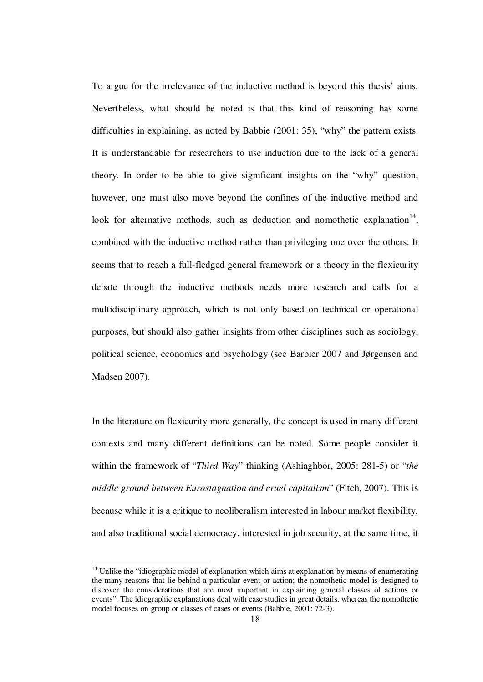To argue for the irrelevance of the inductive method is beyond this thesis' aims. Nevertheless, what should be noted is that this kind of reasoning has some difficulties in explaining, as noted by Babbie (2001: 35), "why" the pattern exists. It is understandable for researchers to use induction due to the lack of a general theory. In order to be able to give significant insights on the "why" question, however, one must also move beyond the confines of the inductive method and look for alternative methods, such as deduction and nomothetic explanation<sup>14</sup>, combined with the inductive method rather than privileging one over the others. It seems that to reach a full-fledged general framework or a theory in the flexicurity debate through the inductive methods needs more research and calls for a multidisciplinary approach, which is not only based on technical or operational purposes, but should also gather insights from other disciplines such as sociology, political science, economics and psychology (see Barbier 2007 and Jørgensen and Madsen 2007).

In the literature on flexicurity more generally, the concept is used in many different contexts and many different definitions can be noted. Some people consider it within the framework of "*Third Way*" thinking (Ashiaghbor, 2005: 281-5) or "*the middle ground between Eurostagnation and cruel capitalism*" (Fitch, 2007). This is because while it is a critique to neoliberalism interested in labour market flexibility, and also traditional social democracy, interested in job security, at the same time, it

1

<sup>&</sup>lt;sup>14</sup> Unlike the "idiographic model of explanation which aims at explanation by means of enumerating the many reasons that lie behind a particular event or action; the nomothetic model is designed to discover the considerations that are most important in explaining general classes of actions or events". The idiographic explanations deal with case studies in great details, whereas the nomothetic model focuses on group or classes of cases or events (Babbie, 2001: 72-3).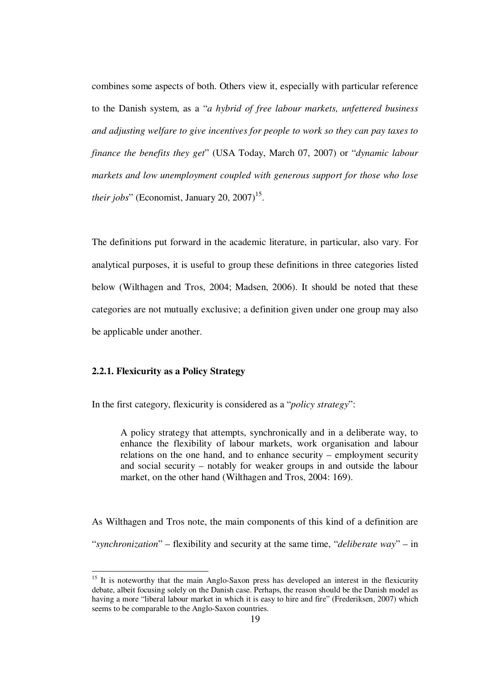combines some aspects of both. Others view it, especially with particular reference to the Danish system, as a "*a hybrid of free labour markets, unfettered business and adjusting welfare to give incentives for people to work so they can pay taxes to finance the benefits they get*" (USA Today, March 07, 2007) or "*dynamic labour markets and low unemployment coupled with generous support for those who lose their jobs*" (Economist, January 20, 2007)<sup>15</sup>.

The definitions put forward in the academic literature, in particular, also vary. For analytical purposes, it is useful to group these definitions in three categories listed below (Wilthagen and Tros, 2004; Madsen, 2006). It should be noted that these categories are not mutually exclusive; a definition given under one group may also be applicable under another.

### **2.2.1. Flexicurity as a Policy Strategy**

1

In the first category, flexicurity is considered as a "*policy strategy*":

A policy strategy that attempts, synchronically and in a deliberate way, to enhance the flexibility of labour markets, work organisation and labour relations on the one hand, and to enhance security – employment security and social security – notably for weaker groups in and outside the labour market, on the other hand (Wilthagen and Tros, 2004: 169).

As Wilthagen and Tros note, the main components of this kind of a definition are "*synchronization*" – flexibility and security at the same time, "*deliberate way*" – in

 $15$  It is noteworthy that the main Anglo-Saxon press has developed an interest in the flexicurity debate, albeit focusing solely on the Danish case. Perhaps, the reason should be the Danish model as having a more "liberal labour market in which it is easy to hire and fire" (Frederiksen, 2007) which seems to be comparable to the Anglo-Saxon countries.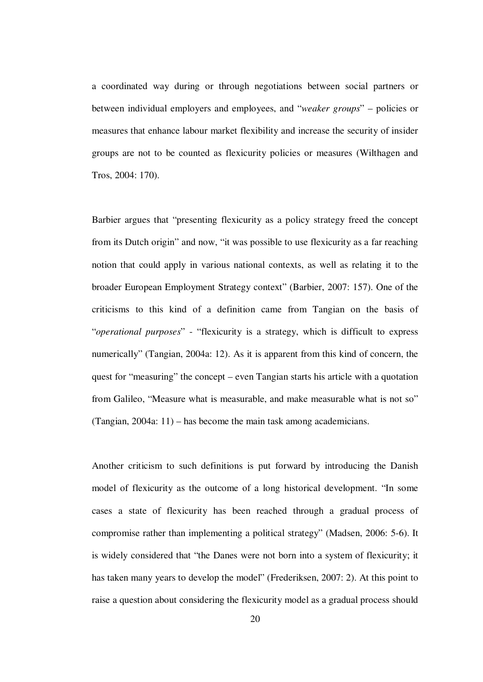a coordinated way during or through negotiations between social partners or between individual employers and employees, and "*weaker groups*" – policies or measures that enhance labour market flexibility and increase the security of insider groups are not to be counted as flexicurity policies or measures (Wilthagen and Tros, 2004: 170).

Barbier argues that "presenting flexicurity as a policy strategy freed the concept from its Dutch origin" and now, "it was possible to use flexicurity as a far reaching notion that could apply in various national contexts, as well as relating it to the broader European Employment Strategy context" (Barbier, 2007: 157). One of the criticisms to this kind of a definition came from Tangian on the basis of "*operational purposes*" - "flexicurity is a strategy, which is difficult to express numerically" (Tangian, 2004a: 12). As it is apparent from this kind of concern, the quest for "measuring" the concept – even Tangian starts his article with a quotation from Galileo, "Measure what is measurable, and make measurable what is not so" (Tangian, 2004a: 11) – has become the main task among academicians.

Another criticism to such definitions is put forward by introducing the Danish model of flexicurity as the outcome of a long historical development. "In some cases a state of flexicurity has been reached through a gradual process of compromise rather than implementing a political strategy" (Madsen, 2006: 5-6). It is widely considered that "the Danes were not born into a system of flexicurity; it has taken many years to develop the model" (Frederiksen, 2007: 2). At this point to raise a question about considering the flexicurity model as a gradual process should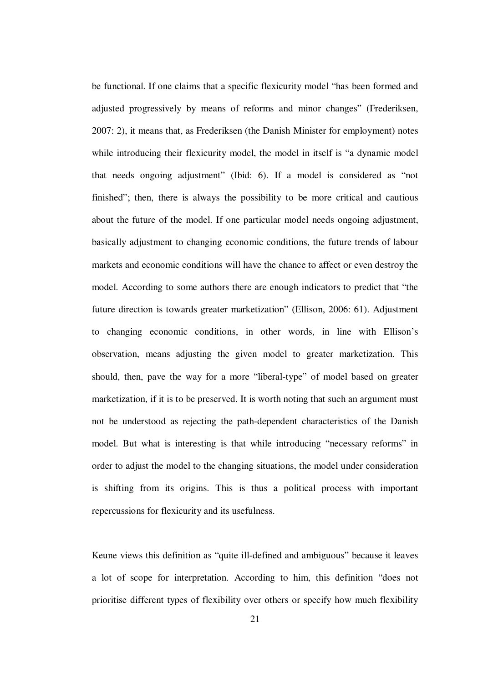be functional. If one claims that a specific flexicurity model "has been formed and adjusted progressively by means of reforms and minor changes" (Frederiksen, 2007: 2), it means that, as Frederiksen (the Danish Minister for employment) notes while introducing their flexicurity model, the model in itself is "a dynamic model that needs ongoing adjustment" (Ibid: 6). If a model is considered as "not finished"; then, there is always the possibility to be more critical and cautious about the future of the model. If one particular model needs ongoing adjustment, basically adjustment to changing economic conditions, the future trends of labour markets and economic conditions will have the chance to affect or even destroy the model. According to some authors there are enough indicators to predict that "the future direction is towards greater marketization" (Ellison, 2006: 61). Adjustment to changing economic conditions, in other words, in line with Ellison's observation, means adjusting the given model to greater marketization. This should, then, pave the way for a more "liberal-type" of model based on greater marketization, if it is to be preserved. It is worth noting that such an argument must not be understood as rejecting the path-dependent characteristics of the Danish model. But what is interesting is that while introducing "necessary reforms" in order to adjust the model to the changing situations, the model under consideration is shifting from its origins. This is thus a political process with important repercussions for flexicurity and its usefulness.

Keune views this definition as "quite ill-defined and ambiguous" because it leaves a lot of scope for interpretation. According to him, this definition "does not prioritise different types of flexibility over others or specify how much flexibility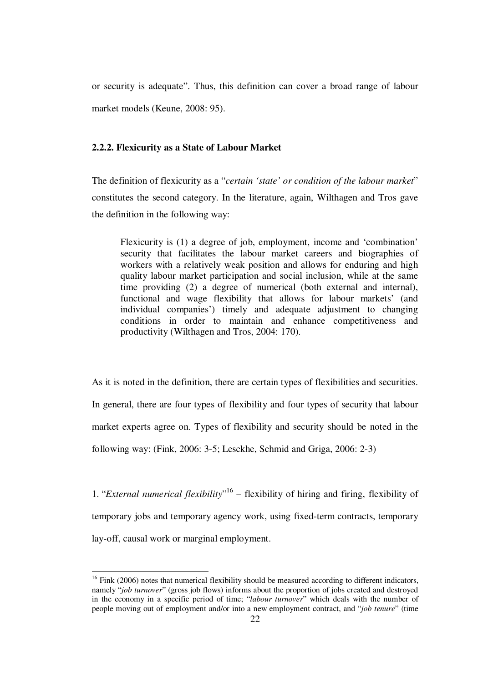or security is adequate". Thus, this definition can cover a broad range of labour market models (Keune, 2008: 95).

### **2.2.2. Flexicurity as a State of Labour Market**

The definition of flexicurity as a "*certain 'state' or condition of the labour market*" constitutes the second category. In the literature, again, Wilthagen and Tros gave the definition in the following way:

Flexicurity is (1) a degree of job, employment, income and 'combination' security that facilitates the labour market careers and biographies of workers with a relatively weak position and allows for enduring and high quality labour market participation and social inclusion, while at the same time providing (2) a degree of numerical (both external and internal), functional and wage flexibility that allows for labour markets' (and individual companies') timely and adequate adjustment to changing conditions in order to maintain and enhance competitiveness and productivity (Wilthagen and Tros, 2004: 170).

As it is noted in the definition, there are certain types of flexibilities and securities. In general, there are four types of flexibility and four types of security that labour market experts agree on. Types of flexibility and security should be noted in the following way: (Fink, 2006: 3-5; Lesckhe, Schmid and Griga, 2006: 2-3)

1. "*External numerical flexibility*" <sup>16</sup> – flexibility of hiring and firing, flexibility of temporary jobs and temporary agency work, using fixed-term contracts, temporary lay-off, causal work or marginal employment.

1

 $16$  Fink (2006) notes that numerical flexibility should be measured according to different indicators, namely "*job turnover*" (gross job flows) informs about the proportion of jobs created and destroyed in the economy in a specific period of time; "*labour turnover*" which deals with the number of people moving out of employment and/or into a new employment contract, and "*job tenure*" (time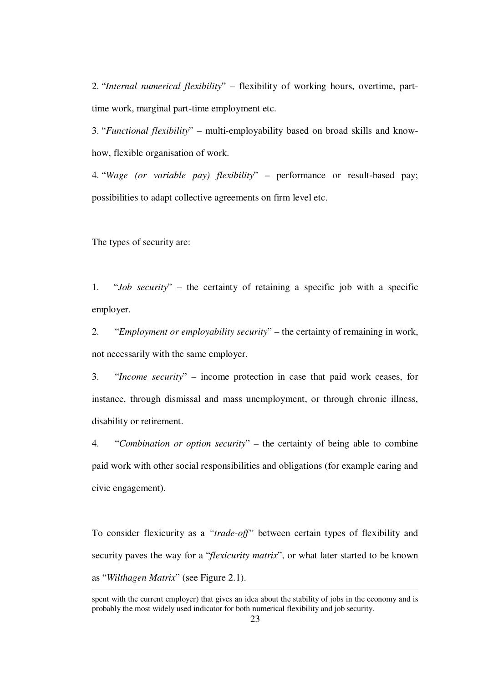2. "*Internal numerical flexibility*" – flexibility of working hours, overtime, parttime work, marginal part-time employment etc.

3. "*Functional flexibility*" – multi-employability based on broad skills and knowhow, flexible organisation of work.

4. "*Wage (or variable pay) flexibility*" – performance or result-based pay; possibilities to adapt collective agreements on firm level etc.

The types of security are:

1. "*Job security*" – the certainty of retaining a specific job with a specific employer.

2. "*Employment or employability security*" – the certainty of remaining in work, not necessarily with the same employer.

3. "*Income security*" – income protection in case that paid work ceases, for instance, through dismissal and mass unemployment, or through chronic illness, disability or retirement.

4. "*Combination or option security*" – the certainty of being able to combine paid work with other social responsibilities and obligations (for example caring and civic engagement).

To consider flexicurity as a *"trade-off"* between certain types of flexibility and security paves the way for a "*flexicurity matrix*", or what later started to be known as "*Wilthagen Matrix*" (see Figure 2.1). 1

spent with the current employer) that gives an idea about the stability of jobs in the economy and is probably the most widely used indicator for both numerical flexibility and job security.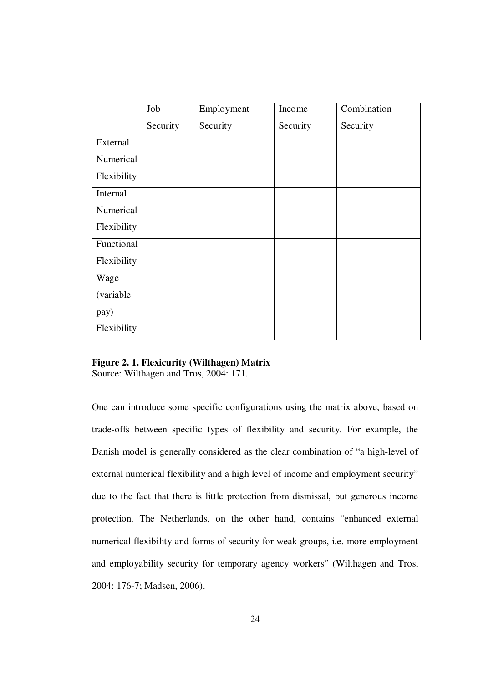|             | Job      | Employment | Income   | Combination |
|-------------|----------|------------|----------|-------------|
|             | Security | Security   | Security | Security    |
| External    |          |            |          |             |
| Numerical   |          |            |          |             |
| Flexibility |          |            |          |             |
| Internal    |          |            |          |             |
| Numerical   |          |            |          |             |
| Flexibility |          |            |          |             |
| Functional  |          |            |          |             |
| Flexibility |          |            |          |             |
| Wage        |          |            |          |             |
| (variable   |          |            |          |             |
| pay)        |          |            |          |             |
| Flexibility |          |            |          |             |

### **Figure 2. 1. Flexicurity (Wilthagen) Matrix**  Source: Wilthagen and Tros, 2004: 171.

One can introduce some specific configurations using the matrix above, based on trade-offs between specific types of flexibility and security. For example, the Danish model is generally considered as the clear combination of "a high-level of external numerical flexibility and a high level of income and employment security" due to the fact that there is little protection from dismissal, but generous income protection. The Netherlands, on the other hand, contains "enhanced external numerical flexibility and forms of security for weak groups, i.e. more employment and employability security for temporary agency workers" (Wilthagen and Tros, 2004: 176-7; Madsen, 2006).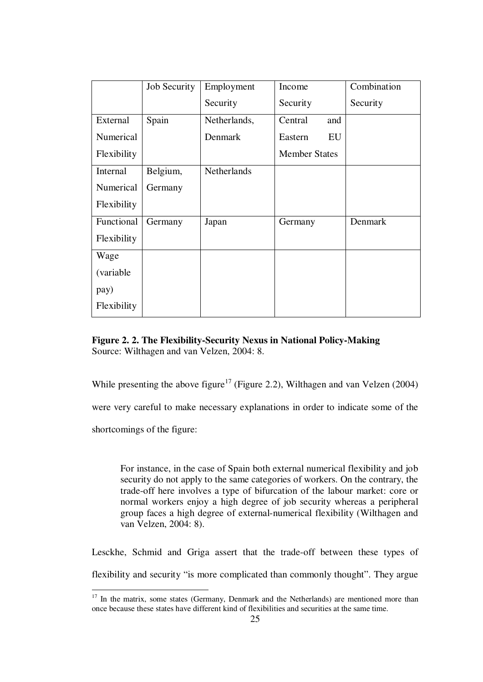|             | Job Security | Employment   | Income               | Combination |
|-------------|--------------|--------------|----------------------|-------------|
|             |              | Security     | Security             | Security    |
| External    | Spain        | Netherlands, | Central<br>and       |             |
| Numerical   |              | Denmark      | EU<br>Eastern        |             |
| Flexibility |              |              | <b>Member States</b> |             |
| Internal    | Belgium,     | Netherlands  |                      |             |
| Numerical   | Germany      |              |                      |             |
| Flexibility |              |              |                      |             |
| Functional  | Germany      | Japan        | Germany              | Denmark     |
| Flexibility |              |              |                      |             |
| Wage        |              |              |                      |             |
| (variable)  |              |              |                      |             |
| pay)        |              |              |                      |             |
| Flexibility |              |              |                      |             |

**Figure 2. 2. The Flexibility-Security Nexus in National Policy-Making**  Source: Wilthagen and van Velzen, 2004: 8.

While presenting the above figure<sup>17</sup> (Figure 2.2), Wilthagen and van Velzen (2004)

were very careful to make necessary explanations in order to indicate some of the

shortcomings of the figure:

1

For instance, in the case of Spain both external numerical flexibility and job security do not apply to the same categories of workers. On the contrary, the trade-off here involves a type of bifurcation of the labour market: core or normal workers enjoy a high degree of job security whereas a peripheral group faces a high degree of external-numerical flexibility (Wilthagen and van Velzen, 2004: 8).

Lesckhe, Schmid and Griga assert that the trade-off between these types of flexibility and security "is more complicated than commonly thought". They argue

 $17$  In the matrix, some states (Germany, Denmark and the Netherlands) are mentioned more than once because these states have different kind of flexibilities and securities at the same time.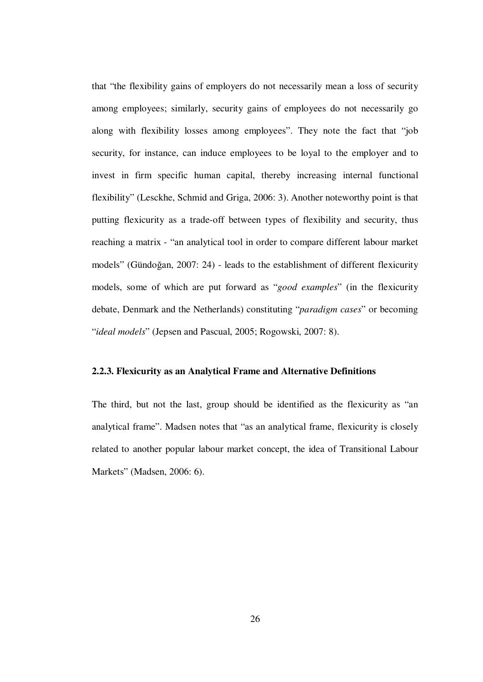that "the flexibility gains of employers do not necessarily mean a loss of security among employees; similarly, security gains of employees do not necessarily go along with flexibility losses among employees". They note the fact that "job security, for instance, can induce employees to be loyal to the employer and to invest in firm specific human capital, thereby increasing internal functional flexibility" (Lesckhe, Schmid and Griga, 2006: 3). Another noteworthy point is that putting flexicurity as a trade-off between types of flexibility and security, thus reaching a matrix - "an analytical tool in order to compare different labour market models" (Gündoğan, 2007: 24) - leads to the establishment of different flexicurity models, some of which are put forward as "*good examples*" (in the flexicurity debate, Denmark and the Netherlands) constituting "*paradigm cases*" or becoming "*ideal models*" (Jepsen and Pascual, 2005; Rogowski, 2007: 8).

#### **2.2.3. Flexicurity as an Analytical Frame and Alternative Definitions**

The third, but not the last, group should be identified as the flexicurity as "an analytical frame". Madsen notes that "as an analytical frame, flexicurity is closely related to another popular labour market concept, the idea of Transitional Labour Markets" (Madsen, 2006: 6).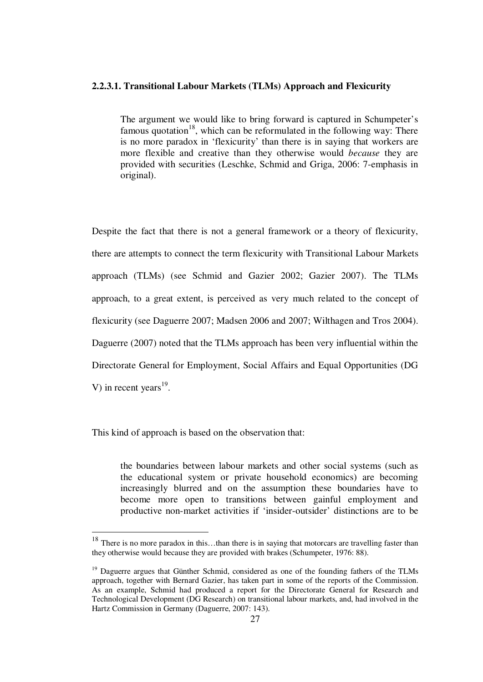#### **2.2.3.1. Transitional Labour Markets (TLMs) Approach and Flexicurity**

The argument we would like to bring forward is captured in Schumpeter's famous quotation<sup>18</sup>, which can be reformulated in the following way: There is no more paradox in 'flexicurity' than there is in saying that workers are more flexible and creative than they otherwise would *because* they are provided with securities (Leschke, Schmid and Griga, 2006: 7-emphasis in original).

Despite the fact that there is not a general framework or a theory of flexicurity, there are attempts to connect the term flexicurity with Transitional Labour Markets approach (TLMs) (see Schmid and Gazier 2002; Gazier 2007). The TLMs approach, to a great extent, is perceived as very much related to the concept of flexicurity (see Daguerre 2007; Madsen 2006 and 2007; Wilthagen and Tros 2004). Daguerre (2007) noted that the TLMs approach has been very influential within the Directorate General for Employment, Social Affairs and Equal Opportunities (DG V) in recent years $^{19}$ .

This kind of approach is based on the observation that:

1

the boundaries between labour markets and other social systems (such as the educational system or private household economics) are becoming increasingly blurred and on the assumption these boundaries have to become more open to transitions between gainful employment and productive non-market activities if 'insider-outsider' distinctions are to be

<sup>&</sup>lt;sup>18</sup> There is no more paradox in this...than there is in saying that motorcars are travelling faster than they otherwise would because they are provided with brakes (Schumpeter, 1976: 88).

 $19$  Daguerre argues that Günther Schmid, considered as one of the founding fathers of the TLMs approach, together with Bernard Gazier, has taken part in some of the reports of the Commission. As an example, Schmid had produced a report for the Directorate General for Research and Technological Development (DG Research) on transitional labour markets, and, had involved in the Hartz Commission in Germany (Daguerre, 2007: 143).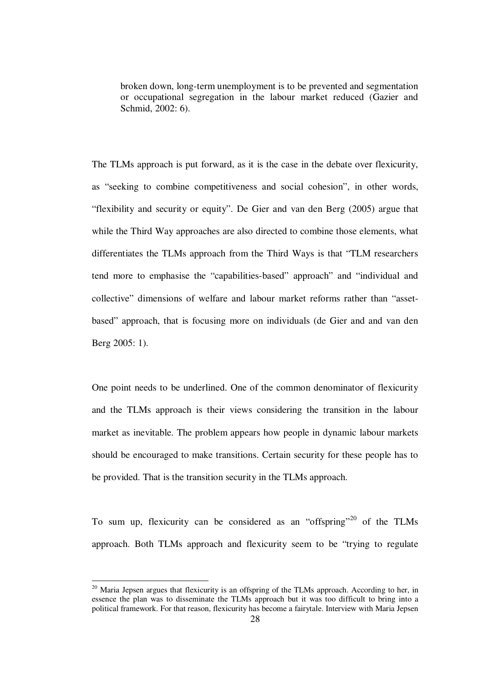broken down, long-term unemployment is to be prevented and segmentation or occupational segregation in the labour market reduced (Gazier and Schmid, 2002: 6).

The TLMs approach is put forward, as it is the case in the debate over flexicurity, as "seeking to combine competitiveness and social cohesion", in other words, "flexibility and security or equity". De Gier and van den Berg (2005) argue that while the Third Way approaches are also directed to combine those elements, what differentiates the TLMs approach from the Third Ways is that "TLM researchers tend more to emphasise the "capabilities-based" approach" and "individual and collective" dimensions of welfare and labour market reforms rather than "assetbased" approach, that is focusing more on individuals (de Gier and and van den Berg 2005: 1).

One point needs to be underlined. One of the common denominator of flexicurity and the TLMs approach is their views considering the transition in the labour market as inevitable. The problem appears how people in dynamic labour markets should be encouraged to make transitions. Certain security for these people has to be provided. That is the transition security in the TLMs approach.

To sum up, flexicurity can be considered as an "offspring"<sup>20</sup> of the TLMs approach. Both TLMs approach and flexicurity seem to be "trying to regulate

 $^{20}$  Maria Jepsen argues that flexicurity is an offspring of the TLMs approach. According to her, in essence the plan was to disseminate the TLMs approach but it was too difficult to bring into a political framework. For that reason, flexicurity has become a fairytale. Interview with Maria Jepsen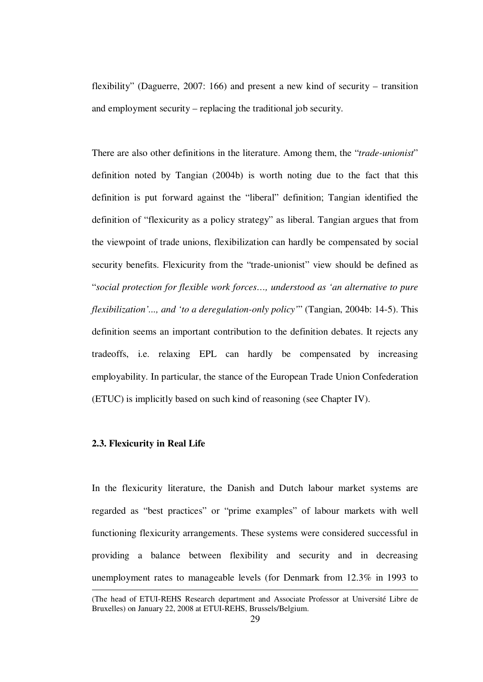flexibility" (Daguerre, 2007: 166) and present a new kind of security – transition and employment security – replacing the traditional job security.

There are also other definitions in the literature. Among them, the "*trade-unionist*" definition noted by Tangian (2004b) is worth noting due to the fact that this definition is put forward against the "liberal" definition; Tangian identified the definition of "flexicurity as a policy strategy" as liberal. Tangian argues that from the viewpoint of trade unions, flexibilization can hardly be compensated by social security benefits. Flexicurity from the "trade-unionist" view should be defined as "*social protection for flexible work forces…, understood as 'an alternative to pure flexibilization'..., and 'to a deregulation-only policy'*" (Tangian, 2004b: 14-5). This definition seems an important contribution to the definition debates. It rejects any tradeoffs, i.e. relaxing EPL can hardly be compensated by increasing employability. In particular, the stance of the European Trade Union Confederation (ETUC) is implicitly based on such kind of reasoning (see Chapter IV).

## **2.3. Flexicurity in Real Life**

1

In the flexicurity literature, the Danish and Dutch labour market systems are regarded as "best practices" or "prime examples" of labour markets with well functioning flexicurity arrangements. These systems were considered successful in providing a balance between flexibility and security and in decreasing unemployment rates to manageable levels (for Denmark from 12.3% in 1993 to

<sup>(</sup>The head of ETUI-REHS Research department and Associate Professor at Université Libre de Bruxelles) on January 22, 2008 at ETUI-REHS, Brussels/Belgium.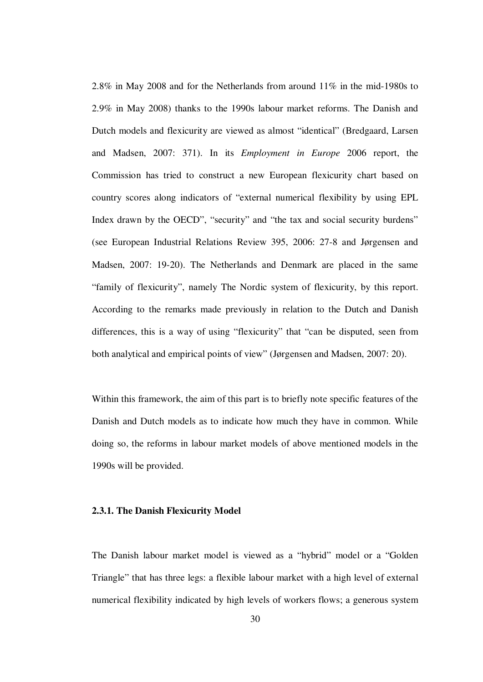2.8% in May 2008 and for the Netherlands from around 11% in the mid-1980s to 2.9% in May 2008) thanks to the 1990s labour market reforms. The Danish and Dutch models and flexicurity are viewed as almost "identical" (Bredgaard, Larsen and Madsen, 2007: 371). In its *Employment in Europe* 2006 report, the Commission has tried to construct a new European flexicurity chart based on country scores along indicators of "external numerical flexibility by using EPL Index drawn by the OECD", "security" and "the tax and social security burdens" (see European Industrial Relations Review 395, 2006: 27-8 and Jørgensen and Madsen, 2007: 19-20). The Netherlands and Denmark are placed in the same "family of flexicurity", namely The Nordic system of flexicurity, by this report. According to the remarks made previously in relation to the Dutch and Danish differences, this is a way of using "flexicurity" that "can be disputed, seen from both analytical and empirical points of view" (Jørgensen and Madsen, 2007: 20).

Within this framework, the aim of this part is to briefly note specific features of the Danish and Dutch models as to indicate how much they have in common. While doing so, the reforms in labour market models of above mentioned models in the 1990s will be provided.

### **2.3.1. The Danish Flexicurity Model**

The Danish labour market model is viewed as a "hybrid" model or a "Golden Triangle" that has three legs: a flexible labour market with a high level of external numerical flexibility indicated by high levels of workers flows; a generous system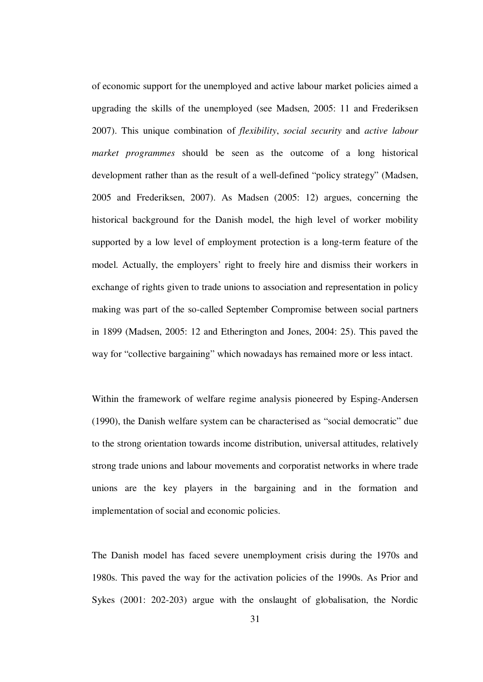of economic support for the unemployed and active labour market policies aimed a upgrading the skills of the unemployed (see Madsen, 2005: 11 and Frederiksen 2007). This unique combination of *flexibility*, *social security* and *active labour market programmes* should be seen as the outcome of a long historical development rather than as the result of a well-defined "policy strategy" (Madsen, 2005 and Frederiksen, 2007). As Madsen (2005: 12) argues, concerning the historical background for the Danish model, the high level of worker mobility supported by a low level of employment protection is a long-term feature of the model. Actually, the employers' right to freely hire and dismiss their workers in exchange of rights given to trade unions to association and representation in policy making was part of the so-called September Compromise between social partners in 1899 (Madsen, 2005: 12 and Etherington and Jones, 2004: 25). This paved the way for "collective bargaining" which nowadays has remained more or less intact.

Within the framework of welfare regime analysis pioneered by Esping-Andersen (1990), the Danish welfare system can be characterised as "social democratic" due to the strong orientation towards income distribution, universal attitudes, relatively strong trade unions and labour movements and corporatist networks in where trade unions are the key players in the bargaining and in the formation and implementation of social and economic policies.

The Danish model has faced severe unemployment crisis during the 1970s and 1980s. This paved the way for the activation policies of the 1990s. As Prior and Sykes (2001: 202-203) argue with the onslaught of globalisation, the Nordic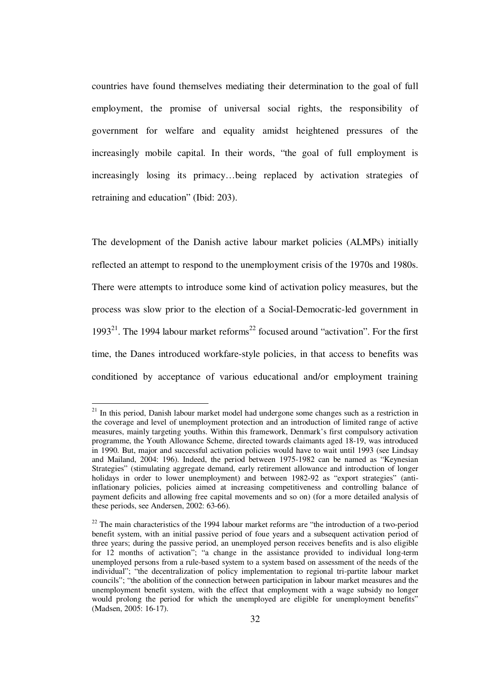countries have found themselves mediating their determination to the goal of full employment, the promise of universal social rights, the responsibility of government for welfare and equality amidst heightened pressures of the increasingly mobile capital. In their words, "the goal of full employment is increasingly losing its primacy…being replaced by activation strategies of retraining and education" (Ibid: 203).

The development of the Danish active labour market policies (ALMPs) initially reflected an attempt to respond to the unemployment crisis of the 1970s and 1980s. There were attempts to introduce some kind of activation policy measures, but the process was slow prior to the election of a Social-Democratic-led government in 1993<sup>21</sup>. The 1994 labour market reforms<sup>22</sup> focused around "activation". For the first time, the Danes introduced workfare-style policies, in that access to benefits was conditioned by acceptance of various educational and/or employment training

 $21$  In this period, Danish labour market model had undergone some changes such as a restriction in the coverage and level of unemployment protection and an introduction of limited range of active measures, mainly targeting youths. Within this framework, Denmark's first compulsory activation programme, the Youth Allowance Scheme, directed towards claimants aged 18-19, was introduced in 1990. But, major and successful activation policies would have to wait until 1993 (see Lindsay and Mailand, 2004: 196). Indeed, the period between 1975-1982 can be named as "Keynesian Strategies" (stimulating aggregate demand, early retirement allowance and introduction of longer holidays in order to lower unemployment) and between 1982-92 as "export strategies" (antiinflationary policies, policies aimed at increasing competitiveness and controlling balance of payment deficits and allowing free capital movements and so on) (for a more detailed analysis of these periods, see Andersen, 2002: 63-66).

 $22$  The main characteristics of the 1994 labour market reforms are "the introduction of a two-period benefit system, with an initial passive period of foue years and a subsequent activation period of three years; during the passive period, an unemployed person receives benefits and is also eligible for 12 months of activation"; "a change in the assistance provided to individual long-term unemployed persons from a rule-based system to a system based on assessment of the needs of the individual"; "the decentralization of policy implementation to regional tri-partite labour market councils"; "the abolition of the connection between participation in labour market measures and the unemployment benefit system, with the effect that employment with a wage subsidy no longer would prolong the period for which the unemployed are eligible for unemployment benefits" (Madsen, 2005: 16-17).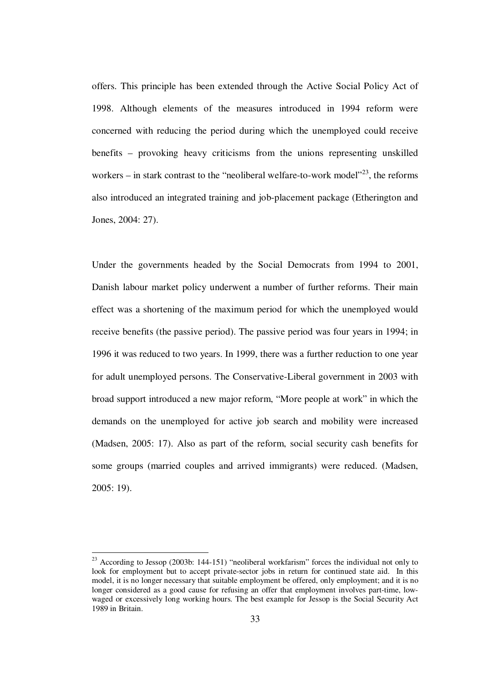offers. This principle has been extended through the Active Social Policy Act of 1998. Although elements of the measures introduced in 1994 reform were concerned with reducing the period during which the unemployed could receive benefits – provoking heavy criticisms from the unions representing unskilled workers – in stark contrast to the "neoliberal welfare-to-work model"<sup>23</sup>, the reforms also introduced an integrated training and job-placement package (Etherington and Jones, 2004: 27).

Under the governments headed by the Social Democrats from 1994 to 2001, Danish labour market policy underwent a number of further reforms. Their main effect was a shortening of the maximum period for which the unemployed would receive benefits (the passive period). The passive period was four years in 1994; in 1996 it was reduced to two years. In 1999, there was a further reduction to one year for adult unemployed persons. The Conservative-Liberal government in 2003 with broad support introduced a new major reform, "More people at work" in which the demands on the unemployed for active job search and mobility were increased (Madsen, 2005: 17). Also as part of the reform, social security cash benefits for some groups (married couples and arrived immigrants) were reduced. (Madsen, 2005: 19).

<sup>&</sup>lt;sup>23</sup> According to Jessop (2003b: 144-151) "neoliberal workfarism" forces the individual not only to look for employment but to accept private-sector jobs in return for continued state aid. In this model, it is no longer necessary that suitable employment be offered, only employment; and it is no longer considered as a good cause for refusing an offer that employment involves part-time, lowwaged or excessively long working hours. The best example for Jessop is the Social Security Act 1989 in Britain.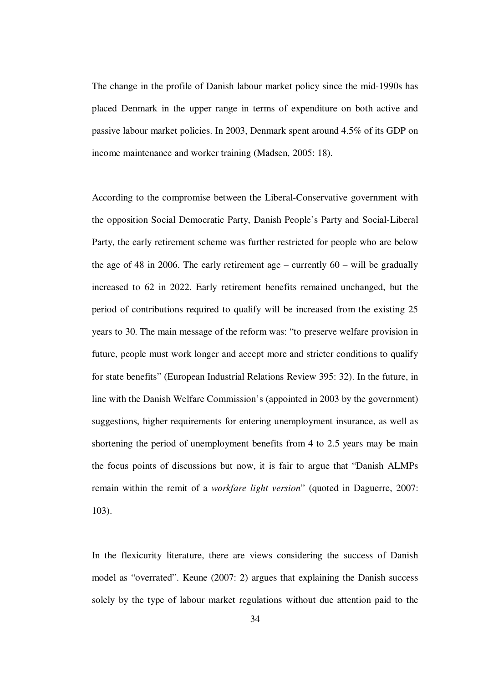The change in the profile of Danish labour market policy since the mid-1990s has placed Denmark in the upper range in terms of expenditure on both active and passive labour market policies. In 2003, Denmark spent around 4.5% of its GDP on income maintenance and worker training (Madsen, 2005: 18).

According to the compromise between the Liberal-Conservative government with the opposition Social Democratic Party, Danish People's Party and Social-Liberal Party, the early retirement scheme was further restricted for people who are below the age of 48 in 2006. The early retirement age – currently  $60 -$  will be gradually increased to 62 in 2022. Early retirement benefits remained unchanged, but the period of contributions required to qualify will be increased from the existing 25 years to 30. The main message of the reform was: "to preserve welfare provision in future, people must work longer and accept more and stricter conditions to qualify for state benefits" (European Industrial Relations Review 395: 32). In the future, in line with the Danish Welfare Commission's (appointed in 2003 by the government) suggestions, higher requirements for entering unemployment insurance, as well as shortening the period of unemployment benefits from 4 to 2.5 years may be main the focus points of discussions but now, it is fair to argue that "Danish ALMPs remain within the remit of a *workfare light version*" (quoted in Daguerre, 2007: 103).

In the flexicurity literature, there are views considering the success of Danish model as "overrated". Keune (2007: 2) argues that explaining the Danish success solely by the type of labour market regulations without due attention paid to the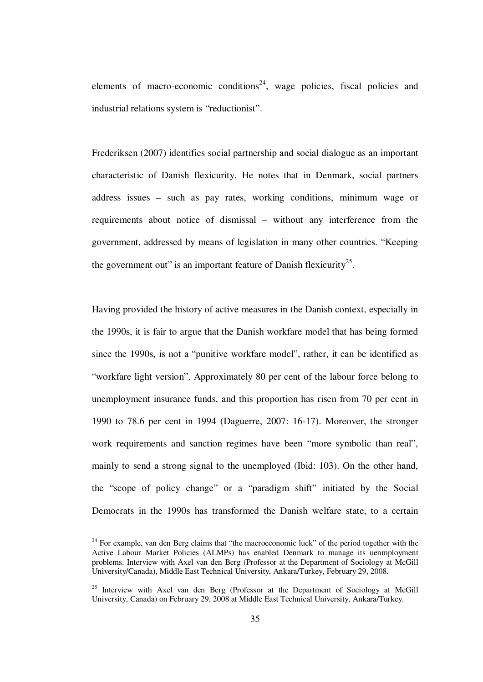elements of macro-economic conditions<sup>24</sup>, wage policies, fiscal policies and industrial relations system is "reductionist".

Frederiksen (2007) identifies social partnership and social dialogue as an important characteristic of Danish flexicurity. He notes that in Denmark, social partners address issues – such as pay rates, working conditions, minimum wage or requirements about notice of dismissal – without any interference from the government, addressed by means of legislation in many other countries. "Keeping the government out" is an important feature of Danish flexicurity<sup>25</sup>.

Having provided the history of active measures in the Danish context, especially in the 1990s, it is fair to argue that the Danish workfare model that has being formed since the 1990s, is not a "punitive workfare model", rather, it can be identified as "workfare light version". Approximately 80 per cent of the labour force belong to unemployment insurance funds, and this proportion has risen from 70 per cent in 1990 to 78.6 per cent in 1994 (Daguerre, 2007: 16-17). Moreover, the stronger work requirements and sanction regimes have been "more symbolic than real", mainly to send a strong signal to the unemployed (Ibid: 103). On the other hand, the "scope of policy change" or a "paradigm shift" initiated by the Social Democrats in the 1990s has transformed the Danish welfare state, to a certain

 $24$  For example, van den Berg claims that "the macroeconomic luck" of the period together with the Active Labour Market Policies (ALMPs) has enabled Denmark to manage its uenmployment problems. Interview with Axel van den Berg (Professor at the Department of Sociology at McGill University/Canada), Middle East Technical University, Ankara/Turkey, February 29, 2008.

<sup>&</sup>lt;sup>25</sup> Interview with Axel van den Berg (Professor at the Department of Sociology at McGill University, Canada) on February 29, 2008 at Middle East Technical University, Ankara/Turkey.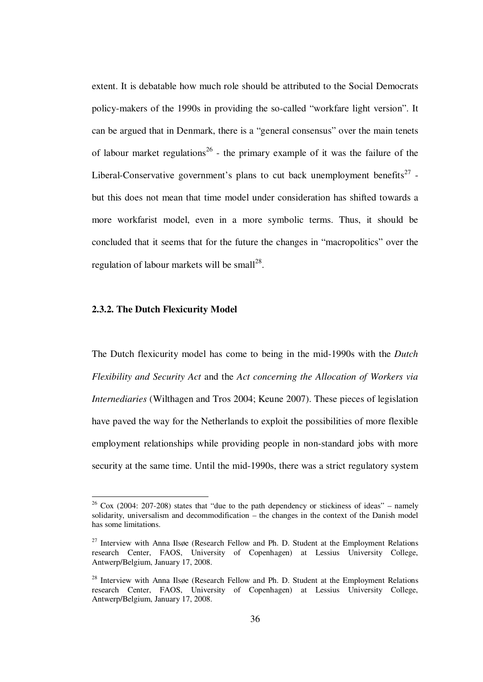extent. It is debatable how much role should be attributed to the Social Democrats policy-makers of the 1990s in providing the so-called "workfare light version". It can be argued that in Denmark, there is a "general consensus" over the main tenets of labour market regulations<sup>26</sup> - the primary example of it was the failure of the Liberal-Conservative government's plans to cut back unemployment benefits<sup>27</sup> but this does not mean that time model under consideration has shifted towards a more workfarist model, even in a more symbolic terms. Thus, it should be concluded that it seems that for the future the changes in "macropolitics" over the regulation of labour markets will be small<sup>28</sup>.

#### **2.3.2. The Dutch Flexicurity Model**

<u>.</u>

The Dutch flexicurity model has come to being in the mid-1990s with the *Dutch Flexibility and Security Act* and the *Act concerning the Allocation of Workers via Internediaries* (Wilthagen and Tros 2004; Keune 2007). These pieces of legislation have paved the way for the Netherlands to exploit the possibilities of more flexible employment relationships while providing people in non-standard jobs with more security at the same time. Until the mid-1990s, there was a strict regulatory system

 $26$  Cox (2004: 207-208) states that "due to the path dependency or stickiness of ideas" – namely solidarity, universalism and decommodification – the changes in the context of the Danish model has some limitations.

 $27$  Interview with Anna Ilsøe (Research Fellow and Ph. D. Student at the Employment Relations research Center, FAOS, University of Copenhagen) at Lessius University College, Antwerp/Belgium, January 17, 2008.

 $28$  Interview with Anna Ilsøe (Research Fellow and Ph. D. Student at the Employment Relations research Center, FAOS, University of Copenhagen) at Lessius University College, Antwerp/Belgium, January 17, 2008.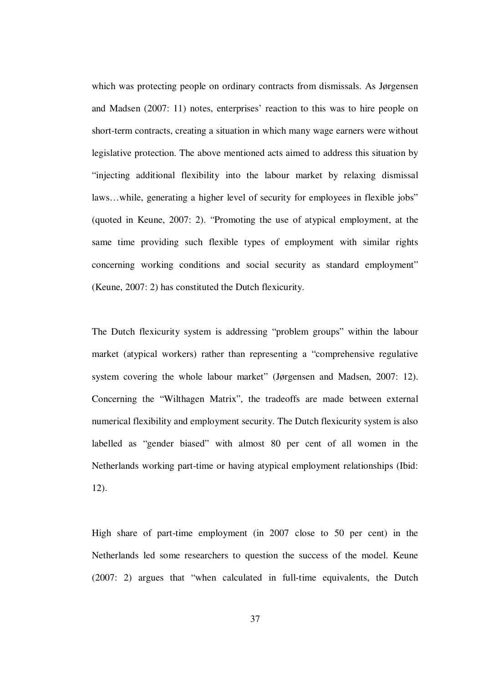which was protecting people on ordinary contracts from dismissals. As Jørgensen and Madsen (2007: 11) notes, enterprises' reaction to this was to hire people on short-term contracts, creating a situation in which many wage earners were without legislative protection. The above mentioned acts aimed to address this situation by "injecting additional flexibility into the labour market by relaxing dismissal laws…while, generating a higher level of security for employees in flexible jobs" (quoted in Keune, 2007: 2). "Promoting the use of atypical employment, at the same time providing such flexible types of employment with similar rights concerning working conditions and social security as standard employment" (Keune, 2007: 2) has constituted the Dutch flexicurity.

The Dutch flexicurity system is addressing "problem groups" within the labour market (atypical workers) rather than representing a "comprehensive regulative system covering the whole labour market" (Jørgensen and Madsen, 2007: 12). Concerning the "Wilthagen Matrix", the tradeoffs are made between external numerical flexibility and employment security. The Dutch flexicurity system is also labelled as "gender biased" with almost 80 per cent of all women in the Netherlands working part-time or having atypical employment relationships (Ibid: 12).

High share of part-time employment (in 2007 close to 50 per cent) in the Netherlands led some researchers to question the success of the model. Keune (2007: 2) argues that "when calculated in full-time equivalents, the Dutch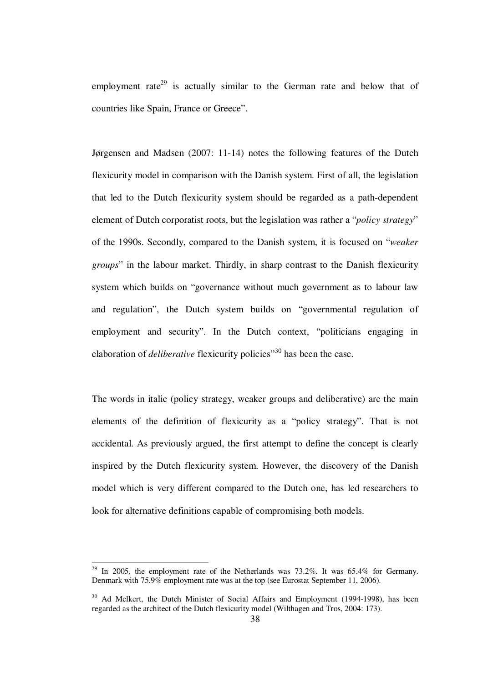employment rate<sup>29</sup> is actually similar to the German rate and below that of countries like Spain, France or Greece".

Jørgensen and Madsen (2007: 11-14) notes the following features of the Dutch flexicurity model in comparison with the Danish system. First of all, the legislation that led to the Dutch flexicurity system should be regarded as a path-dependent element of Dutch corporatist roots, but the legislation was rather a "*policy strategy*" of the 1990s. Secondly, compared to the Danish system, it is focused on "*weaker groups*" in the labour market. Thirdly, in sharp contrast to the Danish flexicurity system which builds on "governance without much government as to labour law and regulation", the Dutch system builds on "governmental regulation of employment and security". In the Dutch context, "politicians engaging in elaboration of *deliberative* flexicurity policies<sup>"30</sup> has been the case.

The words in italic (policy strategy, weaker groups and deliberative) are the main elements of the definition of flexicurity as a "policy strategy". That is not accidental. As previously argued, the first attempt to define the concept is clearly inspired by the Dutch flexicurity system. However, the discovery of the Danish model which is very different compared to the Dutch one, has led researchers to look for alternative definitions capable of compromising both models.

<sup>&</sup>lt;sup>29</sup> In 2005, the employment rate of the Netherlands was  $73.2\%$ . It was  $65.4\%$  for Germany. Denmark with 75.9% employment rate was at the top (see Eurostat September 11, 2006).

<sup>&</sup>lt;sup>30</sup> Ad Melkert, the Dutch Minister of Social Affairs and Employment (1994-1998), has been regarded as the architect of the Dutch flexicurity model (Wilthagen and Tros, 2004: 173).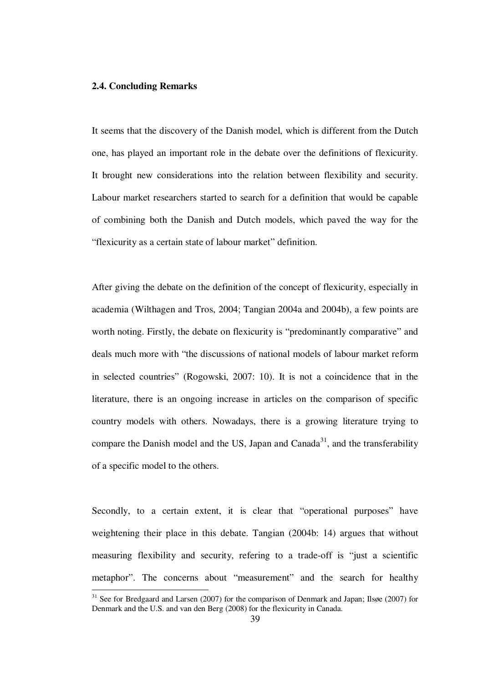#### **2.4. Concluding Remarks**

1

It seems that the discovery of the Danish model, which is different from the Dutch one, has played an important role in the debate over the definitions of flexicurity. It brought new considerations into the relation between flexibility and security. Labour market researchers started to search for a definition that would be capable of combining both the Danish and Dutch models, which paved the way for the "flexicurity as a certain state of labour market" definition.

After giving the debate on the definition of the concept of flexicurity, especially in academia (Wilthagen and Tros, 2004; Tangian 2004a and 2004b), a few points are worth noting. Firstly, the debate on flexicurity is "predominantly comparative" and deals much more with "the discussions of national models of labour market reform in selected countries" (Rogowski, 2007: 10). It is not a coincidence that in the literature, there is an ongoing increase in articles on the comparison of specific country models with others. Nowadays, there is a growing literature trying to compare the Danish model and the US, Japan and Canada<sup>31</sup>, and the transferability of a specific model to the others.

Secondly, to a certain extent, it is clear that "operational purposes" have weightening their place in this debate. Tangian (2004b: 14) argues that without measuring flexibility and security, refering to a trade-off is "just a scientific metaphor". The concerns about "measurement" and the search for healthy

 $31$  See for Bredgaard and Larsen (2007) for the comparison of Denmark and Japan; Ilsøe (2007) for Denmark and the U.S. and van den Berg (2008) for the flexicurity in Canada.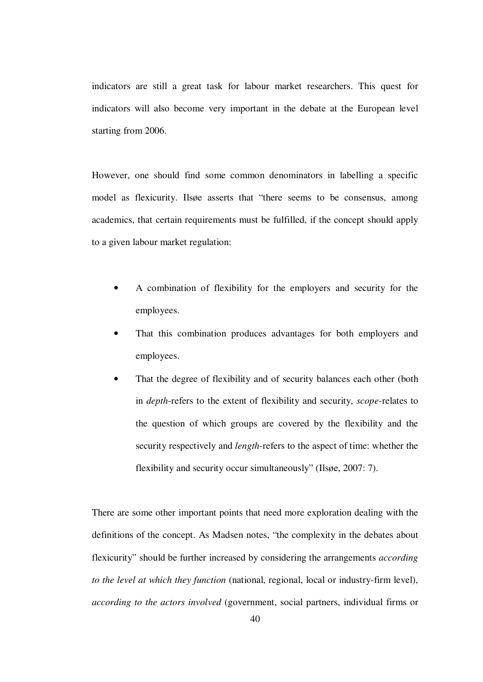indicators are still a great task for labour market researchers. This quest for indicators will also become very important in the debate at the European level starting from 2006.

However, one should find some common denominators in labelling a specific model as flexicurity. Ilsøe asserts that "there seems to be consensus, among academics, that certain requirements must be fulfilled, if the concept should apply to a given labour market regulation:

- A combination of flexibility for the employers and security for the employees.
- That this combination produces advantages for both employers and employees.
- That the degree of flexibility and of security balances each other (both in *depth*-refers to the extent of flexibility and security, *scope*-relates to the question of which groups are covered by the flexibility and the security respectively and *length*-refers to the aspect of time: whether the flexibility and security occur simultaneously" (Ilsøe, 2007: 7).

There are some other important points that need more exploration dealing with the definitions of the concept. As Madsen notes, "the complexity in the debates about flexicurity" should be further increased by considering the arrangements *according to the level at which they function* (national, regional, local or industry-firm level), *according to the actors involved* (government, social partners, individual firms or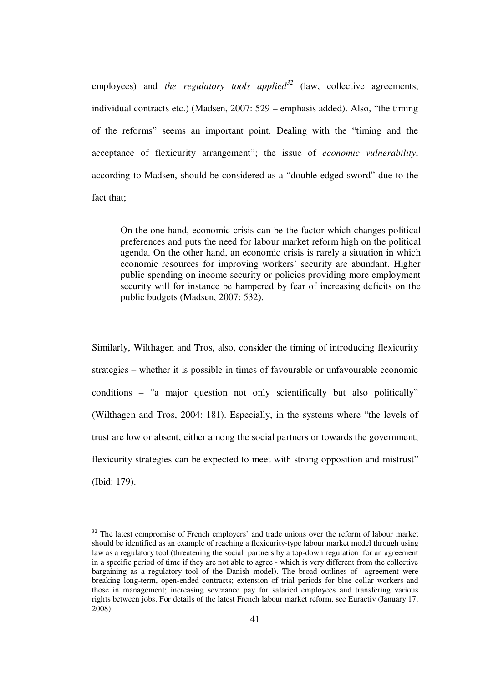employees) and *the regulatory tools applied*<sup>32</sup> (law, collective agreements, individual contracts etc.) (Madsen, 2007: 529 – emphasis added). Also, "the timing of the reforms" seems an important point. Dealing with the "timing and the acceptance of flexicurity arrangement"; the issue of *economic vulnerability*, according to Madsen, should be considered as a "double-edged sword" due to the fact that;

On the one hand, economic crisis can be the factor which changes political preferences and puts the need for labour market reform high on the political agenda. On the other hand, an economic crisis is rarely a situation in which economic resources for improving workers' security are abundant. Higher public spending on income security or policies providing more employment security will for instance be hampered by fear of increasing deficits on the public budgets (Madsen, 2007: 532).

Similarly, Wilthagen and Tros, also, consider the timing of introducing flexicurity strategies – whether it is possible in times of favourable or unfavourable economic conditions – "a major question not only scientifically but also politically" (Wilthagen and Tros, 2004: 181). Especially, in the systems where "the levels of trust are low or absent, either among the social partners or towards the government, flexicurity strategies can be expected to meet with strong opposition and mistrust" (Ibid: 179).

 $32$  The latest compromise of French employers' and trade unions over the reform of labour market should be identified as an example of reaching a flexicurity-type labour market model through using law as a regulatory tool (threatening the social partners by a top-down regulation for an agreement in a specific period of time if they are not able to agree - which is very different from the collective bargaining as a regulatory tool of the Danish model). The broad outlines of agreement were breaking long-term, open-ended contracts; extension of trial periods for blue collar workers and those in management; increasing severance pay for salaried employees and transfering various rights between jobs. For details of the latest French labour market reform, see Euractiv (January 17, 2008)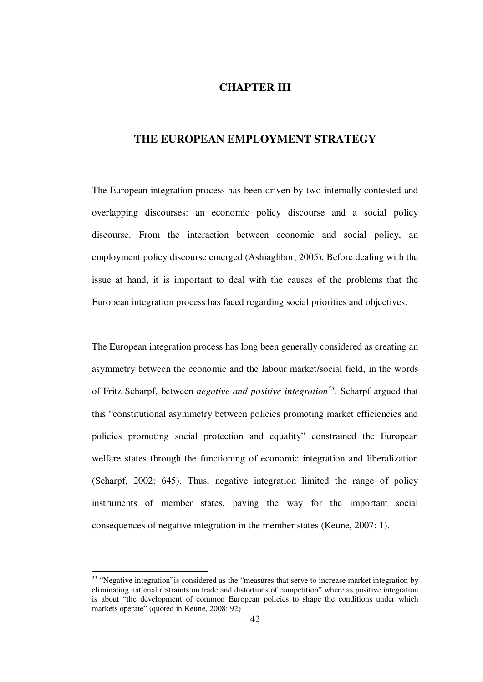## **CHAPTER III**

## **THE EUROPEAN EMPLOYMENT STRATEGY**

The European integration process has been driven by two internally contested and overlapping discourses: an economic policy discourse and a social policy discourse. From the interaction between economic and social policy, an employment policy discourse emerged (Ashiaghbor, 2005). Before dealing with the issue at hand, it is important to deal with the causes of the problems that the European integration process has faced regarding social priorities and objectives.

The European integration process has long been generally considered as creating an asymmetry between the economic and the labour market/social field, in the words of Fritz Scharpf, between *negative and positive integration<sup>33</sup>*. Scharpf argued that this "constitutional asymmetry between policies promoting market efficiencies and policies promoting social protection and equality" constrained the European welfare states through the functioning of economic integration and liberalization (Scharpf, 2002: 645). Thus, negative integration limited the range of policy instruments of member states, paving the way for the important social consequences of negative integration in the member states (Keune, 2007: 1).

 $33$  "Negative integration" is considered as the "measures that serve to increase market integration by eliminating national restraints on trade and distortions of competition" where as positive integration is about "the development of common European policies to shape the conditions under which markets operate" (quoted in Keune, 2008: 92)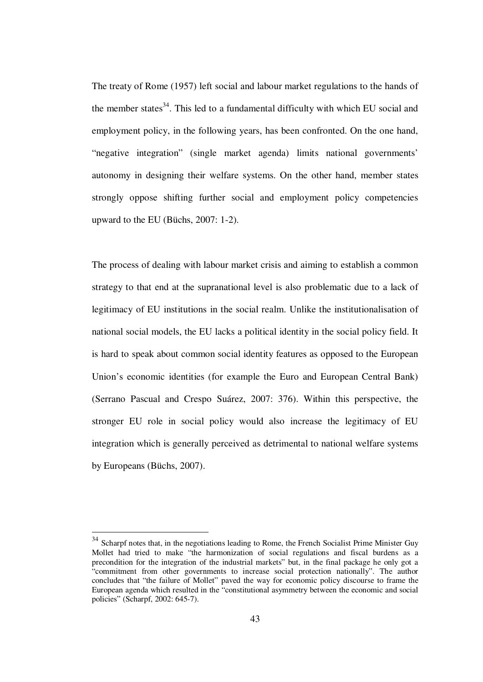The treaty of Rome (1957) left social and labour market regulations to the hands of the member states $34$ . This led to a fundamental difficulty with which EU social and employment policy, in the following years, has been confronted. On the one hand, "negative integration" (single market agenda) limits national governments' autonomy in designing their welfare systems. On the other hand, member states strongly oppose shifting further social and employment policy competencies upward to the EU (Büchs, 2007: 1-2).

The process of dealing with labour market crisis and aiming to establish a common strategy to that end at the supranational level is also problematic due to a lack of legitimacy of EU institutions in the social realm. Unlike the institutionalisation of national social models, the EU lacks a political identity in the social policy field. It is hard to speak about common social identity features as opposed to the European Union's economic identities (for example the Euro and European Central Bank) (Serrano Pascual and Crespo Suárez, 2007: 376). Within this perspective, the stronger EU role in social policy would also increase the legitimacy of EU integration which is generally perceived as detrimental to national welfare systems by Europeans (Büchs, 2007).

 $34$  Scharpf notes that, in the negotiations leading to Rome, the French Socialist Prime Minister Guy Mollet had tried to make "the harmonization of social regulations and fiscal burdens as a precondition for the integration of the industrial markets" but, in the final package he only got a "commitment from other governments to increase social protection nationally". The author concludes that "the failure of Mollet" paved the way for economic policy discourse to frame the European agenda which resulted in the "constitutional asymmetry between the economic and social policies" (Scharpf, 2002: 645-7).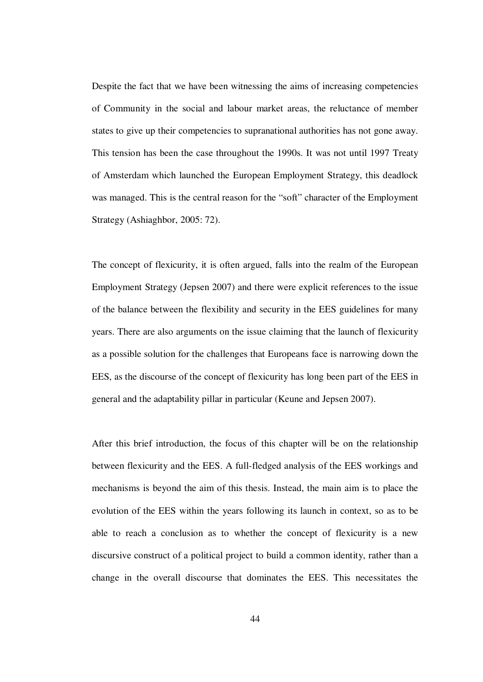Despite the fact that we have been witnessing the aims of increasing competencies of Community in the social and labour market areas, the reluctance of member states to give up their competencies to supranational authorities has not gone away. This tension has been the case throughout the 1990s. It was not until 1997 Treaty of Amsterdam which launched the European Employment Strategy, this deadlock was managed. This is the central reason for the "soft" character of the Employment Strategy (Ashiaghbor, 2005: 72).

The concept of flexicurity, it is often argued, falls into the realm of the European Employment Strategy (Jepsen 2007) and there were explicit references to the issue of the balance between the flexibility and security in the EES guidelines for many years. There are also arguments on the issue claiming that the launch of flexicurity as a possible solution for the challenges that Europeans face is narrowing down the EES, as the discourse of the concept of flexicurity has long been part of the EES in general and the adaptability pillar in particular (Keune and Jepsen 2007).

After this brief introduction, the focus of this chapter will be on the relationship between flexicurity and the EES. A full-fledged analysis of the EES workings and mechanisms is beyond the aim of this thesis. Instead, the main aim is to place the evolution of the EES within the years following its launch in context, so as to be able to reach a conclusion as to whether the concept of flexicurity is a new discursive construct of a political project to build a common identity, rather than a change in the overall discourse that dominates the EES. This necessitates the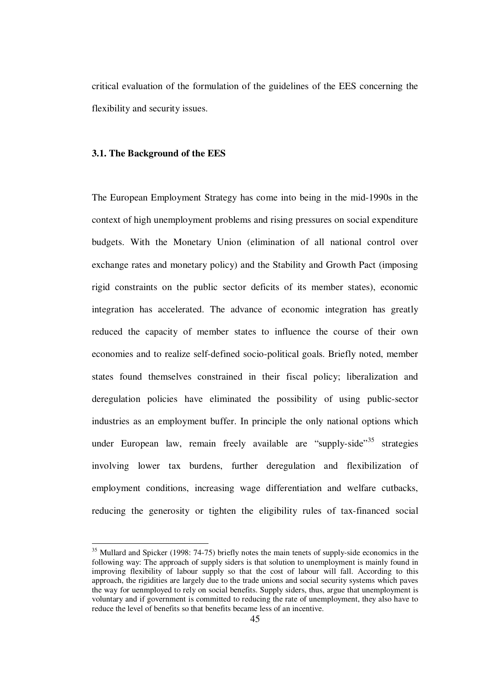critical evaluation of the formulation of the guidelines of the EES concerning the flexibility and security issues.

#### **3.1. The Background of the EES**

<u>.</u>

The European Employment Strategy has come into being in the mid-1990s in the context of high unemployment problems and rising pressures on social expenditure budgets. With the Monetary Union (elimination of all national control over exchange rates and monetary policy) and the Stability and Growth Pact (imposing rigid constraints on the public sector deficits of its member states), economic integration has accelerated. The advance of economic integration has greatly reduced the capacity of member states to influence the course of their own economies and to realize self-defined socio-political goals. Briefly noted, member states found themselves constrained in their fiscal policy; liberalization and deregulation policies have eliminated the possibility of using public-sector industries as an employment buffer. In principle the only national options which under European law, remain freely available are "supply-side"<sup>35</sup> strategies involving lower tax burdens, further deregulation and flexibilization of employment conditions, increasing wage differentiation and welfare cutbacks, reducing the generosity or tighten the eligibility rules of tax-financed social

<sup>&</sup>lt;sup>35</sup> Mullard and Spicker (1998: 74-75) briefly notes the main tenets of supply-side economics in the following way: The approach of supply siders is that solution to unemployment is mainly found in improving flexibility of labour supply so that the cost of labour will fall. According to this approach, the rigidities are largely due to the trade unions and social security systems which paves the way for uenmployed to rely on social benefits. Supply siders, thus, argue that unemployment is voluntary and if government is committed to reducing the rate of unemployment, they also have to reduce the level of benefits so that benefits became less of an incentive.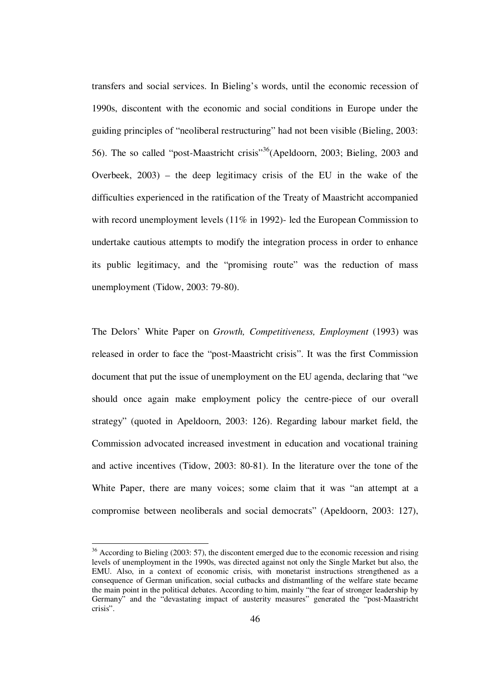transfers and social services. In Bieling's words, until the economic recession of 1990s, discontent with the economic and social conditions in Europe under the guiding principles of "neoliberal restructuring" had not been visible (Bieling, 2003: 56). The so called "post-Maastricht crisis"<sup>36</sup>(Apeldoorn, 2003; Bieling, 2003 and Overbeek, 2003) – the deep legitimacy crisis of the EU in the wake of the difficulties experienced in the ratification of the Treaty of Maastricht accompanied with record unemployment levels (11% in 1992)- led the European Commission to undertake cautious attempts to modify the integration process in order to enhance its public legitimacy, and the "promising route" was the reduction of mass unemployment (Tidow, 2003: 79-80).

The Delors' White Paper on *Growth, Competitiveness, Employment* (1993) was released in order to face the "post-Maastricht crisis". It was the first Commission document that put the issue of unemployment on the EU agenda, declaring that "we should once again make employment policy the centre-piece of our overall strategy" (quoted in Apeldoorn, 2003: 126). Regarding labour market field, the Commission advocated increased investment in education and vocational training and active incentives (Tidow, 2003: 80-81). In the literature over the tone of the White Paper, there are many voices; some claim that it was "an attempt at a compromise between neoliberals and social democrats" (Apeldoorn, 2003: 127),

<sup>&</sup>lt;sup>36</sup> According to Bieling (2003: 57), the discontent emerged due to the economic recession and rising levels of unemployment in the 1990s, was directed against not only the Single Market but also, the EMU. Also, in a context of economic crisis, with monetarist instructions strengthened as a consequence of German unification, social cutbacks and distmantling of the welfare state became the main point in the political debates. According to him, mainly "the fear of stronger leadership by Germany" and the "devastating impact of austerity measures" generated the "post-Maastricht crisis".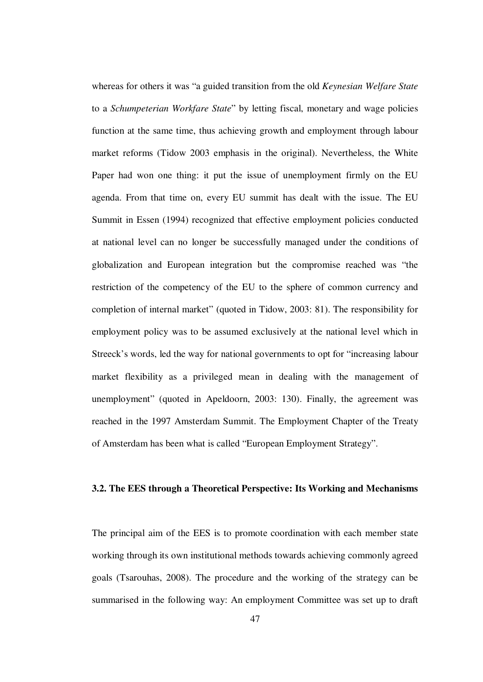whereas for others it was "a guided transition from the old *Keynesian Welfare State* to a *Schumpeterian Workfare State*" by letting fiscal, monetary and wage policies function at the same time, thus achieving growth and employment through labour market reforms (Tidow 2003 emphasis in the original). Nevertheless, the White Paper had won one thing: it put the issue of unemployment firmly on the EU agenda. From that time on, every EU summit has dealt with the issue. The EU Summit in Essen (1994) recognized that effective employment policies conducted at national level can no longer be successfully managed under the conditions of globalization and European integration but the compromise reached was "the restriction of the competency of the EU to the sphere of common currency and completion of internal market" (quoted in Tidow, 2003: 81). The responsibility for employment policy was to be assumed exclusively at the national level which in Streeck's words, led the way for national governments to opt for "increasing labour market flexibility as a privileged mean in dealing with the management of unemployment" (quoted in Apeldoorn, 2003: 130). Finally, the agreement was reached in the 1997 Amsterdam Summit. The Employment Chapter of the Treaty of Amsterdam has been what is called "European Employment Strategy".

## **3.2. The EES through a Theoretical Perspective: Its Working and Mechanisms**

The principal aim of the EES is to promote coordination with each member state working through its own institutional methods towards achieving commonly agreed goals (Tsarouhas, 2008). The procedure and the working of the strategy can be summarised in the following way: An employment Committee was set up to draft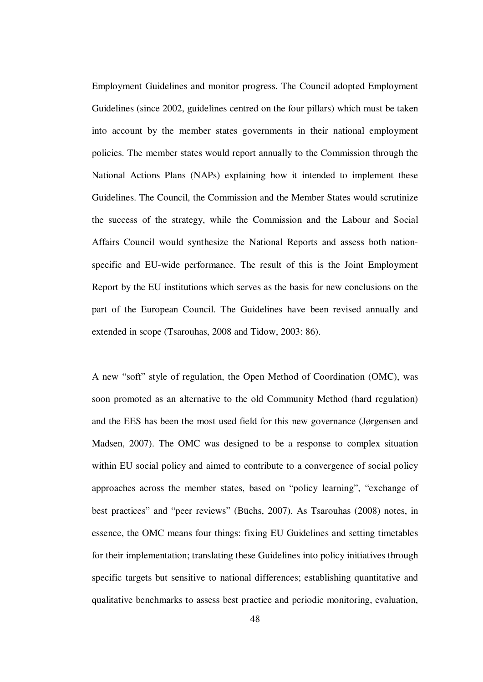Employment Guidelines and monitor progress. The Council adopted Employment Guidelines (since 2002, guidelines centred on the four pillars) which must be taken into account by the member states governments in their national employment policies. The member states would report annually to the Commission through the National Actions Plans (NAPs) explaining how it intended to implement these Guidelines. The Council, the Commission and the Member States would scrutinize the success of the strategy, while the Commission and the Labour and Social Affairs Council would synthesize the National Reports and assess both nationspecific and EU-wide performance. The result of this is the Joint Employment Report by the EU institutions which serves as the basis for new conclusions on the part of the European Council. The Guidelines have been revised annually and extended in scope (Tsarouhas, 2008 and Tidow, 2003: 86).

A new "soft" style of regulation, the Open Method of Coordination (OMC), was soon promoted as an alternative to the old Community Method (hard regulation) and the EES has been the most used field for this new governance (Jørgensen and Madsen, 2007). The OMC was designed to be a response to complex situation within EU social policy and aimed to contribute to a convergence of social policy approaches across the member states, based on "policy learning", "exchange of best practices" and "peer reviews" (Büchs, 2007). As Tsarouhas (2008) notes, in essence, the OMC means four things: fixing EU Guidelines and setting timetables for their implementation; translating these Guidelines into policy initiatives through specific targets but sensitive to national differences; establishing quantitative and qualitative benchmarks to assess best practice and periodic monitoring, evaluation,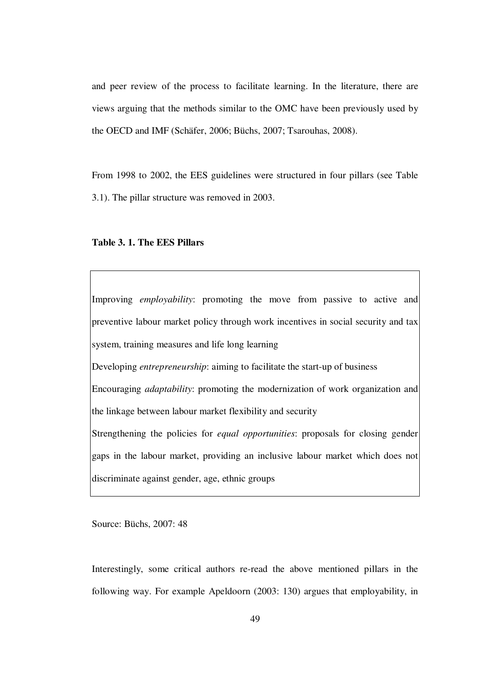and peer review of the process to facilitate learning. In the literature, there are views arguing that the methods similar to the OMC have been previously used by the OECD and IMF (Schäfer, 2006; Büchs, 2007; Tsarouhas, 2008).

From 1998 to 2002, the EES guidelines were structured in four pillars (see Table 3.1). The pillar structure was removed in 2003.

#### **Table 3. 1. The EES Pillars**

Improving *employability*: promoting the move from passive to active and preventive labour market policy through work incentives in social security and tax system, training measures and life long learning Developing *entrepreneurship*: aiming to facilitate the start-up of business Encouraging *adaptability*: promoting the modernization of work organization and the linkage between labour market flexibility and security Strengthening the policies for *equal opportunities*: proposals for closing gender gaps in the labour market, providing an inclusive labour market which does not discriminate against gender, age, ethnic groups

Source: Büchs, 2007: 48

Interestingly, some critical authors re-read the above mentioned pillars in the following way. For example Apeldoorn (2003: 130) argues that employability, in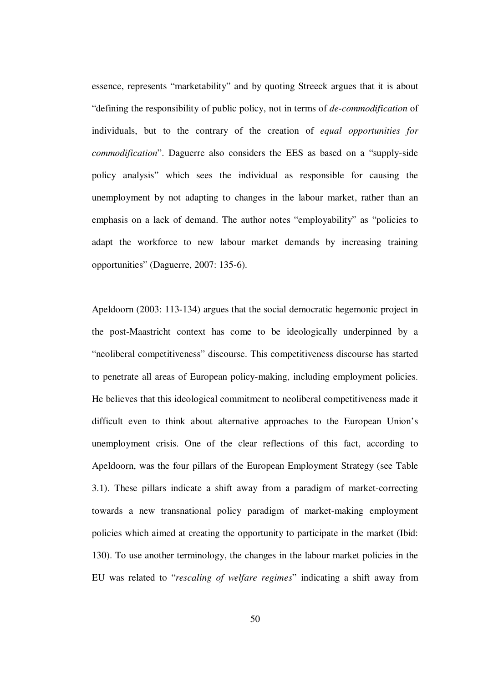essence, represents "marketability" and by quoting Streeck argues that it is about "defining the responsibility of public policy, not in terms of *de-commodification* of individuals, but to the contrary of the creation of *equal opportunities for commodification*". Daguerre also considers the EES as based on a "supply-side policy analysis" which sees the individual as responsible for causing the unemployment by not adapting to changes in the labour market, rather than an emphasis on a lack of demand. The author notes "employability" as "policies to adapt the workforce to new labour market demands by increasing training opportunities" (Daguerre, 2007: 135-6).

Apeldoorn (2003: 113-134) argues that the social democratic hegemonic project in the post-Maastricht context has come to be ideologically underpinned by a "neoliberal competitiveness" discourse. This competitiveness discourse has started to penetrate all areas of European policy-making, including employment policies. He believes that this ideological commitment to neoliberal competitiveness made it difficult even to think about alternative approaches to the European Union's unemployment crisis. One of the clear reflections of this fact, according to Apeldoorn, was the four pillars of the European Employment Strategy (see Table 3.1). These pillars indicate a shift away from a paradigm of market-correcting towards a new transnational policy paradigm of market-making employment policies which aimed at creating the opportunity to participate in the market (Ibid: 130). To use another terminology, the changes in the labour market policies in the EU was related to "*rescaling of welfare regimes*" indicating a shift away from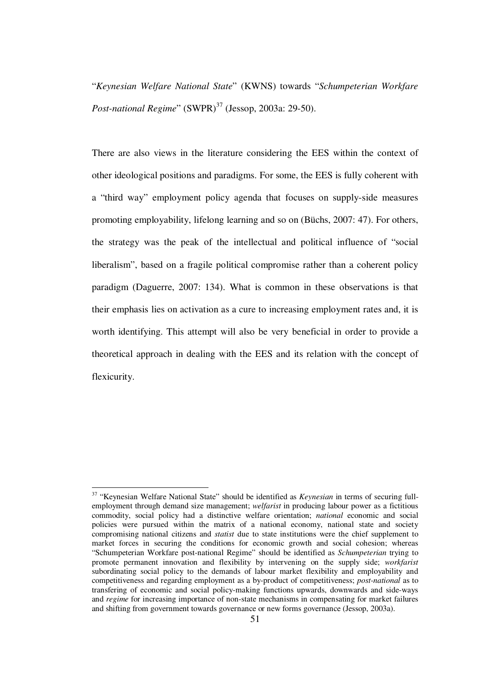"*Keynesian Welfare National State*" (KWNS) towards "*Schumpeterian Workfare Post-national Regime*" (SWPR)<sup>37</sup> (Jessop, 2003a: 29-50).

There are also views in the literature considering the EES within the context of other ideological positions and paradigms. For some, the EES is fully coherent with a "third way" employment policy agenda that focuses on supply-side measures promoting employability, lifelong learning and so on (Büchs, 2007: 47). For others, the strategy was the peak of the intellectual and political influence of "social liberalism", based on a fragile political compromise rather than a coherent policy paradigm (Daguerre, 2007: 134). What is common in these observations is that their emphasis lies on activation as a cure to increasing employment rates and, it is worth identifying. This attempt will also be very beneficial in order to provide a theoretical approach in dealing with the EES and its relation with the concept of flexicurity.

<sup>37</sup> "Keynesian Welfare National State" should be identified as *Keynesian* in terms of securing fullemployment through demand size management; *welfarist* in producing labour power as a fictitious commodity, social policy had a distinctive welfare orientation; *national* economic and social policies were pursued within the matrix of a national economy, national state and society compromising national citizens and *statist* due to state institutions were the chief supplement to market forces in securing the conditions for economic growth and social cohesion; whereas "Schumpeterian Workfare post-national Regime" should be identified as *Schumpeterian* trying to promote permanent innovation and flexibility by intervening on the supply side; *workfarist* subordinating social policy to the demands of labour market flexibility and employability and competitiveness and regarding employment as a by-product of competitiveness; *post-national* as to transfering of economic and social policy-making functions upwards, downwards and side-ways and *regime* for increasing importance of non-state mechanisms in compensating for market failures and shifting from government towards governance or new forms governance (Jessop, 2003a).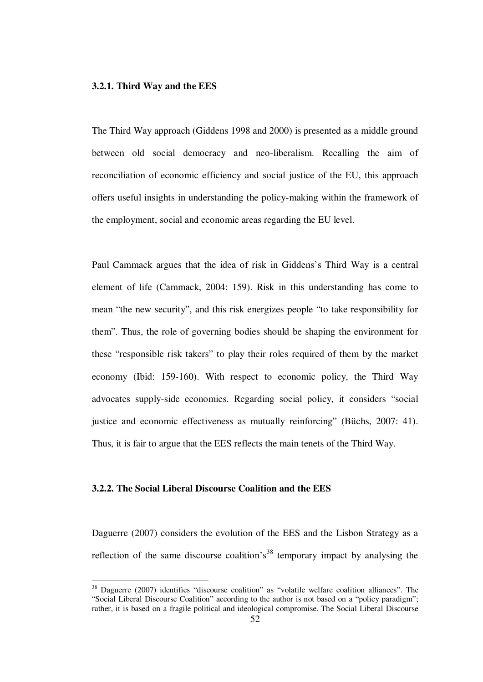### **3.2.1. Third Way and the EES**

The Third Way approach (Giddens 1998 and 2000) is presented as a middle ground between old social democracy and neo-liberalism. Recalling the aim of reconciliation of economic efficiency and social justice of the EU, this approach offers useful insights in understanding the policy-making within the framework of the employment, social and economic areas regarding the EU level.

Paul Cammack argues that the idea of risk in Giddens's Third Way is a central element of life (Cammack, 2004: 159). Risk in this understanding has come to mean "the new security", and this risk energizes people "to take responsibility for them". Thus, the role of governing bodies should be shaping the environment for these "responsible risk takers" to play their roles required of them by the market economy (Ibid: 159-160). With respect to economic policy, the Third Way advocates supply-side economics. Regarding social policy, it considers "social justice and economic effectiveness as mutually reinforcing" (Büchs, 2007: 41). Thus, it is fair to argue that the EES reflects the main tenets of the Third Way.

## **3.2.2. The Social Liberal Discourse Coalition and the EES**

<u>.</u>

Daguerre (2007) considers the evolution of the EES and the Lisbon Strategy as a reflection of the same discourse coalition's<sup>38</sup> temporary impact by analysing the

<sup>&</sup>lt;sup>38</sup> Daguerre (2007) identifies "discourse coalition" as "volatile welfare coalition alliances". The "Social Liberal Discourse Coalition" according to the author is not based on a "policy paradigm"; rather, it is based on a fragile political and ideological compromise. The Social Liberal Discourse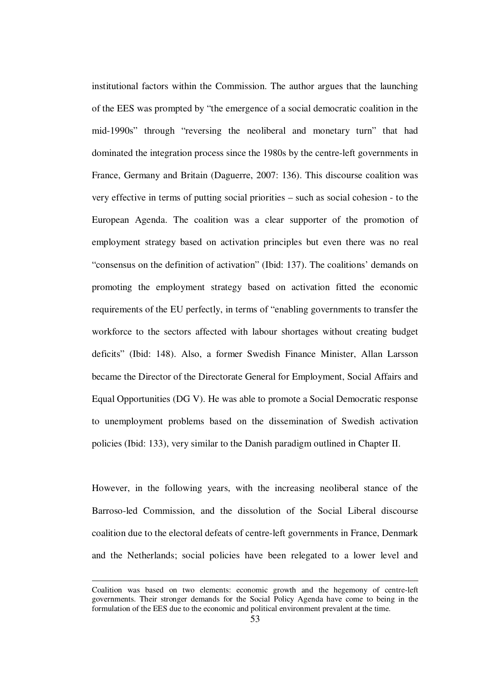institutional factors within the Commission. The author argues that the launching of the EES was prompted by "the emergence of a social democratic coalition in the mid-1990s" through "reversing the neoliberal and monetary turn" that had dominated the integration process since the 1980s by the centre-left governments in France, Germany and Britain (Daguerre, 2007: 136). This discourse coalition was very effective in terms of putting social priorities – such as social cohesion - to the European Agenda. The coalition was a clear supporter of the promotion of employment strategy based on activation principles but even there was no real "consensus on the definition of activation" (Ibid: 137). The coalitions' demands on promoting the employment strategy based on activation fitted the economic requirements of the EU perfectly, in terms of "enabling governments to transfer the workforce to the sectors affected with labour shortages without creating budget deficits" (Ibid: 148). Also, a former Swedish Finance Minister, Allan Larsson became the Director of the Directorate General for Employment, Social Affairs and Equal Opportunities (DG V). He was able to promote a Social Democratic response to unemployment problems based on the dissemination of Swedish activation policies (Ibid: 133), very similar to the Danish paradigm outlined in Chapter II.

However, in the following years, with the increasing neoliberal stance of the Barroso-led Commission, and the dissolution of the Social Liberal discourse coalition due to the electoral defeats of centre-left governments in France, Denmark and the Netherlands; social policies have been relegated to a lower level and

Coalition was based on two elements: economic growth and the hegemony of centre-left governments. Their stronger demands for the Social Policy Agenda have come to being in the formulation of the EES due to the economic and political environment prevalent at the time.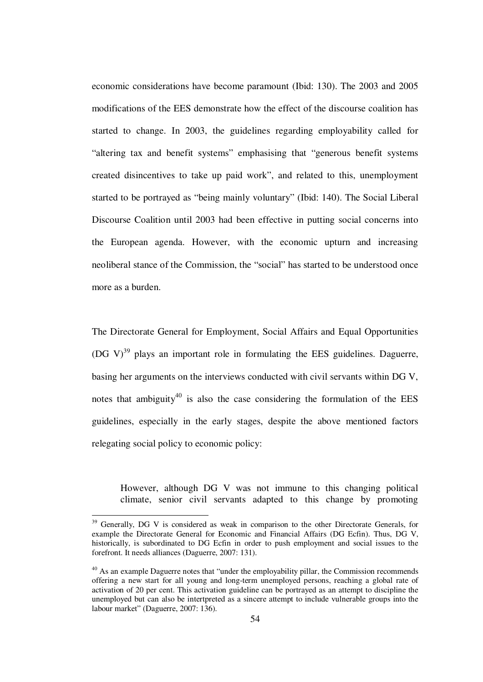economic considerations have become paramount (Ibid: 130). The 2003 and 2005 modifications of the EES demonstrate how the effect of the discourse coalition has started to change. In 2003, the guidelines regarding employability called for "altering tax and benefit systems" emphasising that "generous benefit systems created disincentives to take up paid work", and related to this, unemployment started to be portrayed as "being mainly voluntary" (Ibid: 140). The Social Liberal Discourse Coalition until 2003 had been effective in putting social concerns into the European agenda. However, with the economic upturn and increasing neoliberal stance of the Commission, the "social" has started to be understood once more as a burden.

The Directorate General for Employment, Social Affairs and Equal Opportunities (DG V) $^{39}$  plays an important role in formulating the EES guidelines. Daguerre, basing her arguments on the interviews conducted with civil servants within DG V, notes that ambiguity<sup>40</sup> is also the case considering the formulation of the EES guidelines, especially in the early stages, despite the above mentioned factors relegating social policy to economic policy:

However, although DG V was not immune to this changing political climate, senior civil servants adapted to this change by promoting

<sup>&</sup>lt;sup>39</sup> Generally, DG V is considered as weak in comparison to the other Directorate Generals, for example the Directorate General for Economic and Financial Affairs (DG Ecfin). Thus, DG V, historically, is subordinated to DG Ecfin in order to push employment and social issues to the forefront. It needs alliances (Daguerre, 2007: 131).

<sup>&</sup>lt;sup>40</sup> As an example Daguerre notes that "under the employability pillar, the Commission recommends offering a new start for all young and long-term unemployed persons, reaching a global rate of activation of 20 per cent. This activation guideline can be portrayed as an attempt to discipline the unemployed but can also be intertpreted as a sincere attempt to include vulnerable groups into the labour market" (Daguerre, 2007: 136).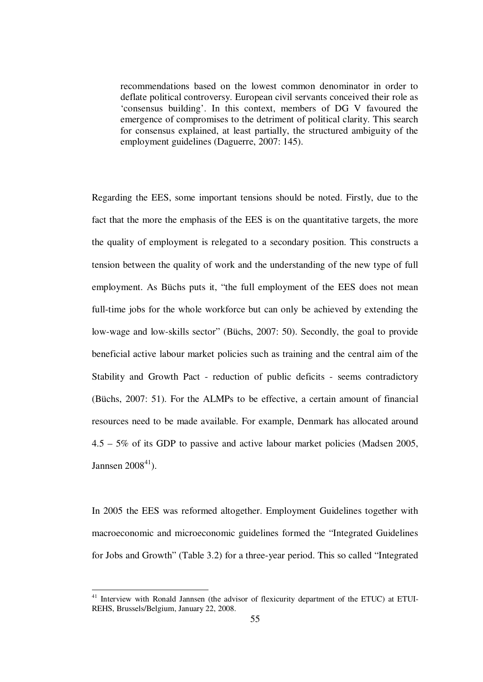recommendations based on the lowest common denominator in order to deflate political controversy. European civil servants conceived their role as 'consensus building'. In this context, members of DG V favoured the emergence of compromises to the detriment of political clarity. This search for consensus explained, at least partially, the structured ambiguity of the employment guidelines (Daguerre, 2007: 145).

Regarding the EES, some important tensions should be noted. Firstly, due to the fact that the more the emphasis of the EES is on the quantitative targets, the more the quality of employment is relegated to a secondary position. This constructs a tension between the quality of work and the understanding of the new type of full employment. As Büchs puts it, "the full employment of the EES does not mean full-time jobs for the whole workforce but can only be achieved by extending the low-wage and low-skills sector" (Büchs, 2007: 50). Secondly, the goal to provide beneficial active labour market policies such as training and the central aim of the Stability and Growth Pact - reduction of public deficits - seems contradictory (Büchs, 2007: 51). For the ALMPs to be effective, a certain amount of financial resources need to be made available. For example, Denmark has allocated around 4.5 – 5% of its GDP to passive and active labour market policies (Madsen 2005, Jannsen  $2008<sup>41</sup>$ ).

In 2005 the EES was reformed altogether. Employment Guidelines together with macroeconomic and microeconomic guidelines formed the "Integrated Guidelines for Jobs and Growth" (Table 3.2) for a three-year period. This so called "Integrated

<sup>&</sup>lt;sup>41</sup> Interview with Ronald Jannsen (the advisor of flexicurity department of the ETUC) at ETUI-REHS, Brussels/Belgium, January 22, 2008.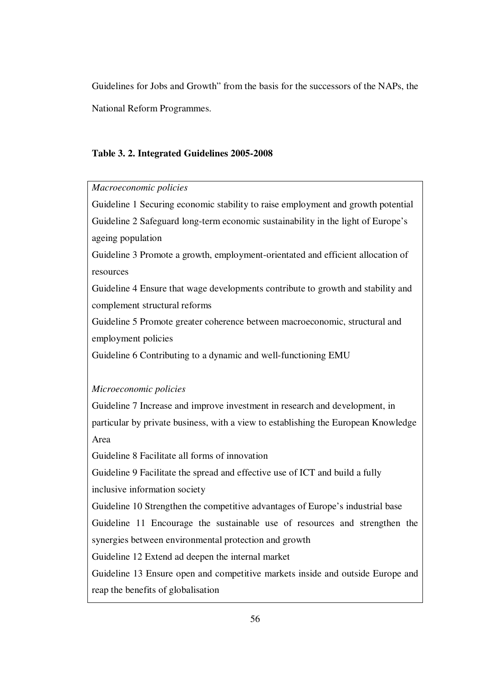Guidelines for Jobs and Growth" from the basis for the successors of the NAPs, the National Reform Programmes.

## **Table 3. 2. Integrated Guidelines 2005-2008**

## *Macroeconomic policies*

Guideline 1 Securing economic stability to raise employment and growth potential Guideline 2 Safeguard long-term economic sustainability in the light of Europe's ageing population

Guideline 3 Promote a growth, employment-orientated and efficient allocation of resources

Guideline 4 Ensure that wage developments contribute to growth and stability and complement structural reforms

Guideline 5 Promote greater coherence between macroeconomic, structural and employment policies

Guideline 6 Contributing to a dynamic and well-functioning EMU

# *Microeconomic policies*

Guideline 7 Increase and improve investment in research and development, in particular by private business, with a view to establishing the European Knowledge Area

Guideline 8 Facilitate all forms of innovation

Guideline 9 Facilitate the spread and effective use of ICT and build a fully inclusive information society

Guideline 10 Strengthen the competitive advantages of Europe's industrial base Guideline 11 Encourage the sustainable use of resources and strengthen the synergies between environmental protection and growth

Guideline 12 Extend ad deepen the internal market

Guideline 13 Ensure open and competitive markets inside and outside Europe and reap the benefits of globalisation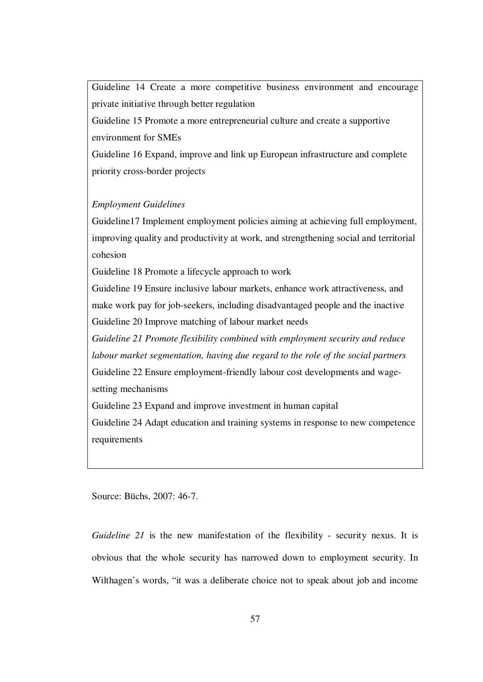Guideline 14 Create a more competitive business environment and encourage private initiative through better regulation Guideline 15 Promote a more entrepreneurial culture and create a supportive environment for SMEs Guideline 16 Expand, improve and link up European infrastructure and complete priority cross-border projects

## *Employment Guidelines*

Guideline17 Implement employment policies aiming at achieving full employment, improving quality and productivity at work, and strengthening social and territorial cohesion

Guideline 18 Promote a lifecycle approach to work

Guideline 19 Ensure inclusive labour markets, enhance work attractiveness, and make work pay for job-seekers, including disadvantaged people and the inactive Guideline 20 Improve matching of labour market needs

*Guideline 21 Promote flexibility combined with employment security and reduce labour market segmentation, having due regard to the role of the social partners* Guideline 22 Ensure employment-friendly labour cost developments and wagesetting mechanisms

Guideline 23 Expand and improve investment in human capital

Guideline 24 Adapt education and training systems in response to new competence requirements

Source: Büchs, 2007: 46-7.

*Guideline 21* is the new manifestation of the flexibility - security nexus. It is obvious that the whole security has narrowed down to employment security. In Wilthagen's words, "it was a deliberate choice not to speak about job and income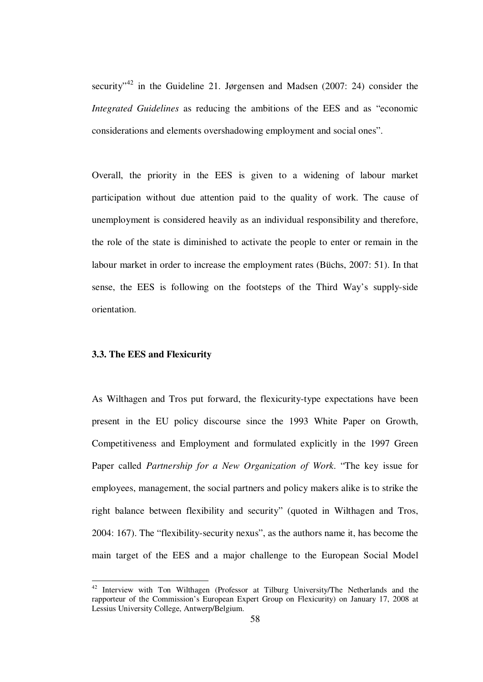security<sup> $2^{3}$ </sup> in the Guideline 21. Jørgensen and Madsen (2007: 24) consider the *Integrated Guidelines* as reducing the ambitions of the EES and as "economic considerations and elements overshadowing employment and social ones".

Overall, the priority in the EES is given to a widening of labour market participation without due attention paid to the quality of work. The cause of unemployment is considered heavily as an individual responsibility and therefore, the role of the state is diminished to activate the people to enter or remain in the labour market in order to increase the employment rates (Büchs, 2007: 51). In that sense, the EES is following on the footsteps of the Third Way's supply-side orientation.

## **3.3. The EES and Flexicurity**

<u>.</u>

As Wilthagen and Tros put forward, the flexicurity-type expectations have been present in the EU policy discourse since the 1993 White Paper on Growth, Competitiveness and Employment and formulated explicitly in the 1997 Green Paper called *Partnership for a New Organization of Work*. "The key issue for employees, management, the social partners and policy makers alike is to strike the right balance between flexibility and security" (quoted in Wilthagen and Tros, 2004: 167). The "flexibility-security nexus", as the authors name it, has become the main target of the EES and a major challenge to the European Social Model

<sup>&</sup>lt;sup>42</sup> Interview with Ton Wilthagen (Professor at Tilburg University/The Netherlands and the rapporteur of the Commission's European Expert Group on Flexicurity) on January 17, 2008 at Lessius University College, Antwerp/Belgium.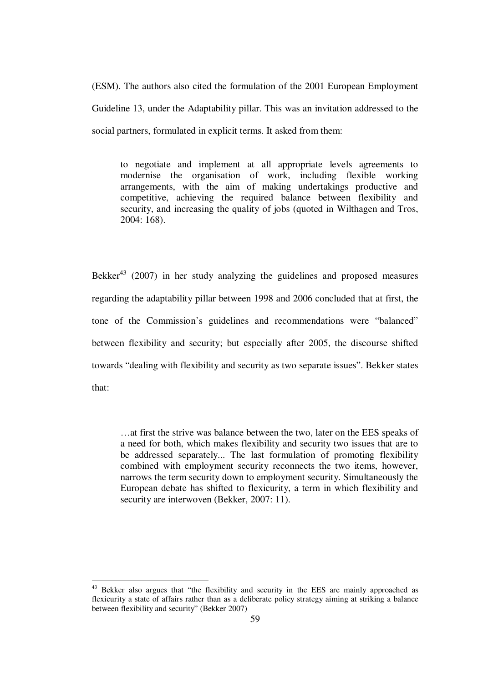(ESM). The authors also cited the formulation of the 2001 European Employment Guideline 13, under the Adaptability pillar. This was an invitation addressed to the social partners, formulated in explicit terms. It asked from them:

to negotiate and implement at all appropriate levels agreements to modernise the organisation of work, including flexible working arrangements, with the aim of making undertakings productive and competitive, achieving the required balance between flexibility and security, and increasing the quality of jobs (quoted in Wilthagen and Tros, 2004: 168).

Bekker<sup>43</sup> (2007) in her study analyzing the guidelines and proposed measures regarding the adaptability pillar between 1998 and 2006 concluded that at first, the tone of the Commission's guidelines and recommendations were "balanced" between flexibility and security; but especially after 2005, the discourse shifted towards "dealing with flexibility and security as two separate issues". Bekker states that:

…at first the strive was balance between the two, later on the EES speaks of a need for both, which makes flexibility and security two issues that are to be addressed separately... The last formulation of promoting flexibility combined with employment security reconnects the two items, however, narrows the term security down to employment security. Simultaneously the European debate has shifted to flexicurity, a term in which flexibility and security are interwoven (Bekker, 2007: 11).

<sup>&</sup>lt;sup>43</sup> Bekker also argues that "the flexibility and security in the EES are mainly approached as flexicurity a state of affairs rather than as a deliberate policy strategy aiming at striking a balance between flexibility and security" (Bekker 2007)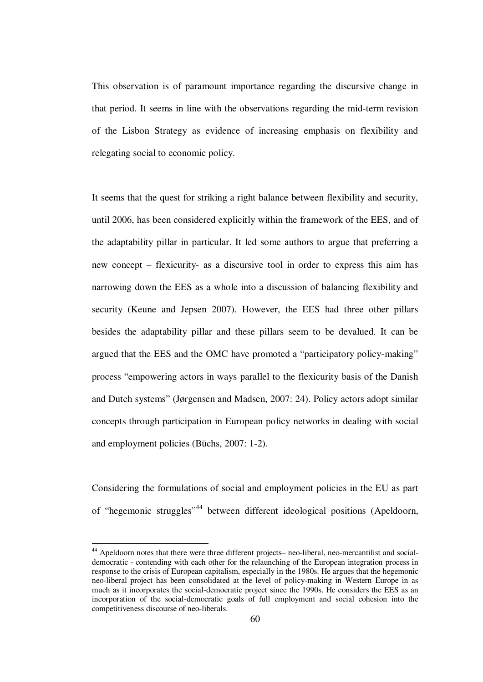This observation is of paramount importance regarding the discursive change in that period. It seems in line with the observations regarding the mid-term revision of the Lisbon Strategy as evidence of increasing emphasis on flexibility and relegating social to economic policy.

It seems that the quest for striking a right balance between flexibility and security, until 2006, has been considered explicitly within the framework of the EES, and of the adaptability pillar in particular. It led some authors to argue that preferring a new concept – flexicurity- as a discursive tool in order to express this aim has narrowing down the EES as a whole into a discussion of balancing flexibility and security (Keune and Jepsen 2007). However, the EES had three other pillars besides the adaptability pillar and these pillars seem to be devalued. It can be argued that the EES and the OMC have promoted a "participatory policy-making" process "empowering actors in ways parallel to the flexicurity basis of the Danish and Dutch systems" (Jørgensen and Madsen, 2007: 24). Policy actors adopt similar concepts through participation in European policy networks in dealing with social and employment policies (Büchs, 2007: 1-2).

Considering the formulations of social and employment policies in the EU as part of "hegemonic struggles"<sup>44</sup> between different ideological positions (Apeldoorn,

<sup>44</sup> Apeldoorn notes that there were three different projects– neo-liberal, neo-mercantilist and socialdemocratic - contending with each other for the relaunching of the European integration process in response to the crisis of European capitalism, especially in the 1980s. He argues that the hegemonic neo-liberal project has been consolidated at the level of policy-making in Western Europe in as much as it incorporates the social-democratic project since the 1990s. He considers the EES as an incorporation of the social-democratic goals of full employment and social cohesion into the competitiveness discourse of neo-liberals.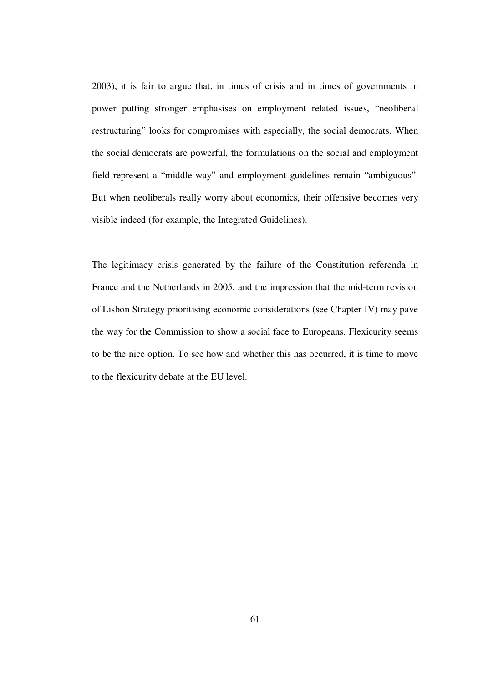2003), it is fair to argue that, in times of crisis and in times of governments in power putting stronger emphasises on employment related issues, "neoliberal restructuring" looks for compromises with especially, the social democrats. When the social democrats are powerful, the formulations on the social and employment field represent a "middle-way" and employment guidelines remain "ambiguous". But when neoliberals really worry about economics, their offensive becomes very visible indeed (for example, the Integrated Guidelines).

The legitimacy crisis generated by the failure of the Constitution referenda in France and the Netherlands in 2005, and the impression that the mid-term revision of Lisbon Strategy prioritising economic considerations (see Chapter IV) may pave the way for the Commission to show a social face to Europeans. Flexicurity seems to be the nice option. To see how and whether this has occurred, it is time to move to the flexicurity debate at the EU level.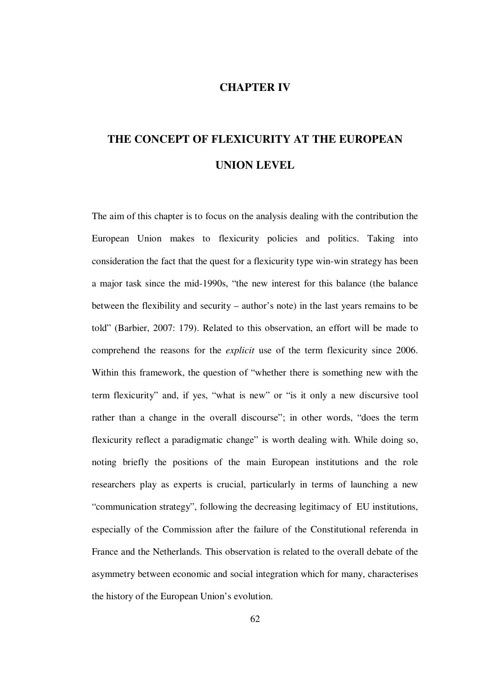# **CHAPTER IV**

# **THE CONCEPT OF FLEXICURITY AT THE EUROPEAN UNION LEVEL**

The aim of this chapter is to focus on the analysis dealing with the contribution the European Union makes to flexicurity policies and politics. Taking into consideration the fact that the quest for a flexicurity type win-win strategy has been a major task since the mid-1990s, "the new interest for this balance (the balance between the flexibility and security – author's note) in the last years remains to be told" (Barbier, 2007: 179). Related to this observation, an effort will be made to comprehend the reasons for the *explicit* use of the term flexicurity since 2006. Within this framework, the question of "whether there is something new with the term flexicurity" and, if yes, "what is new" or "is it only a new discursive tool rather than a change in the overall discourse"; in other words, "does the term flexicurity reflect a paradigmatic change" is worth dealing with. While doing so, noting briefly the positions of the main European institutions and the role researchers play as experts is crucial, particularly in terms of launching a new "communication strategy", following the decreasing legitimacy of EU institutions, especially of the Commission after the failure of the Constitutional referenda in France and the Netherlands. This observation is related to the overall debate of the asymmetry between economic and social integration which for many, characterises the history of the European Union's evolution.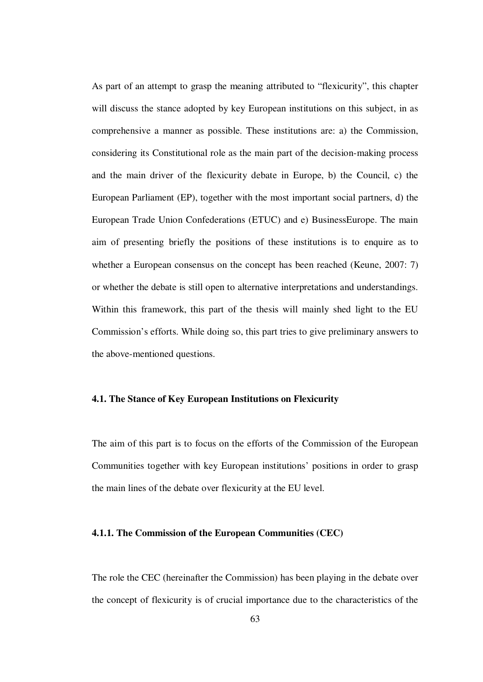As part of an attempt to grasp the meaning attributed to "flexicurity", this chapter will discuss the stance adopted by key European institutions on this subject, in as comprehensive a manner as possible. These institutions are: a) the Commission, considering its Constitutional role as the main part of the decision-making process and the main driver of the flexicurity debate in Europe, b) the Council, c) the European Parliament (EP), together with the most important social partners, d) the European Trade Union Confederations (ETUC) and e) BusinessEurope. The main aim of presenting briefly the positions of these institutions is to enquire as to whether a European consensus on the concept has been reached (Keune, 2007: 7) or whether the debate is still open to alternative interpretations and understandings. Within this framework, this part of the thesis will mainly shed light to the EU Commission's efforts. While doing so, this part tries to give preliminary answers to the above-mentioned questions.

## **4.1. The Stance of Key European Institutions on Flexicurity**

The aim of this part is to focus on the efforts of the Commission of the European Communities together with key European institutions' positions in order to grasp the main lines of the debate over flexicurity at the EU level.

### **4.1.1. The Commission of the European Communities (CEC)**

The role the CEC (hereinafter the Commission) has been playing in the debate over the concept of flexicurity is of crucial importance due to the characteristics of the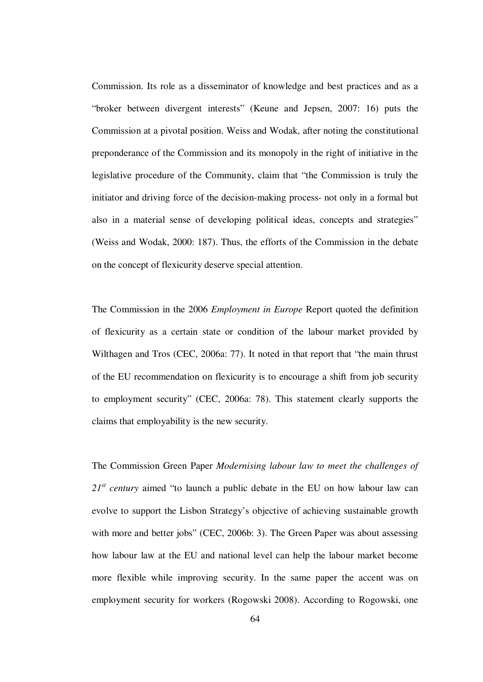Commission. Its role as a disseminator of knowledge and best practices and as a "broker between divergent interests" (Keune and Jepsen, 2007: 16) puts the Commission at a pivotal position. Weiss and Wodak, after noting the constitutional preponderance of the Commission and its monopoly in the right of initiative in the legislative procedure of the Community, claim that "the Commission is truly the initiator and driving force of the decision-making process- not only in a formal but also in a material sense of developing political ideas, concepts and strategies" (Weiss and Wodak, 2000: 187). Thus, the efforts of the Commission in the debate on the concept of flexicurity deserve special attention.

The Commission in the 2006 *Employment in Europe* Report quoted the definition of flexicurity as a certain state or condition of the labour market provided by Wilthagen and Tros (CEC, 2006a: 77). It noted in that report that "the main thrust of the EU recommendation on flexicurity is to encourage a shift from job security to employment security" (CEC, 2006a: 78). This statement clearly supports the claims that employability is the new security.

The Commission Green Paper *Modernising labour law to meet the challenges of*   $21<sup>st</sup>$  *century* aimed "to launch a public debate in the EU on how labour law can evolve to support the Lisbon Strategy's objective of achieving sustainable growth with more and better jobs" (CEC, 2006b: 3). The Green Paper was about assessing how labour law at the EU and national level can help the labour market become more flexible while improving security. In the same paper the accent was on employment security for workers (Rogowski 2008). According to Rogowski, one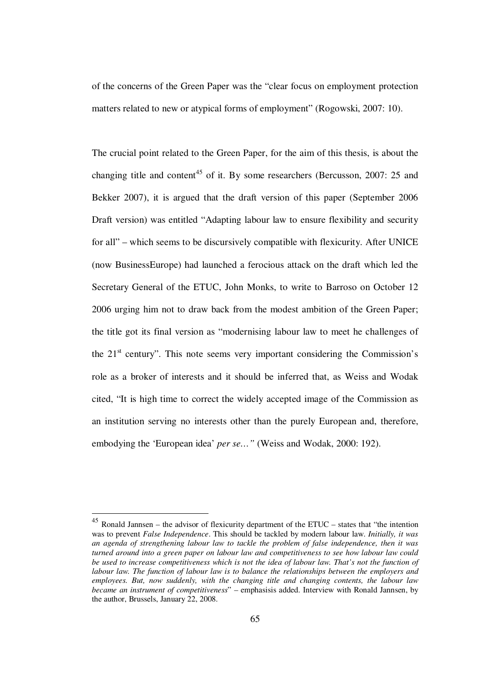of the concerns of the Green Paper was the "clear focus on employment protection matters related to new or atypical forms of employment" (Rogowski, 2007: 10).

The crucial point related to the Green Paper, for the aim of this thesis, is about the changing title and content<sup>45</sup> of it. By some researchers (Bercusson, 2007: 25 and Bekker 2007), it is argued that the draft version of this paper (September 2006 Draft version) was entitled "Adapting labour law to ensure flexibility and security for all" – which seems to be discursively compatible with flexicurity. After UNICE (now BusinessEurope) had launched a ferocious attack on the draft which led the Secretary General of the ETUC, John Monks, to write to Barroso on October 12 2006 urging him not to draw back from the modest ambition of the Green Paper; the title got its final version as "modernising labour law to meet he challenges of the  $21<sup>st</sup>$  century". This note seems very important considering the Commission's role as a broker of interests and it should be inferred that, as Weiss and Wodak cited, "It is high time to correct the widely accepted image of the Commission as an institution serving no interests other than the purely European and, therefore, embodying the 'European idea' *per se…"* (Weiss and Wodak, 2000: 192).

 $45$  Ronald Jannsen – the advisor of flexicurity department of the ETUC – states that "the intention" was to prevent *False Independence*. This should be tackled by modern labour law. *Initially, it was an agenda of strengthening labour law to tackle the problem of false independence, then it was turned around into a green paper on labour law and competitiveness to see how labour law could be used to increase competitiveness which is not the idea of labour law. That's not the function of labour law. The function of labour law is to balance the relationships between the employers and employees. But, now suddenly, with the changing title and changing contents, the labour law became an instrument of competitiveness*" – emphasisis added. Interview with Ronald Jannsen, by the author, Brussels, January 22, 2008.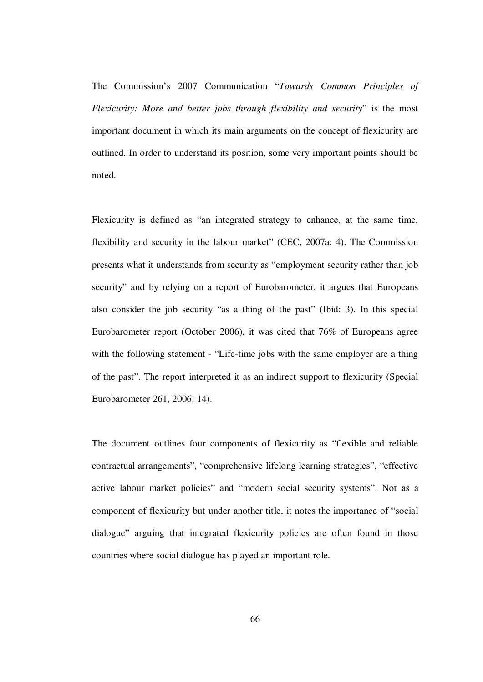The Commission's 2007 Communication "*Towards Common Principles of Flexicurity: More and better jobs through flexibility and security*" is the most important document in which its main arguments on the concept of flexicurity are outlined. In order to understand its position, some very important points should be noted.

Flexicurity is defined as "an integrated strategy to enhance, at the same time, flexibility and security in the labour market" (CEC, 2007a: 4). The Commission presents what it understands from security as "employment security rather than job security" and by relying on a report of Eurobarometer, it argues that Europeans also consider the job security "as a thing of the past" (Ibid: 3). In this special Eurobarometer report (October 2006), it was cited that 76% of Europeans agree with the following statement - "Life-time jobs with the same employer are a thing of the past". The report interpreted it as an indirect support to flexicurity (Special Eurobarometer 261, 2006: 14).

The document outlines four components of flexicurity as "flexible and reliable contractual arrangements", "comprehensive lifelong learning strategies", "effective active labour market policies" and "modern social security systems". Not as a component of flexicurity but under another title, it notes the importance of "social dialogue" arguing that integrated flexicurity policies are often found in those countries where social dialogue has played an important role.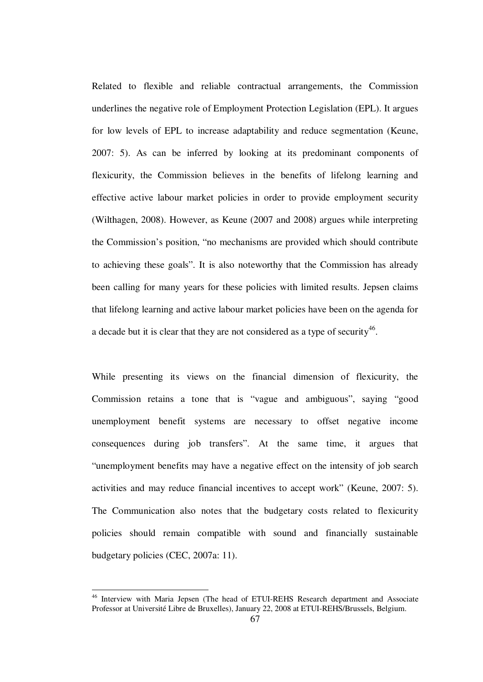Related to flexible and reliable contractual arrangements, the Commission underlines the negative role of Employment Protection Legislation (EPL). It argues for low levels of EPL to increase adaptability and reduce segmentation (Keune, 2007: 5). As can be inferred by looking at its predominant components of flexicurity, the Commission believes in the benefits of lifelong learning and effective active labour market policies in order to provide employment security (Wilthagen, 2008). However, as Keune (2007 and 2008) argues while interpreting the Commission's position, "no mechanisms are provided which should contribute to achieving these goals". It is also noteworthy that the Commission has already been calling for many years for these policies with limited results. Jepsen claims that lifelong learning and active labour market policies have been on the agenda for a decade but it is clear that they are not considered as a type of security<sup>46</sup>.

While presenting its views on the financial dimension of flexicurity, the Commission retains a tone that is "vague and ambiguous", saying "good unemployment benefit systems are necessary to offset negative income consequences during job transfers". At the same time, it argues that "unemployment benefits may have a negative effect on the intensity of job search activities and may reduce financial incentives to accept work" (Keune, 2007: 5). The Communication also notes that the budgetary costs related to flexicurity policies should remain compatible with sound and financially sustainable budgetary policies (CEC, 2007a: 11).

<sup>&</sup>lt;sup>46</sup> Interview with Maria Jepsen (The head of ETUI-REHS Research department and Associate Professor at Université Libre de Bruxelles), January 22, 2008 at ETUI-REHS/Brussels, Belgium.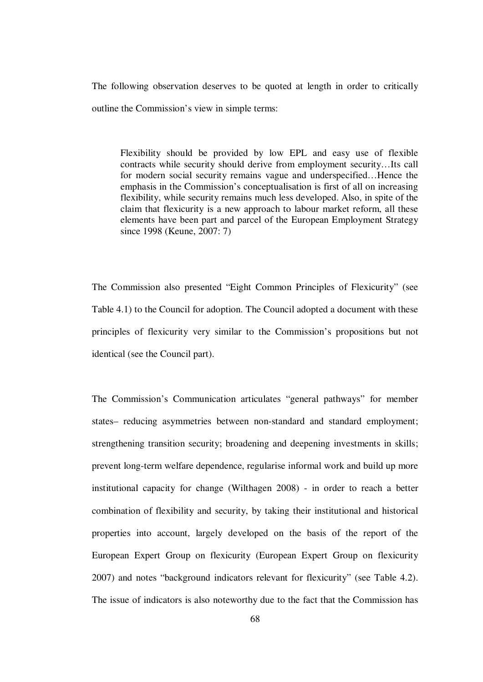The following observation deserves to be quoted at length in order to critically outline the Commission's view in simple terms:

Flexibility should be provided by low EPL and easy use of flexible contracts while security should derive from employment security…Its call for modern social security remains vague and underspecified…Hence the emphasis in the Commission's conceptualisation is first of all on increasing flexibility, while security remains much less developed. Also, in spite of the claim that flexicurity is a new approach to labour market reform, all these elements have been part and parcel of the European Employment Strategy since 1998 (Keune, 2007: 7)

The Commission also presented "Eight Common Principles of Flexicurity" (see Table 4.1) to the Council for adoption. The Council adopted a document with these principles of flexicurity very similar to the Commission's propositions but not identical (see the Council part).

The Commission's Communication articulates "general pathways" for member states– reducing asymmetries between non-standard and standard employment; strengthening transition security; broadening and deepening investments in skills; prevent long-term welfare dependence, regularise informal work and build up more institutional capacity for change (Wilthagen 2008) - in order to reach a better combination of flexibility and security, by taking their institutional and historical properties into account, largely developed on the basis of the report of the European Expert Group on flexicurity (European Expert Group on flexicurity 2007) and notes "background indicators relevant for flexicurity" (see Table 4.2). The issue of indicators is also noteworthy due to the fact that the Commission has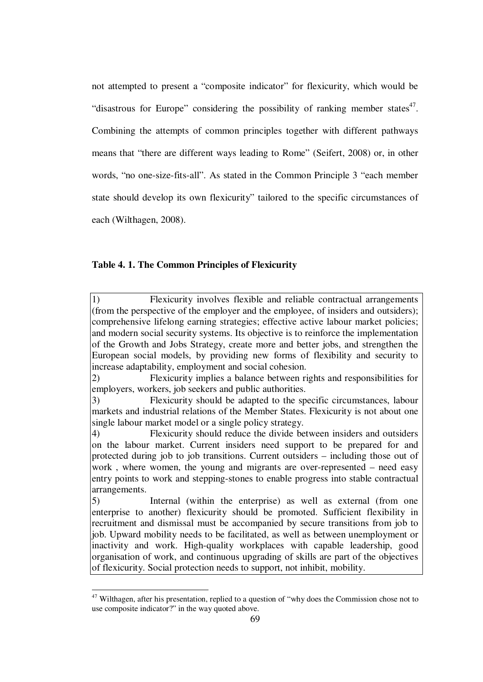not attempted to present a "composite indicator" for flexicurity, which would be "disastrous for Europe" considering the possibility of ranking member states $47$ . Combining the attempts of common principles together with different pathways means that "there are different ways leading to Rome" (Seifert, 2008) or, in other words, "no one-size-fits-all". As stated in the Common Principle 3 "each member state should develop its own flexicurity" tailored to the specific circumstances of each (Wilthagen, 2008).

## **Table 4. 1. The Common Principles of Flexicurity**

1) Flexicurity involves flexible and reliable contractual arrangements (from the perspective of the employer and the employee, of insiders and outsiders); comprehensive lifelong earning strategies; effective active labour market policies; and modern social security systems. Its objective is to reinforce the implementation of the Growth and Jobs Strategy, create more and better jobs, and strengthen the European social models, by providing new forms of flexibility and security to increase adaptability, employment and social cohesion.

2) Flexicurity implies a balance between rights and responsibilities for employers, workers, job seekers and public authorities.

5) Internal (within the enterprise) as well as external (from one enterprise to another) flexicurity should be promoted. Sufficient flexibility in recruitment and dismissal must be accompanied by secure transitions from job to job. Upward mobility needs to be facilitated, as well as between unemployment or inactivity and work. High-quality workplaces with capable leadership, good organisation of work, and continuous upgrading of skills are part of the objectives of flexicurity. Social protection needs to support, not inhibit, mobility.

<sup>3)</sup> Flexicurity should be adapted to the specific circumstances, labour markets and industrial relations of the Member States. Flexicurity is not about one single labour market model or a single policy strategy.

<sup>4)</sup> Flexicurity should reduce the divide between insiders and outsiders on the labour market. Current insiders need support to be prepared for and protected during job to job transitions. Current outsiders – including those out of work , where women, the young and migrants are over-represented – need easy entry points to work and stepping-stones to enable progress into stable contractual arrangements.

 $47$  Wilthagen, after his presentation, replied to a question of "why does the Commission chose not to use composite indicator?" in the way quoted above.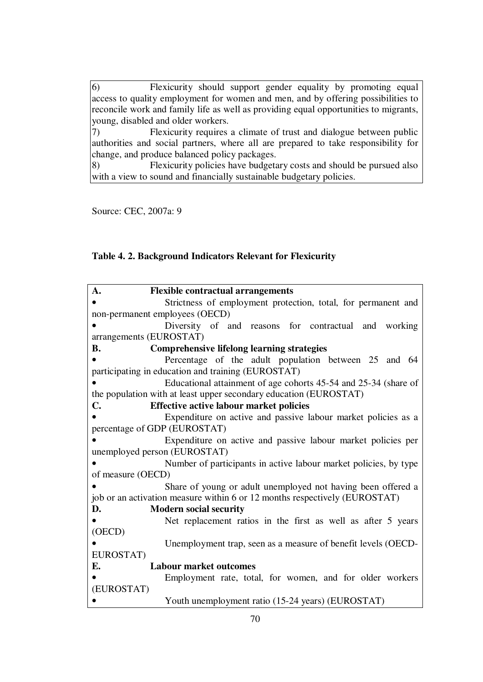6) Flexicurity should support gender equality by promoting equal access to quality employment for women and men, and by offering possibilities to reconcile work and family life as well as providing equal opportunities to migrants, young, disabled and older workers.<br>
7) Flexicurity requires Flexicurity requires a climate of trust and dialogue between public authorities and social partners, where all are prepared to take responsibility for change, and produce balanced policy packages. 8) Flexicurity policies have budgetary costs and should be pursued also with a view to sound and financially sustainable budgetary policies.

Source: CEC, 2007a: 9

# **Table 4. 2. Background Indicators Relevant for Flexicurity**

| A.                                                                         | <b>Flexible contractual arrangements</b>                         |  |  |  |  |
|----------------------------------------------------------------------------|------------------------------------------------------------------|--|--|--|--|
|                                                                            | Strictness of employment protection, total, for permanent and    |  |  |  |  |
| non-permanent employees (OECD)                                             |                                                                  |  |  |  |  |
|                                                                            | Diversity of and reasons for contractual and working             |  |  |  |  |
| arrangements (EUROSTAT)                                                    |                                                                  |  |  |  |  |
| <b>B.</b>                                                                  | <b>Comprehensive lifelong learning strategies</b>                |  |  |  |  |
|                                                                            | Percentage of the adult population between 25 and 64             |  |  |  |  |
| participating in education and training (EUROSTAT)                         |                                                                  |  |  |  |  |
|                                                                            | Educational attainment of age cohorts 45-54 and 25-34 (share of  |  |  |  |  |
| the population with at least upper secondary education (EUROSTAT)          |                                                                  |  |  |  |  |
| <b>C.</b>                                                                  | <b>Effective active labour market policies</b>                   |  |  |  |  |
|                                                                            | Expenditure on active and passive labour market policies as a    |  |  |  |  |
| percentage of GDP (EUROSTAT)                                               |                                                                  |  |  |  |  |
|                                                                            | Expenditure on active and passive labour market policies per     |  |  |  |  |
| unemployed person (EUROSTAT)                                               |                                                                  |  |  |  |  |
|                                                                            | Number of participants in active labour market policies, by type |  |  |  |  |
| of measure (OECD)                                                          |                                                                  |  |  |  |  |
|                                                                            | Share of young or adult unemployed not having been offered a     |  |  |  |  |
| job or an activation measure within 6 or 12 months respectively (EUROSTAT) |                                                                  |  |  |  |  |
| D.                                                                         | <b>Modern social security</b>                                    |  |  |  |  |
|                                                                            | Net replacement ratios in the first as well as after 5 years     |  |  |  |  |
| (OECD)                                                                     |                                                                  |  |  |  |  |
|                                                                            | Unemployment trap, seen as a measure of benefit levels (OECD-    |  |  |  |  |
| EUROSTAT)                                                                  |                                                                  |  |  |  |  |
| Е.                                                                         | <b>Labour market outcomes</b>                                    |  |  |  |  |
|                                                                            | Employment rate, total, for women, and for older workers         |  |  |  |  |
| (EUROSTAT)                                                                 |                                                                  |  |  |  |  |
|                                                                            | Youth unemployment ratio (15-24 years) (EUROSTAT)                |  |  |  |  |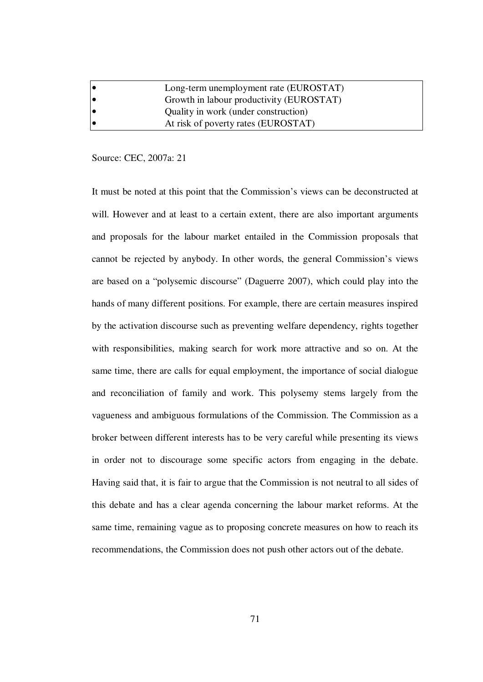|    | Long-term unemployment rate (EUROSTAT)   |
|----|------------------------------------------|
| 10 | Growth in labour productivity (EUROSTAT) |
| 10 | Quality in work (under construction)     |
| 10 | At risk of poverty rates (EUROSTAT)      |

## Source: CEC, 2007a: 21

It must be noted at this point that the Commission's views can be deconstructed at will. However and at least to a certain extent, there are also important arguments and proposals for the labour market entailed in the Commission proposals that cannot be rejected by anybody. In other words, the general Commission's views are based on a "polysemic discourse" (Daguerre 2007), which could play into the hands of many different positions. For example, there are certain measures inspired by the activation discourse such as preventing welfare dependency, rights together with responsibilities, making search for work more attractive and so on. At the same time, there are calls for equal employment, the importance of social dialogue and reconciliation of family and work. This polysemy stems largely from the vagueness and ambiguous formulations of the Commission. The Commission as a broker between different interests has to be very careful while presenting its views in order not to discourage some specific actors from engaging in the debate. Having said that, it is fair to argue that the Commission is not neutral to all sides of this debate and has a clear agenda concerning the labour market reforms. At the same time, remaining vague as to proposing concrete measures on how to reach its recommendations, the Commission does not push other actors out of the debate.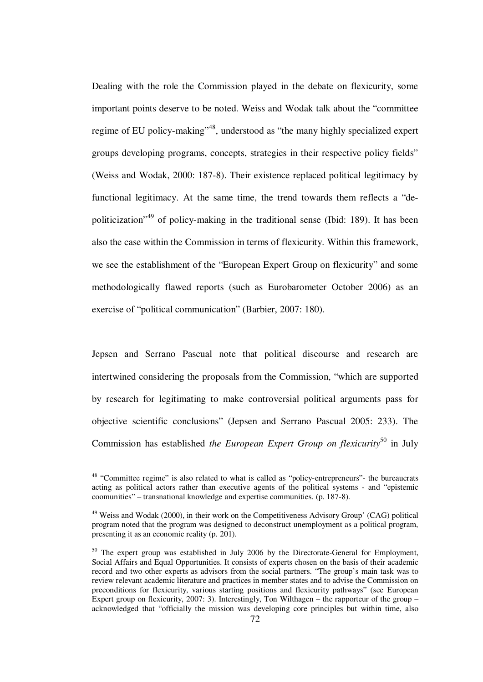Dealing with the role the Commission played in the debate on flexicurity, some important points deserve to be noted. Weiss and Wodak talk about the "committee regime of EU policy-making"<sup>48</sup>, understood as "the many highly specialized expert groups developing programs, concepts, strategies in their respective policy fields" (Weiss and Wodak, 2000: 187-8). Their existence replaced political legitimacy by functional legitimacy. At the same time, the trend towards them reflects a "depoliticization"<sup>49</sup> of policy-making in the traditional sense (Ibid: 189). It has been also the case within the Commission in terms of flexicurity. Within this framework, we see the establishment of the "European Expert Group on flexicurity" and some methodologically flawed reports (such as Eurobarometer October 2006) as an exercise of "political communication" (Barbier, 2007: 180).

Jepsen and Serrano Pascual note that political discourse and research are intertwined considering the proposals from the Commission, "which are supported by research for legitimating to make controversial political arguments pass for objective scientific conclusions" (Jepsen and Serrano Pascual 2005: 233). The Commission has established *the European Expert Group on flexicurity*<sup>50</sup> in July

<sup>&</sup>lt;sup>48</sup> "Committee regime" is also related to what is called as "policy-entrepreneurs"- the bureaucrats acting as political actors rather than executive agents of the political systems - and "epistemic coomunities" – transnational knowledge and expertise communities. (p. 187-8).

<sup>&</sup>lt;sup>49</sup> Weiss and Wodak (2000), in their work on the Competitiveness Advisory Group' (CAG) political program noted that the program was designed to deconstruct unemployment as a political program, presenting it as an economic reality (p. 201).

<sup>&</sup>lt;sup>50</sup> The expert group was established in July 2006 by the Directorate-General for Employment, Social Affairs and Equal Opportunities. It consists of experts chosen on the basis of their academic record and two other experts as advisors from the social partners. "The group's main task was to review relevant academic literature and practices in member states and to advise the Commission on preconditions for flexicurity, various starting positions and flexicurity pathways" (see European Expert group on flexicurity, 2007: 3). Interestingly, Ton Wilthagen – the rapporteur of the group – acknowledged that "officially the mission was developing core principles but within time, also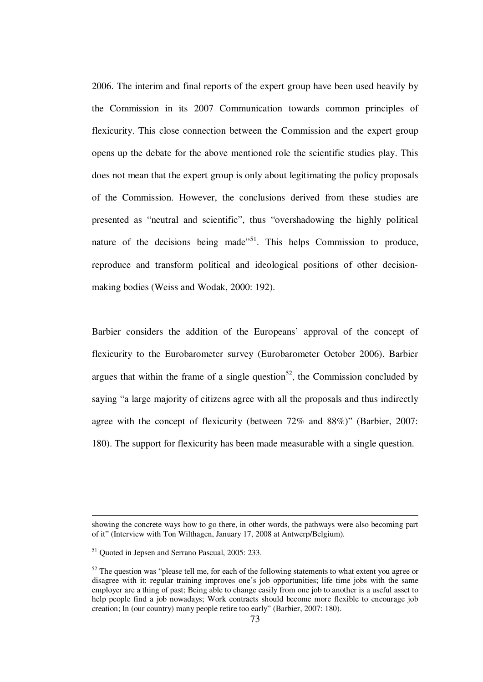2006. The interim and final reports of the expert group have been used heavily by the Commission in its 2007 Communication towards common principles of flexicurity. This close connection between the Commission and the expert group opens up the debate for the above mentioned role the scientific studies play. This does not mean that the expert group is only about legitimating the policy proposals of the Commission. However, the conclusions derived from these studies are presented as "neutral and scientific", thus "overshadowing the highly political nature of the decisions being made<sup> $51$ </sup>. This helps Commission to produce, reproduce and transform political and ideological positions of other decisionmaking bodies (Weiss and Wodak, 2000: 192).

Barbier considers the addition of the Europeans' approval of the concept of flexicurity to the Eurobarometer survey (Eurobarometer October 2006). Barbier argues that within the frame of a single question<sup>52</sup>, the Commission concluded by saying "a large majority of citizens agree with all the proposals and thus indirectly agree with the concept of flexicurity (between 72% and 88%)" (Barbier, 2007: 180). The support for flexicurity has been made measurable with a single question.

showing the concrete ways how to go there, in other words, the pathways were also becoming part of it" (Interview with Ton Wilthagen, January 17, 2008 at Antwerp/Belgium).

<sup>51</sup> Quoted in Jepsen and Serrano Pascual, 2005: 233.

 $52$  The question was "please tell me, for each of the following statements to what extent you agree or disagree with it: regular training improves one's job opportunities; life time jobs with the same employer are a thing of past; Being able to change easily from one job to another is a useful asset to help people find a job nowadays; Work contracts should become more flexible to encourage job creation; In (our country) many people retire too early" (Barbier, 2007: 180).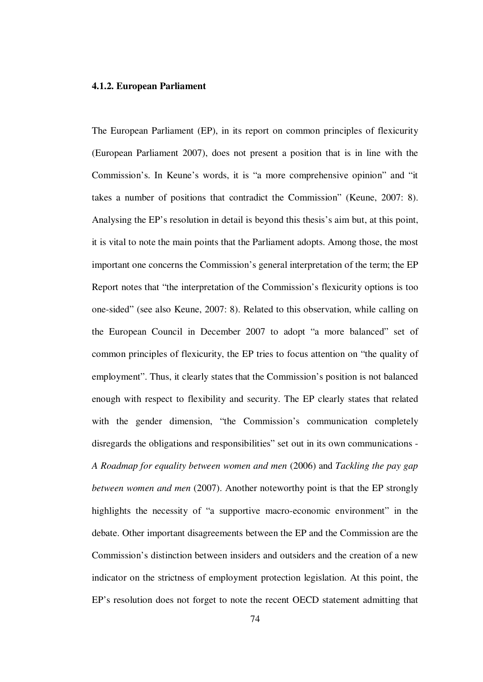#### **4.1.2. European Parliament**

The European Parliament (EP), in its report on common principles of flexicurity (European Parliament 2007), does not present a position that is in line with the Commission's. In Keune's words, it is "a more comprehensive opinion" and "it takes a number of positions that contradict the Commission" (Keune, 2007: 8). Analysing the EP's resolution in detail is beyond this thesis's aim but, at this point, it is vital to note the main points that the Parliament adopts. Among those, the most important one concerns the Commission's general interpretation of the term; the EP Report notes that "the interpretation of the Commission's flexicurity options is too one-sided" (see also Keune, 2007: 8). Related to this observation, while calling on the European Council in December 2007 to adopt "a more balanced" set of common principles of flexicurity, the EP tries to focus attention on "the quality of employment". Thus, it clearly states that the Commission's position is not balanced enough with respect to flexibility and security. The EP clearly states that related with the gender dimension, "the Commission's communication completely disregards the obligations and responsibilities" set out in its own communications - *A Roadmap for equality between women and men* (2006) and *Tackling the pay gap between women and men* (2007). Another noteworthy point is that the EP strongly highlights the necessity of "a supportive macro-economic environment" in the debate. Other important disagreements between the EP and the Commission are the Commission's distinction between insiders and outsiders and the creation of a new indicator on the strictness of employment protection legislation. At this point, the EP's resolution does not forget to note the recent OECD statement admitting that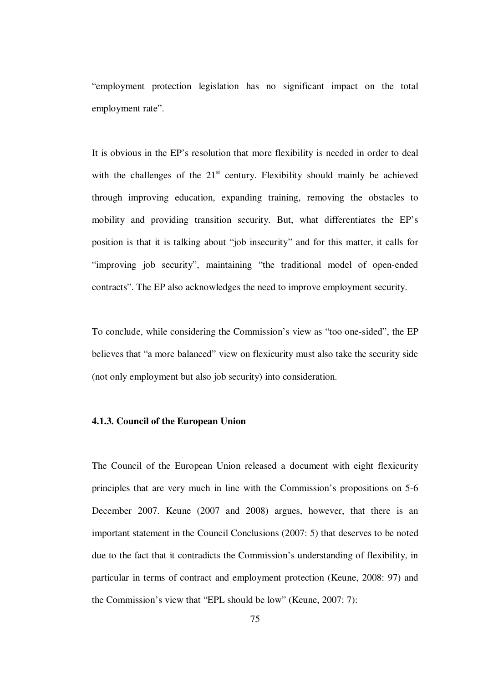"employment protection legislation has no significant impact on the total employment rate".

It is obvious in the EP's resolution that more flexibility is needed in order to deal with the challenges of the  $21<sup>st</sup>$  century. Flexibility should mainly be achieved through improving education, expanding training, removing the obstacles to mobility and providing transition security. But, what differentiates the EP's position is that it is talking about "job insecurity" and for this matter, it calls for "improving job security", maintaining "the traditional model of open-ended contracts". The EP also acknowledges the need to improve employment security.

To conclude, while considering the Commission's view as "too one-sided", the EP believes that "a more balanced" view on flexicurity must also take the security side (not only employment but also job security) into consideration.

# **4.1.3. Council of the European Union**

The Council of the European Union released a document with eight flexicurity principles that are very much in line with the Commission's propositions on 5-6 December 2007. Keune (2007 and 2008) argues, however, that there is an important statement in the Council Conclusions (2007: 5) that deserves to be noted due to the fact that it contradicts the Commission's understanding of flexibility, in particular in terms of contract and employment protection (Keune, 2008: 97) and the Commission's view that "EPL should be low" (Keune, 2007: 7):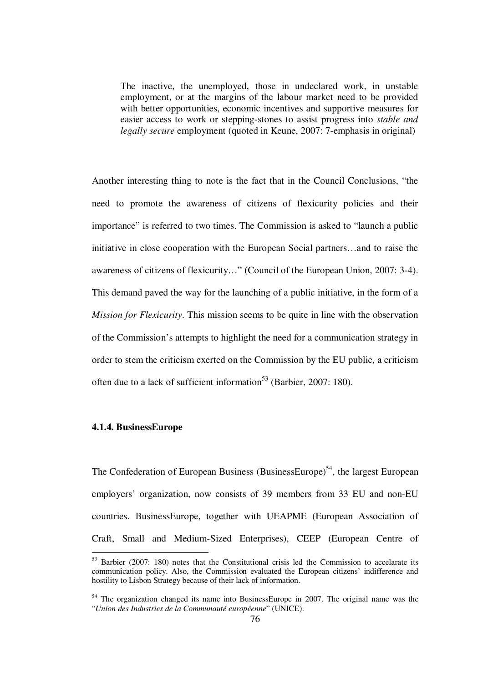The inactive, the unemployed, those in undeclared work, in unstable employment, or at the margins of the labour market need to be provided with better opportunities, economic incentives and supportive measures for easier access to work or stepping-stones to assist progress into *stable and legally secure* employment (quoted in Keune, 2007: 7-emphasis in original)

Another interesting thing to note is the fact that in the Council Conclusions, "the need to promote the awareness of citizens of flexicurity policies and their importance" is referred to two times. The Commission is asked to "launch a public initiative in close cooperation with the European Social partners…and to raise the awareness of citizens of flexicurity…" (Council of the European Union, 2007: 3-4). This demand paved the way for the launching of a public initiative, in the form of a *Mission for Flexicurity*. This mission seems to be quite in line with the observation of the Commission's attempts to highlight the need for a communication strategy in order to stem the criticism exerted on the Commission by the EU public, a criticism often due to a lack of sufficient information<sup>53</sup> (Barbier, 2007: 180).

# **4.1.4. BusinessEurope**

<u>.</u>

The Confederation of European Business (BusinessEurope)<sup>54</sup>, the largest European employers' organization, now consists of 39 members from 33 EU and non-EU countries. BusinessEurope, together with UEAPME (European Association of Craft, Small and Medium-Sized Enterprises), CEEP (European Centre of

<sup>&</sup>lt;sup>53</sup> Barbier (2007: 180) notes that the Constitutional crisis led the Commission to accelarate its communication policy. Also, the Commission evaluated the European citizens' indifference and hostility to Lisbon Strategy because of their lack of information.

 $54$  The organization changed its name into BusinessEurope in 2007. The original name was the "*Union des Industries de la Communauté européenne*" (UNICE).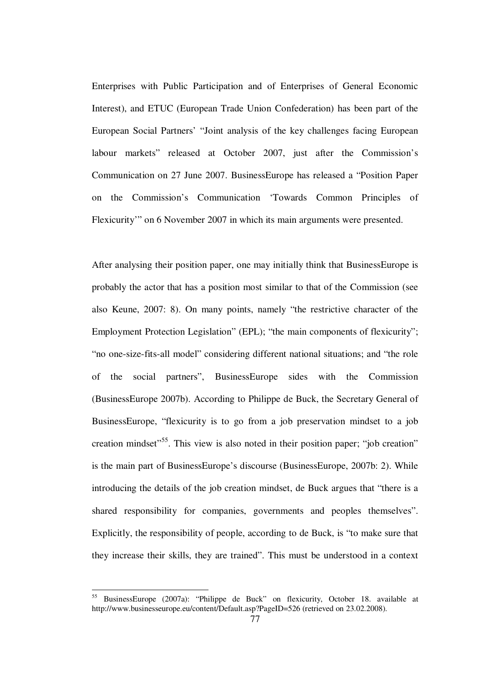Enterprises with Public Participation and of Enterprises of General Economic Interest), and ETUC (European Trade Union Confederation) has been part of the European Social Partners' "Joint analysis of the key challenges facing European labour markets" released at October 2007, just after the Commission's Communication on 27 June 2007. BusinessEurope has released a "Position Paper on the Commission's Communication 'Towards Common Principles of Flexicurity'" on 6 November 2007 in which its main arguments were presented.

After analysing their position paper, one may initially think that BusinessEurope is probably the actor that has a position most similar to that of the Commission (see also Keune, 2007: 8). On many points, namely "the restrictive character of the Employment Protection Legislation" (EPL); "the main components of flexicurity"; "no one-size-fits-all model" considering different national situations; and "the role of the social partners", BusinessEurope sides with the Commission (BusinessEurope 2007b). According to Philippe de Buck, the Secretary General of BusinessEurope, "flexicurity is to go from a job preservation mindset to a job creation mindset<sup>55</sup>. This view is also noted in their position paper; "job creation" is the main part of BusinessEurope's discourse (BusinessEurope, 2007b: 2). While introducing the details of the job creation mindset, de Buck argues that "there is a shared responsibility for companies, governments and peoples themselves". Explicitly, the responsibility of people, according to de Buck, is "to make sure that they increase their skills, they are trained". This must be understood in a context

<sup>55</sup> BusinessEurope (2007a): "Philippe de Buck" on flexicurity, October 18. available at http://www.businesseurope.eu/content/Default.asp?PageID=526 (retrieved on 23.02.2008).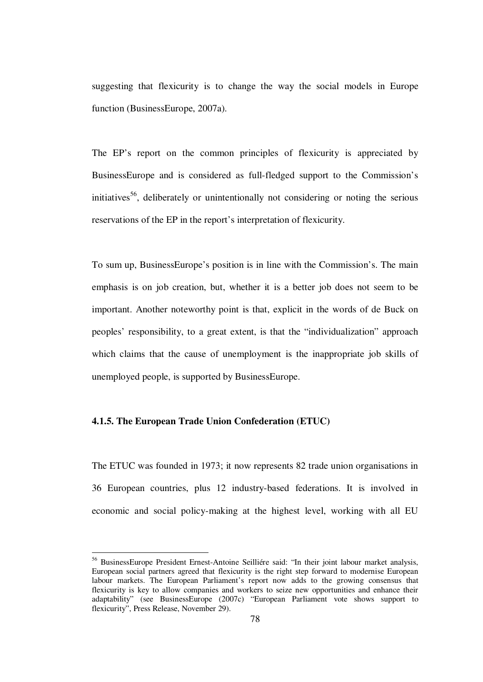suggesting that flexicurity is to change the way the social models in Europe function (BusinessEurope, 2007a).

The EP's report on the common principles of flexicurity is appreciated by BusinessEurope and is considered as full-fledged support to the Commission's initiatives<sup>56</sup>, deliberately or unintentionally not considering or noting the serious reservations of the EP in the report's interpretation of flexicurity.

To sum up, BusinessEurope's position is in line with the Commission's. The main emphasis is on job creation, but, whether it is a better job does not seem to be important. Another noteworthy point is that, explicit in the words of de Buck on peoples' responsibility, to a great extent, is that the "individualization" approach which claims that the cause of unemployment is the inappropriate job skills of unemployed people, is supported by BusinessEurope.

# **4.1.5. The European Trade Union Confederation (ETUC)**

<u>.</u>

The ETUC was founded in 1973; it now represents 82 trade union organisations in 36 European countries, plus 12 industry-based federations. It is involved in economic and social policy-making at the highest level, working with all EU

<sup>56</sup> BusinessEurope President Ernest-Antoine Seilliére said: "In their joint labour market analysis, European social partners agreed that flexicurity is the right step forward to modernise European labour markets. The European Parliament's report now adds to the growing consensus that flexicurity is key to allow companies and workers to seize new opportunities and enhance their adaptability" (see BusinessEurope (2007c) "European Parliament vote shows support to flexicurity", Press Release, November 29).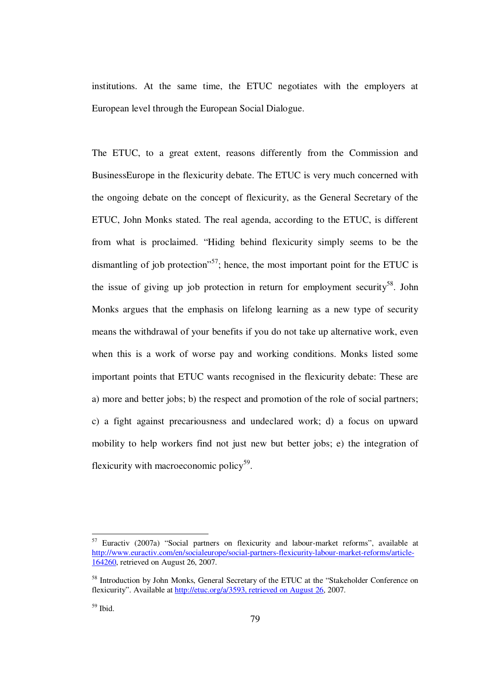institutions. At the same time, the ETUC negotiates with the employers at European level through the European Social Dialogue.

The ETUC, to a great extent, reasons differently from the Commission and BusinessEurope in the flexicurity debate. The ETUC is very much concerned with the ongoing debate on the concept of flexicurity, as the General Secretary of the ETUC, John Monks stated. The real agenda, according to the ETUC, is different from what is proclaimed. "Hiding behind flexicurity simply seems to be the dismantling of job protection"<sup>57</sup>; hence, the most important point for the ETUC is the issue of giving up job protection in return for employment security<sup>58</sup>. John Monks argues that the emphasis on lifelong learning as a new type of security means the withdrawal of your benefits if you do not take up alternative work, even when this is a work of worse pay and working conditions. Monks listed some important points that ETUC wants recognised in the flexicurity debate: These are a) more and better jobs; b) the respect and promotion of the role of social partners; c) a fight against precariousness and undeclared work; d) a focus on upward mobility to help workers find not just new but better jobs; e) the integration of flexicurity with macroeconomic policy<sup>59</sup>.

<sup>57</sup> Euractiv (2007a) "Social partners on flexicurity and labour-market reforms", available at http://www.euractiv.com/en/socialeurope/social-partners-flexicurity-labour-market-reforms/article-164260, retrieved on August 26, 2007.

<sup>&</sup>lt;sup>58</sup> Introduction by John Monks, General Secretary of the ETUC at the "Stakeholder Conference on flexicurity". Available at http://etuc.org/a/3593, retrieved on August 26, 2007.

 $59$  Ibid.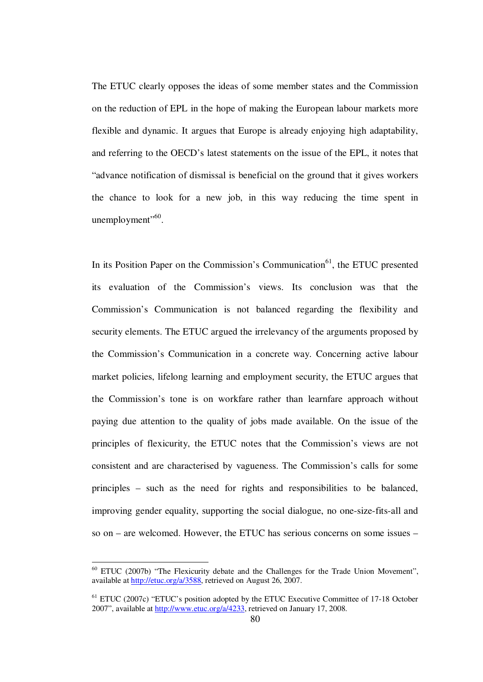The ETUC clearly opposes the ideas of some member states and the Commission on the reduction of EPL in the hope of making the European labour markets more flexible and dynamic. It argues that Europe is already enjoying high adaptability, and referring to the OECD's latest statements on the issue of the EPL, it notes that "advance notification of dismissal is beneficial on the ground that it gives workers the chance to look for a new job, in this way reducing the time spent in unemployment". $60$ .

In its Position Paper on the Commission's Communication $^{61}$ , the ETUC presented its evaluation of the Commission's views. Its conclusion was that the Commission's Communication is not balanced regarding the flexibility and security elements. The ETUC argued the irrelevancy of the arguments proposed by the Commission's Communication in a concrete way. Concerning active labour market policies, lifelong learning and employment security, the ETUC argues that the Commission's tone is on workfare rather than learnfare approach without paying due attention to the quality of jobs made available. On the issue of the principles of flexicurity, the ETUC notes that the Commission's views are not consistent and are characterised by vagueness. The Commission's calls for some principles – such as the need for rights and responsibilities to be balanced, improving gender equality, supporting the social dialogue, no one-size-fits-all and so on – are welcomed. However, the ETUC has serious concerns on some issues –

 $60$  ETUC (2007b) "The Flexicurity debate and the Challenges for the Trade Union Movement", available at http://etuc.org/a/3588, retrieved on August 26, 2007.

<sup>61</sup> ETUC (2007c) "ETUC's position adopted by the ETUC Executive Committee of 17-18 October 2007", available at http://www.etuc.org/a/4233, retrieved on January 17, 2008.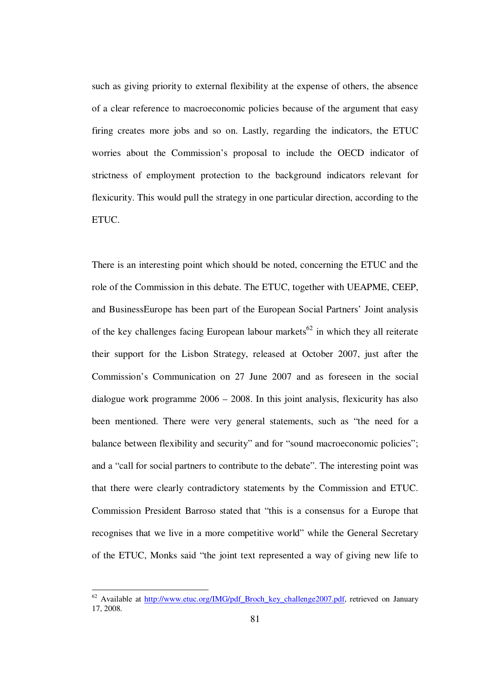such as giving priority to external flexibility at the expense of others, the absence of a clear reference to macroeconomic policies because of the argument that easy firing creates more jobs and so on. Lastly, regarding the indicators, the ETUC worries about the Commission's proposal to include the OECD indicator of strictness of employment protection to the background indicators relevant for flexicurity. This would pull the strategy in one particular direction, according to the ETUC.

There is an interesting point which should be noted, concerning the ETUC and the role of the Commission in this debate. The ETUC, together with UEAPME, CEEP, and BusinessEurope has been part of the European Social Partners' Joint analysis of the key challenges facing European labour markets<sup>62</sup> in which they all reiterate their support for the Lisbon Strategy, released at October 2007, just after the Commission's Communication on 27 June 2007 and as foreseen in the social dialogue work programme 2006 – 2008. In this joint analysis, flexicurity has also been mentioned. There were very general statements, such as "the need for a balance between flexibility and security" and for "sound macroeconomic policies"; and a "call for social partners to contribute to the debate". The interesting point was that there were clearly contradictory statements by the Commission and ETUC. Commission President Barroso stated that "this is a consensus for a Europe that recognises that we live in a more competitive world" while the General Secretary of the ETUC, Monks said "the joint text represented a way of giving new life to

 $62$  Available at http://www.etuc.org/IMG/pdf Broch key challenge2007.pdf, retrieved on January 17, 2008.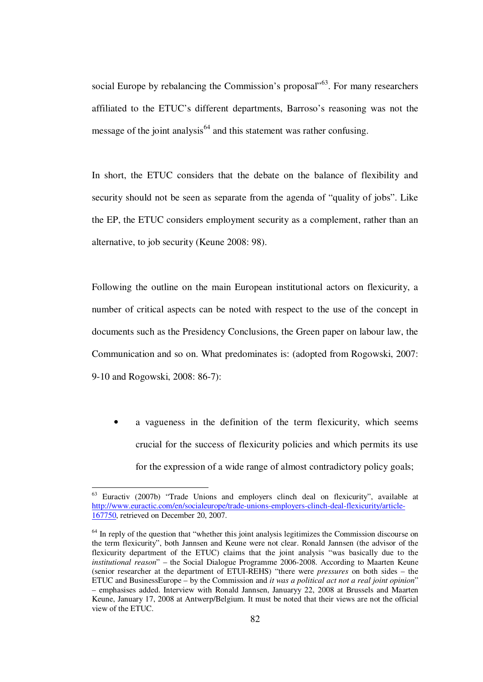social Europe by rebalancing the Commission's proposal"<sup>63</sup>. For many researchers affiliated to the ETUC's different departments, Barroso's reasoning was not the message of the joint analysis<sup>64</sup> and this statement was rather confusing.

In short, the ETUC considers that the debate on the balance of flexibility and security should not be seen as separate from the agenda of "quality of jobs". Like the EP, the ETUC considers employment security as a complement, rather than an alternative, to job security (Keune 2008: 98).

Following the outline on the main European institutional actors on flexicurity, a number of critical aspects can be noted with respect to the use of the concept in documents such as the Presidency Conclusions, the Green paper on labour law, the Communication and so on. What predominates is: (adopted from Rogowski, 2007: 9-10 and Rogowski, 2008: 86-7):

a vagueness in the definition of the term flexicurity, which seems crucial for the success of flexicurity policies and which permits its use for the expression of a wide range of almost contradictory policy goals;

 $63$  Euractiv (2007b) "Trade Unions and employers clinch deal on flexicurity", available at http://www.euractic.com/en/socialeurope/trade-unions-employers-clinch-deal-flexicurity/article-167750, retrieved on December 20, 2007.

 $<sup>64</sup>$  In reply of the question that "whether this joint analysis legitimizes the Commission discourse on</sup> the term flexicurity", both Jannsen and Keune were not clear. Ronald Jannsen (the advisor of the flexicurity department of the ETUC) claims that the joint analysis "was basically due to the *institutional reason*" – the Social Dialogue Programme 2006-2008. According to Maarten Keune (senior researcher at the department of ETUI-REHS) "there were *pressures* on both sides – the ETUC and BusinessEurope – by the Commission and *it was a political act not a real joint opinion*" – emphasises added. Interview with Ronald Jannsen, Januaryy 22, 2008 at Brussels and Maarten Keune, January 17, 2008 at Antwerp/Belgium. It must be noted that their views are not the official view of the ETUC.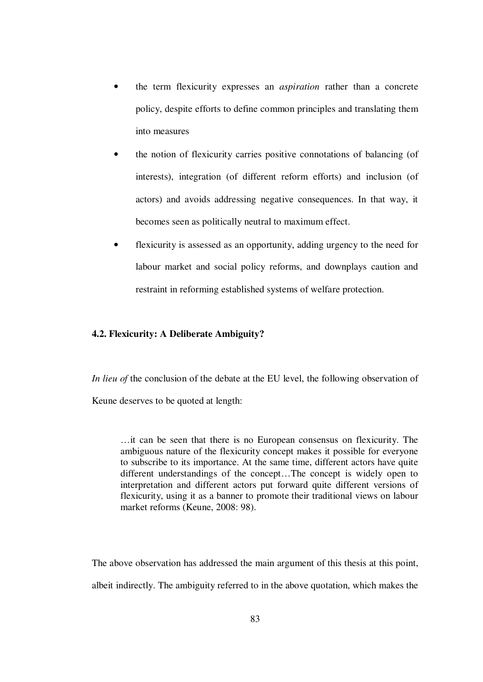- the term flexicurity expresses an *aspiration* rather than a concrete policy, despite efforts to define common principles and translating them into measures
- the notion of flexicurity carries positive connotations of balancing (of interests), integration (of different reform efforts) and inclusion (of actors) and avoids addressing negative consequences. In that way, it becomes seen as politically neutral to maximum effect.
- flexicurity is assessed as an opportunity, adding urgency to the need for labour market and social policy reforms, and downplays caution and restraint in reforming established systems of welfare protection.

## **4.2. Flexicurity: A Deliberate Ambiguity?**

*In lieu of* the conclusion of the debate at the EU level, the following observation of Keune deserves to be quoted at length:

…it can be seen that there is no European consensus on flexicurity. The ambiguous nature of the flexicurity concept makes it possible for everyone to subscribe to its importance. At the same time, different actors have quite different understandings of the concept…The concept is widely open to interpretation and different actors put forward quite different versions of flexicurity, using it as a banner to promote their traditional views on labour market reforms (Keune, 2008: 98).

The above observation has addressed the main argument of this thesis at this point, albeit indirectly. The ambiguity referred to in the above quotation, which makes the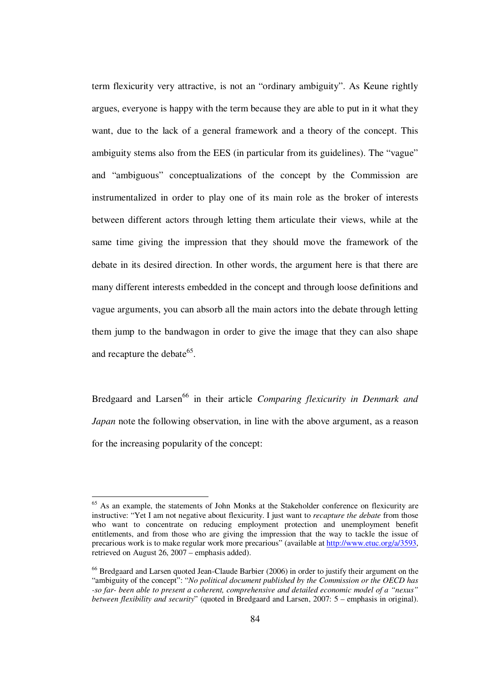term flexicurity very attractive, is not an "ordinary ambiguity". As Keune rightly argues, everyone is happy with the term because they are able to put in it what they want, due to the lack of a general framework and a theory of the concept. This ambiguity stems also from the EES (in particular from its guidelines). The "vague" and "ambiguous" conceptualizations of the concept by the Commission are instrumentalized in order to play one of its main role as the broker of interests between different actors through letting them articulate their views, while at the same time giving the impression that they should move the framework of the debate in its desired direction. In other words, the argument here is that there are many different interests embedded in the concept and through loose definitions and vague arguments, you can absorb all the main actors into the debate through letting them jump to the bandwagon in order to give the image that they can also shape and recapture the debate<sup>65</sup>.

Bredgaard and Larsen<sup>66</sup> in their article *Comparing flexicurity in Denmark and Japan* note the following observation, in line with the above argument, as a reason for the increasing popularity of the concept:

<sup>&</sup>lt;sup>65</sup> As an example, the statements of John Monks at the Stakeholder conference on flexicurity are instructive: "Yet I am not negative about flexicurity. I just want to *recapture the debate* from those who want to concentrate on reducing employment protection and unemployment benefit entitlements, and from those who are giving the impression that the way to tackle the issue of precarious work is to make regular work more precarious" (available at http://www.etuc.org/a/3593, retrieved on August 26, 2007 – emphasis added).

<sup>&</sup>lt;sup>66</sup> Bredgaard and Larsen quoted Jean-Claude Barbier (2006) in order to justify their argument on the "ambiguity of the concept": "*No political document published by the Commission or the OECD has -so far- been able to present a coherent, comprehensive and detailed economic model of a "nexus" between flexibility and security*" (quoted in Bredgaard and Larsen, 2007: 5 – emphasis in original).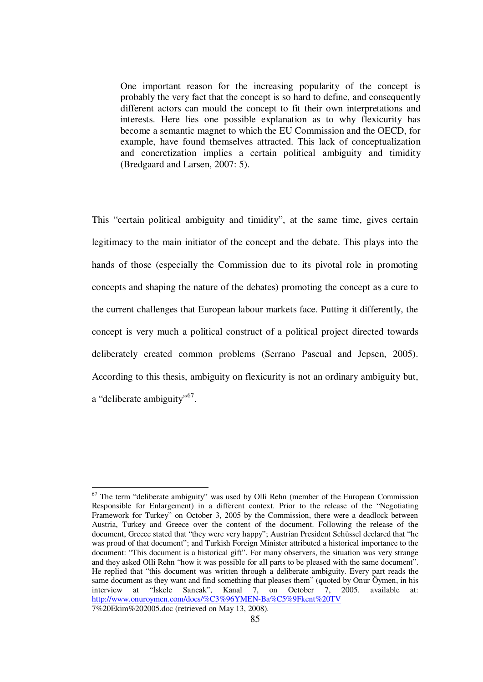One important reason for the increasing popularity of the concept is probably the very fact that the concept is so hard to define, and consequently different actors can mould the concept to fit their own interpretations and interests. Here lies one possible explanation as to why flexicurity has become a semantic magnet to which the EU Commission and the OECD, for example, have found themselves attracted. This lack of conceptualization and concretization implies a certain political ambiguity and timidity (Bredgaard and Larsen, 2007: 5).

This "certain political ambiguity and timidity", at the same time, gives certain legitimacy to the main initiator of the concept and the debate. This plays into the hands of those (especially the Commission due to its pivotal role in promoting concepts and shaping the nature of the debates) promoting the concept as a cure to the current challenges that European labour markets face. Putting it differently, the concept is very much a political construct of a political project directed towards deliberately created common problems (Serrano Pascual and Jepsen, 2005). According to this thesis, ambiguity on flexicurity is not an ordinary ambiguity but, a "deliberate ambiguity"<sup>67</sup>.

<sup>1</sup>  $67$  The term "deliberate ambiguity" was used by Olli Rehn (member of the European Commission Responsible for Enlargement) in a different context. Prior to the release of the "Negotiating Framework for Turkey" on October 3, 2005 by the Commission, there were a deadlock between Austria, Turkey and Greece over the content of the document. Following the release of the document, Greece stated that "they were very happy"; Austrian President Schüssel declared that "he was proud of that document"; and Turkish Foreign Minister attributed a historical importance to the document: "This document is a historical gift". For many observers, the situation was very strange and they asked Olli Rehn "how it was possible for all parts to be pleased with the same document". He replied that "this document was written through a deliberate ambiguity. Every part reads the same document as they want and find something that pleases them" (quoted by Onur Öymen, in his interview at "İskele Sancak", Kanal 7, on October 7, 2005. available at: http://www.onuroymen.com/docs/%C3%96YMEN-Ba%C5%9Fkent%20TV 7%20Ekim%202005.doc (retrieved on May 13, 2008).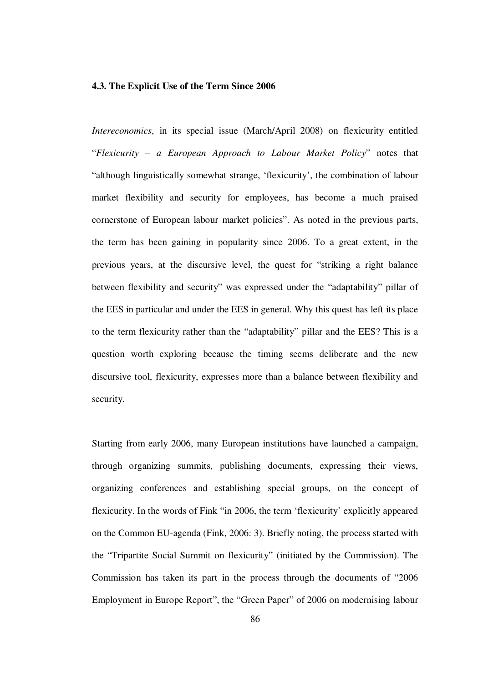### **4.3. The Explicit Use of the Term Since 2006**

*Intereconomics*, in its special issue (March/April 2008) on flexicurity entitled "*Flexicurity – a European Approach to Labour Market Policy*" notes that "although linguistically somewhat strange, 'flexicurity', the combination of labour market flexibility and security for employees, has become a much praised cornerstone of European labour market policies". As noted in the previous parts, the term has been gaining in popularity since 2006. To a great extent, in the previous years, at the discursive level, the quest for "striking a right balance between flexibility and security" was expressed under the "adaptability" pillar of the EES in particular and under the EES in general. Why this quest has left its place to the term flexicurity rather than the "adaptability" pillar and the EES? This is a question worth exploring because the timing seems deliberate and the new discursive tool, flexicurity, expresses more than a balance between flexibility and security.

Starting from early 2006, many European institutions have launched a campaign, through organizing summits, publishing documents, expressing their views, organizing conferences and establishing special groups, on the concept of flexicurity. In the words of Fink "in 2006, the term 'flexicurity' explicitly appeared on the Common EU-agenda (Fink, 2006: 3). Briefly noting, the process started with the "Tripartite Social Summit on flexicurity" (initiated by the Commission). The Commission has taken its part in the process through the documents of "2006 Employment in Europe Report", the "Green Paper" of 2006 on modernising labour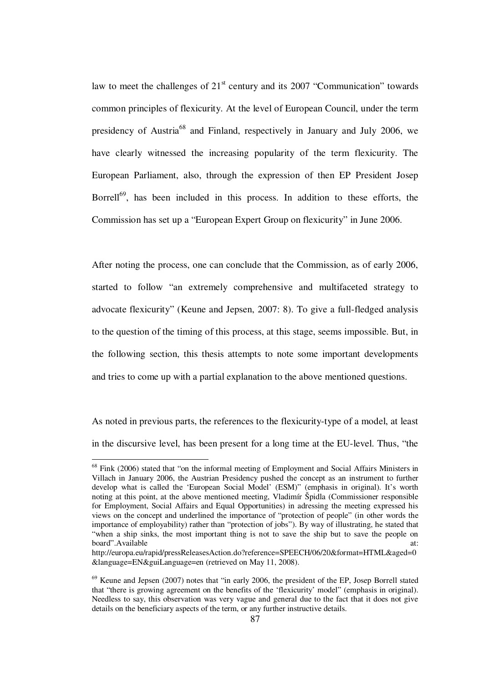law to meet the challenges of  $21<sup>st</sup>$  century and its 2007 "Communication" towards common principles of flexicurity. At the level of European Council, under the term presidency of Austria<sup>68</sup> and Finland, respectively in January and July 2006, we have clearly witnessed the increasing popularity of the term flexicurity. The European Parliament, also, through the expression of then EP President Josep Borrell $^{69}$ , has been included in this process. In addition to these efforts, the Commission has set up a "European Expert Group on flexicurity" in June 2006.

After noting the process, one can conclude that the Commission, as of early 2006, started to follow "an extremely comprehensive and multifaceted strategy to advocate flexicurity" (Keune and Jepsen, 2007: 8). To give a full-fledged analysis to the question of the timing of this process, at this stage, seems impossible. But, in the following section, this thesis attempts to note some important developments and tries to come up with a partial explanation to the above mentioned questions.

As noted in previous parts, the references to the flexicurity-type of a model, at least in the discursive level, has been present for a long time at the EU-level. Thus, "the

<sup>&</sup>lt;sup>68</sup> Fink (2006) stated that "on the informal meeting of Employment and Social Affairs Ministers in Villach in January 2006, the Austrian Presidency pushed the concept as an instrument to further develop what is called the 'European Social Model' (ESM)" (emphasis in original). It's worth noting at this point, at the above mentioned meeting, Vladimír Špidla (Commissioner responsible for Employment, Social Affairs and Equal Opportunities) in adressing the meeting expressed his views on the concept and underlined the importance of "protection of people" (in other words the importance of employability) rather than "protection of jobs"). By way of illustrating, he stated that "when a ship sinks, the most important thing is not to save the ship but to save the people on board".Available at:

http://europa.eu/rapid/pressReleasesAction.do?reference=SPEECH/06/20&format=HTML&aged=0 &language=EN&guiLanguage=en (retrieved on May 11, 2008).

 $69$  Keune and Jepsen (2007) notes that "in early 2006, the president of the EP, Josep Borrell stated that "there is growing agreement on the benefits of the 'flexicurity' model" (emphasis in original). Needless to say, this observation was very vague and general due to the fact that it does not give details on the beneficiary aspects of the term, or any further instructive details.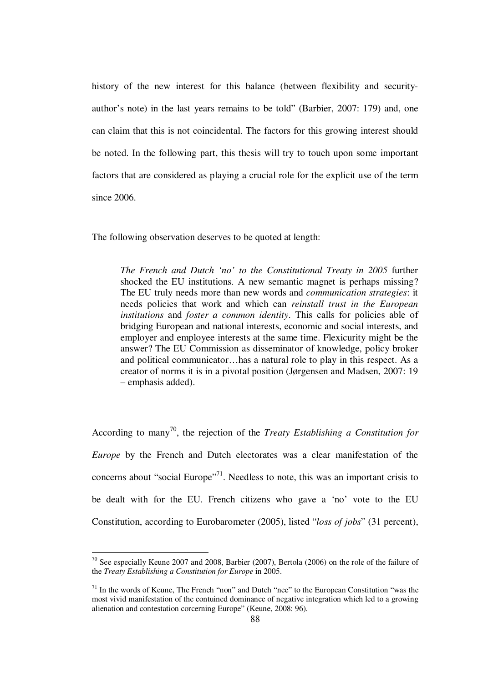history of the new interest for this balance (between flexibility and securityauthor's note) in the last years remains to be told" (Barbier, 2007: 179) and, one can claim that this is not coincidental. The factors for this growing interest should be noted. In the following part, this thesis will try to touch upon some important factors that are considered as playing a crucial role for the explicit use of the term since 2006.

The following observation deserves to be quoted at length:

*The French and Dutch 'no' to the Constitutional Treaty in 2005* further shocked the EU institutions. A new semantic magnet is perhaps missing? The EU truly needs more than new words and *communication strategies*: it needs policies that work and which can *reinstall trust in the European institutions* and *foster a common identity*. This calls for policies able of bridging European and national interests, economic and social interests, and employer and employee interests at the same time. Flexicurity might be the answer? The EU Commission as disseminator of knowledge, policy broker and political communicator…has a natural role to play in this respect. As a creator of norms it is in a pivotal position (Jørgensen and Madsen, 2007: 19 – emphasis added).

According to many<sup>70</sup>, the rejection of the *Treaty Establishing a Constitution for Europe* by the French and Dutch electorates was a clear manifestation of the concerns about "social Europe"<sup>71</sup>. Needless to note, this was an important crisis to be dealt with for the EU. French citizens who gave a 'no' vote to the EU Constitution, according to Eurobarometer (2005), listed "*loss of jobs*" (31 percent),

 $70$  See especially Keune 2007 and 2008, Barbier (2007), Bertola (2006) on the role of the failure of the *Treaty Establishing a Constitution for Europe* in 2005.

 $71$  In the words of Keune, The French "non" and Dutch "nee" to the European Constitution "was the most vivid manifestation of the contuined dominance of negative integration which led to a growing alienation and contestation corcerning Europe" (Keune, 2008: 96).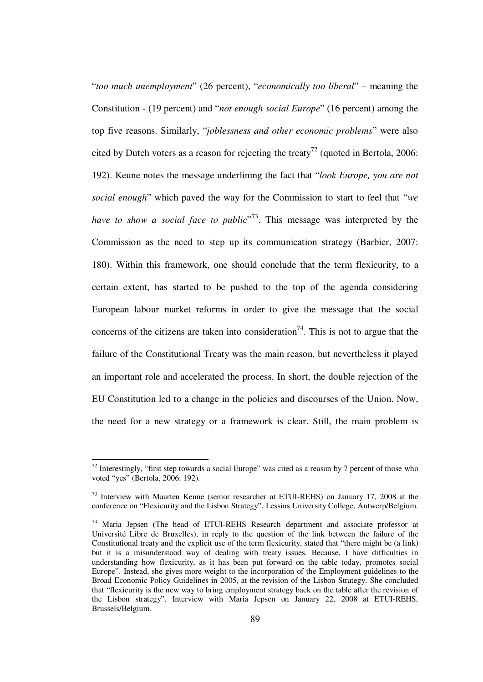"*too much unemployment*" (26 percent), "*economically too liberal*" – meaning the Constitution - (19 percent) and "*not enough social Europe*" (16 percent) among the top five reasons. Similarly, "*joblessness and other economic problems*" were also cited by Dutch voters as a reason for rejecting the treaty<sup>72</sup> (quoted in Bertola, 2006: 192). Keune notes the message underlining the fact that "*look Europe, you are not social enough*" which paved the way for the Commission to start to feel that "*we*  have to show a social face to public<sup>"73</sup>. This message was interpreted by the Commission as the need to step up its communication strategy (Barbier, 2007: 180). Within this framework, one should conclude that the term flexicurity, to a certain extent, has started to be pushed to the top of the agenda considering European labour market reforms in order to give the message that the social concerns of the citizens are taken into consideration<sup>74</sup>. This is not to argue that the failure of the Constitutional Treaty was the main reason, but nevertheless it played an important role and accelerated the process. In short, the double rejection of the EU Constitution led to a change in the policies and discourses of the Union. Now, the need for a new strategy or a framework is clear. Still, the main problem is

 $72$  Interestingly, "first step towards a social Europe" was cited as a reason by 7 percent of those who voted "yes" (Bertola, 2006: 192).

<sup>73</sup> Interview with Maarten Keune (senior researcher at ETUI-REHS) on January 17, 2008 at the conference on "Flexicurity and the Lisbon Strategy", Lessius University College, Antwerp/Belgium.

<sup>&</sup>lt;sup>74</sup> Maria Jepsen (The head of ETUI-REHS Research department and associate professor at Université Libre de Bruxelles), in reply to the question of the link between the failure of the Constitutional treaty and the explicit use of the term flexicurity, stated that "there might be (a link) but it is a misunderstood way of dealing with treaty issues. Because, I have difficulties in understanding how flexicurity, as it has been put forward on the table today, promotes social Europe". Instead, she gives more weight to the incorporation of the Employment guidelines to the Broad Economic Policy Guidelines in 2005, at the revision of the Lisbon Strategy. She concluded that "flexicurity is the new way to bring employment strategy back on the table after the revision of the Lisbon strategy". Interview with Maria Jepsen on January 22, 2008 at ETUI-REHS, Brussels/Belgium.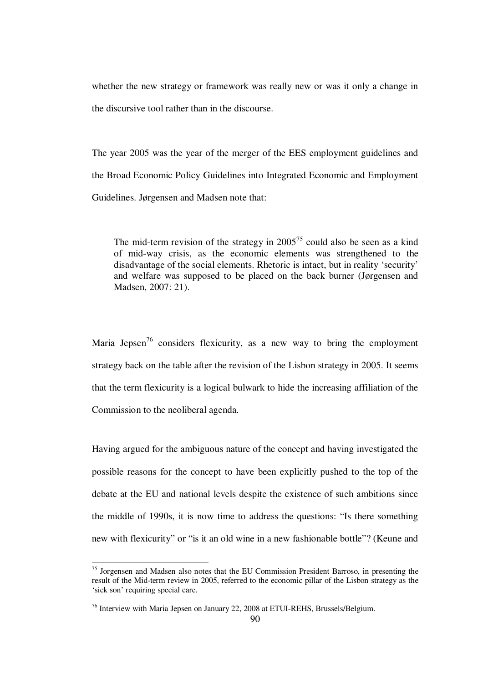whether the new strategy or framework was really new or was it only a change in the discursive tool rather than in the discourse.

The year 2005 was the year of the merger of the EES employment guidelines and the Broad Economic Policy Guidelines into Integrated Economic and Employment Guidelines. Jørgensen and Madsen note that:

The mid-term revision of the strategy in  $2005^{75}$  could also be seen as a kind of mid-way crisis, as the economic elements was strengthened to the disadvantage of the social elements. Rhetoric is intact, but in reality 'security' and welfare was supposed to be placed on the back burner (Jørgensen and Madsen, 2007: 21).

Maria Jepsen<sup>76</sup> considers flexicurity, as a new way to bring the employment strategy back on the table after the revision of the Lisbon strategy in 2005. It seems that the term flexicurity is a logical bulwark to hide the increasing affiliation of the Commission to the neoliberal agenda.

Having argued for the ambiguous nature of the concept and having investigated the possible reasons for the concept to have been explicitly pushed to the top of the debate at the EU and national levels despite the existence of such ambitions since the middle of 1990s, it is now time to address the questions: "Is there something new with flexicurity" or "is it an old wine in a new fashionable bottle"? (Keune and

 $75$  Jorgensen and Madsen also notes that the EU Commission President Barroso, in presenting the result of the Mid-term review in 2005, referred to the economic pillar of the Lisbon strategy as the 'sick son' requiring special care.

 $76$  Interview with Maria Jepsen on January 22, 2008 at ETUI-REHS, Brussels/Belgium.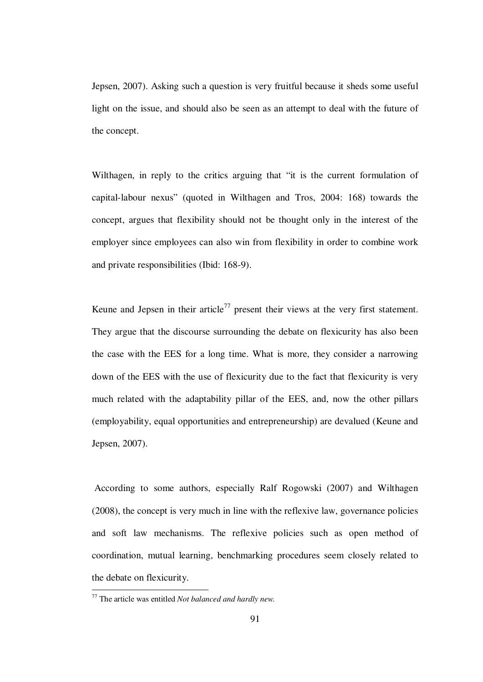Jepsen, 2007). Asking such a question is very fruitful because it sheds some useful light on the issue, and should also be seen as an attempt to deal with the future of the concept.

Wilthagen, in reply to the critics arguing that "it is the current formulation of capital-labour nexus" (quoted in Wilthagen and Tros, 2004: 168) towards the concept, argues that flexibility should not be thought only in the interest of the employer since employees can also win from flexibility in order to combine work and private responsibilities (Ibid: 168-9).

Keune and Jepsen in their article<sup>77</sup> present their views at the very first statement. They argue that the discourse surrounding the debate on flexicurity has also been the case with the EES for a long time. What is more, they consider a narrowing down of the EES with the use of flexicurity due to the fact that flexicurity is very much related with the adaptability pillar of the EES, and, now the other pillars (employability, equal opportunities and entrepreneurship) are devalued (Keune and Jepsen, 2007).

 According to some authors, especially Ralf Rogowski (2007) and Wilthagen (2008), the concept is very much in line with the reflexive law, governance policies and soft law mechanisms. The reflexive policies such as open method of coordination, mutual learning, benchmarking procedures seem closely related to the debate on flexicurity.

<sup>77</sup> The article was entitled *Not balanced and hardly new.*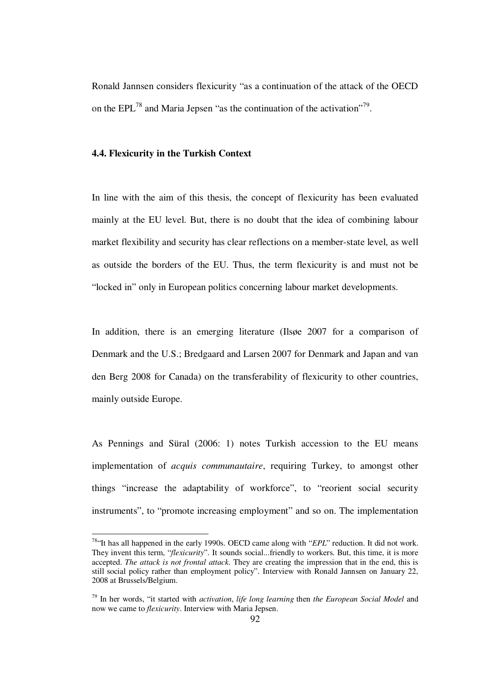Ronald Jannsen considers flexicurity "as a continuation of the attack of the OECD on the EPL<sup>78</sup> and Maria Jepsen "as the continuation of the activation"<sup>79</sup>.

#### **4.4. Flexicurity in the Turkish Context**

1

In line with the aim of this thesis, the concept of flexicurity has been evaluated mainly at the EU level. But, there is no doubt that the idea of combining labour market flexibility and security has clear reflections on a member-state level, as well as outside the borders of the EU. Thus, the term flexicurity is and must not be "locked in" only in European politics concerning labour market developments.

In addition, there is an emerging literature (Ilsøe 2007 for a comparison of Denmark and the U.S.; Bredgaard and Larsen 2007 for Denmark and Japan and van den Berg 2008 for Canada) on the transferability of flexicurity to other countries, mainly outside Europe.

As Pennings and Süral (2006: 1) notes Turkish accession to the EU means implementation of *acquis communautaire*, requiring Turkey, to amongst other things "increase the adaptability of workforce", to "reorient social security instruments", to "promote increasing employment" and so on. The implementation

<sup>&</sup>lt;sup>78"</sup>It has all happened in the early 1990s. OECD came along with "*EPL*" reduction. It did not work. They invent this term, "*flexicurity*". It sounds social...friendly to workers. But, this time, it is more accepted. *The attack is not frontal attack*. They are creating the impression that in the end, this is still social policy rather than employment policy". Interview with Ronald Jannsen on January 22, 2008 at Brussels/Belgium.

<sup>79</sup> In her words, "it started with *activation*, *life long learning* then *the European Social Model* and now we came to *flexicurity*. Interview with Maria Jepsen.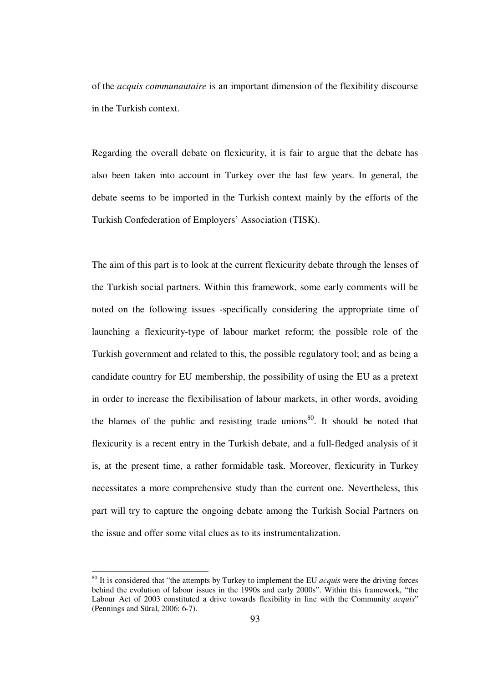of the *acquis communautaire* is an important dimension of the flexibility discourse in the Turkish context.

Regarding the overall debate on flexicurity, it is fair to argue that the debate has also been taken into account in Turkey over the last few years. In general, the debate seems to be imported in the Turkish context mainly by the efforts of the Turkish Confederation of Employers' Association (TISK).

The aim of this part is to look at the current flexicurity debate through the lenses of the Turkish social partners. Within this framework, some early comments will be noted on the following issues -specifically considering the appropriate time of launching a flexicurity-type of labour market reform; the possible role of the Turkish government and related to this, the possible regulatory tool; and as being a candidate country for EU membership, the possibility of using the EU as a pretext in order to increase the flexibilisation of labour markets, in other words, avoiding the blames of the public and resisting trade unions<sup>80</sup>. It should be noted that flexicurity is a recent entry in the Turkish debate, and a full-fledged analysis of it is, at the present time, a rather formidable task. Moreover, flexicurity in Turkey necessitates a more comprehensive study than the current one. Nevertheless, this part will try to capture the ongoing debate among the Turkish Social Partners on the issue and offer some vital clues as to its instrumentalization.

<sup>80</sup> It is considered that "the attempts by Turkey to implement the EU *acquis* were the driving forces behind the evolution of labour issues in the 1990s and early 2000s". Within this framework, "the Labour Act of 2003 constituted a drive towards flexibility in line with the Community *acquis*" (Pennings and Süral, 2006: 6-7).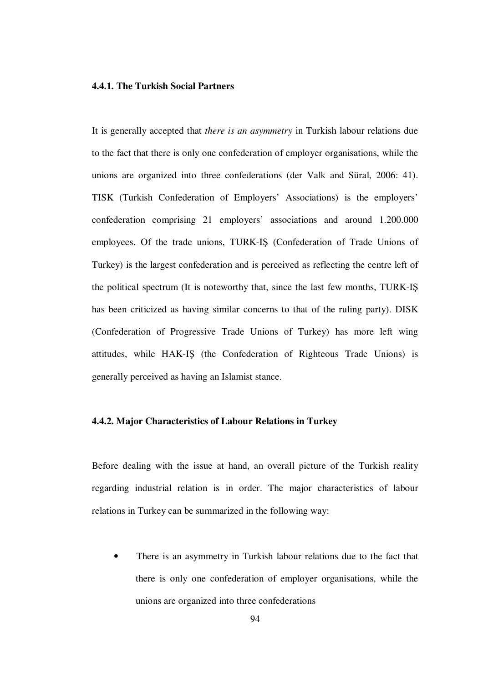## **4.4.1. The Turkish Social Partners**

It is generally accepted that *there is an asymmetry* in Turkish labour relations due to the fact that there is only one confederation of employer organisations, while the unions are organized into three confederations (der Valk and Süral, 2006: 41). TISK (Turkish Confederation of Employers' Associations) is the employers' confederation comprising 21 employers' associations and around 1.200.000 employees. Of the trade unions, TURK-IŞ (Confederation of Trade Unions of Turkey) is the largest confederation and is perceived as reflecting the centre left of the political spectrum (It is noteworthy that, since the last few months, TURK-IŞ has been criticized as having similar concerns to that of the ruling party). DISK (Confederation of Progressive Trade Unions of Turkey) has more left wing attitudes, while HAK-IŞ (the Confederation of Righteous Trade Unions) is generally perceived as having an Islamist stance.

# **4.4.2. Major Characteristics of Labour Relations in Turkey**

Before dealing with the issue at hand, an overall picture of the Turkish reality regarding industrial relation is in order. The major characteristics of labour relations in Turkey can be summarized in the following way:

There is an asymmetry in Turkish labour relations due to the fact that there is only one confederation of employer organisations, while the unions are organized into three confederations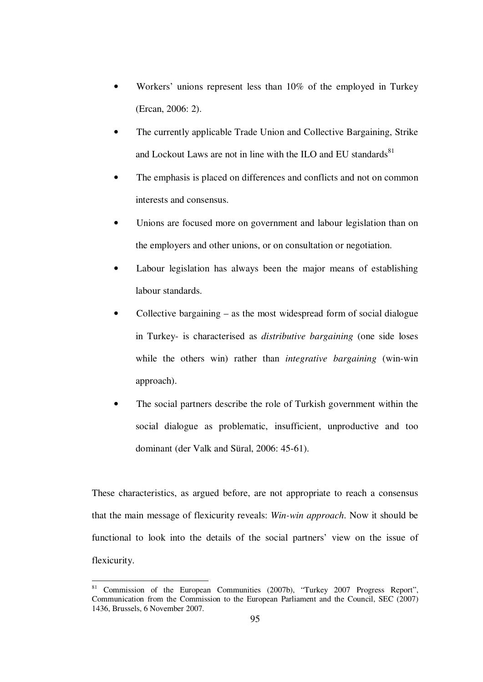- Workers' unions represent less than 10% of the employed in Turkey (Ercan, 2006: 2).
- The currently applicable Trade Union and Collective Bargaining, Strike and Lockout Laws are not in line with the ILO and EU standards<sup>81</sup>
- The emphasis is placed on differences and conflicts and not on common interests and consensus.
- Unions are focused more on government and labour legislation than on the employers and other unions, or on consultation or negotiation.
- Labour legislation has always been the major means of establishing labour standards.
- Collective bargaining as the most widespread form of social dialogue in Turkey- is characterised as *distributive bargaining* (one side loses while the others win) rather than *integrative bargaining* (win-win approach).
- The social partners describe the role of Turkish government within the social dialogue as problematic, insufficient, unproductive and too dominant (der Valk and Süral, 2006: 45-61).

These characteristics, as argued before, are not appropriate to reach a consensus that the main message of flexicurity reveals: *Win-win approach*. Now it should be functional to look into the details of the social partners' view on the issue of flexicurity.

<sup>&</sup>lt;sup>81</sup> Commission of the European Communities (2007b), "Turkey 2007 Progress Report", Communication from the Commission to the European Parliament and the Council, SEC (2007) 1436, Brussels, 6 November 2007.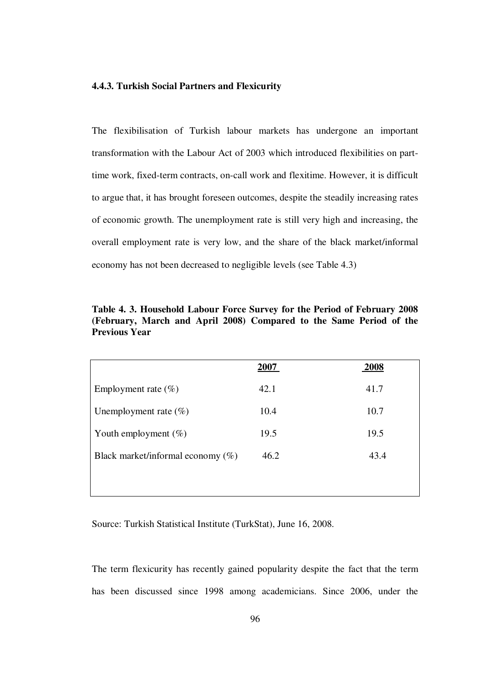#### **4.4.3. Turkish Social Partners and Flexicurity**

The flexibilisation of Turkish labour markets has undergone an important transformation with the Labour Act of 2003 which introduced flexibilities on parttime work, fixed-term contracts, on-call work and flexitime. However, it is difficult to argue that, it has brought foreseen outcomes, despite the steadily increasing rates of economic growth. The unemployment rate is still very high and increasing, the overall employment rate is very low, and the share of the black market/informal economy has not been decreased to negligible levels (see Table 4.3)

| Table 4. 3. Household Labour Force Survey for the Period of February 2008 |  |  |  |  |  |  |
|---------------------------------------------------------------------------|--|--|--|--|--|--|
| (February, March and April 2008) Compared to the Same Period of the       |  |  |  |  |  |  |
| <b>Previous Year</b>                                                      |  |  |  |  |  |  |

|                                      | 2007 | 2008 |
|--------------------------------------|------|------|
| Employment rate $(\% )$              | 42.1 | 41.7 |
| Unemployment rate $(\%)$             | 10.4 | 10.7 |
| Youth employment $(\%)$              | 19.5 | 19.5 |
| Black market/informal economy $(\%)$ | 46.2 | 43.4 |
|                                      |      |      |

Source: Turkish Statistical Institute (TurkStat), June 16, 2008.

The term flexicurity has recently gained popularity despite the fact that the term has been discussed since 1998 among academicians. Since 2006, under the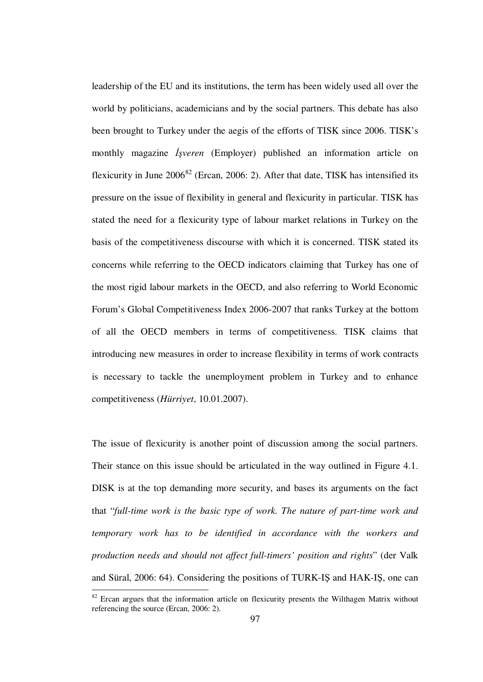leadership of the EU and its institutions, the term has been widely used all over the world by politicians, academicians and by the social partners. This debate has also been brought to Turkey under the aegis of the efforts of TISK since 2006. TISK's monthly magazine İş*veren* (Employer) published an information article on flexicurity in June  $2006^{82}$  (Ercan, 2006: 2). After that date, TISK has intensified its pressure on the issue of flexibility in general and flexicurity in particular. TISK has stated the need for a flexicurity type of labour market relations in Turkey on the basis of the competitiveness discourse with which it is concerned. TISK stated its concerns while referring to the OECD indicators claiming that Turkey has one of the most rigid labour markets in the OECD, and also referring to World Economic Forum's Global Competitiveness Index 2006-2007 that ranks Turkey at the bottom of all the OECD members in terms of competitiveness. TISK claims that introducing new measures in order to increase flexibility in terms of work contracts is necessary to tackle the unemployment problem in Turkey and to enhance competitiveness (*Hürriyet*, 10.01.2007).

The issue of flexicurity is another point of discussion among the social partners. Their stance on this issue should be articulated in the way outlined in Figure 4.1. DISK is at the top demanding more security, and bases its arguments on the fact that "*full-time work is the basic type of work. The nature of part-time work and temporary work has to be identified in accordance with the workers and production needs and should not affect full-timers' position and rights*" (der Valk and Süral, 2006: 64). Considering the positions of TURK-IŞ and HAK-IŞ, one can

 $82$  Ercan argues that the information article on flexicurity presents the Wilthagen Matrix without referencing the source (Ercan, 2006: 2).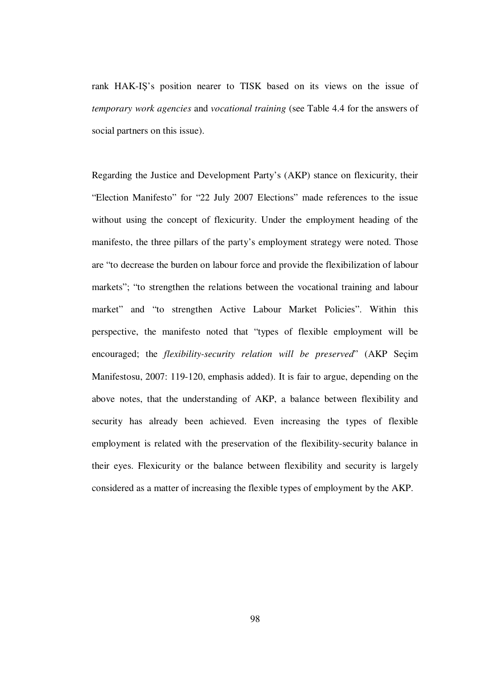rank HAK-IŞ's position nearer to TISK based on its views on the issue of *temporary work agencies* and *vocational training* (see Table 4.4 for the answers of social partners on this issue).

Regarding the Justice and Development Party's (AKP) stance on flexicurity, their "Election Manifesto" for "22 July 2007 Elections" made references to the issue without using the concept of flexicurity. Under the employment heading of the manifesto, the three pillars of the party's employment strategy were noted. Those are "to decrease the burden on labour force and provide the flexibilization of labour markets"; "to strengthen the relations between the vocational training and labour market" and "to strengthen Active Labour Market Policies". Within this perspective, the manifesto noted that "types of flexible employment will be encouraged; the *flexibility-security relation will be preserved*" (AKP Seçim Manifestosu, 2007: 119-120, emphasis added). It is fair to argue, depending on the above notes, that the understanding of AKP, a balance between flexibility and security has already been achieved. Even increasing the types of flexible employment is related with the preservation of the flexibility-security balance in their eyes. Flexicurity or the balance between flexibility and security is largely considered as a matter of increasing the flexible types of employment by the AKP.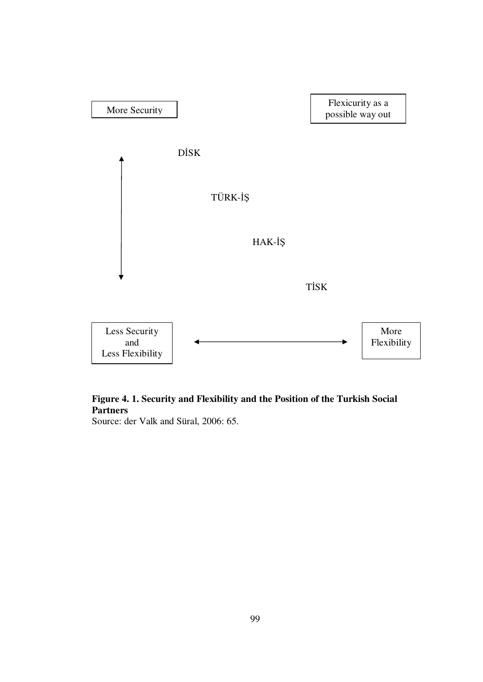

# **Figure 4. 1. Security and Flexibility and the Position of the Turkish Social Partners**

Source: der Valk and Süral, 2006: 65.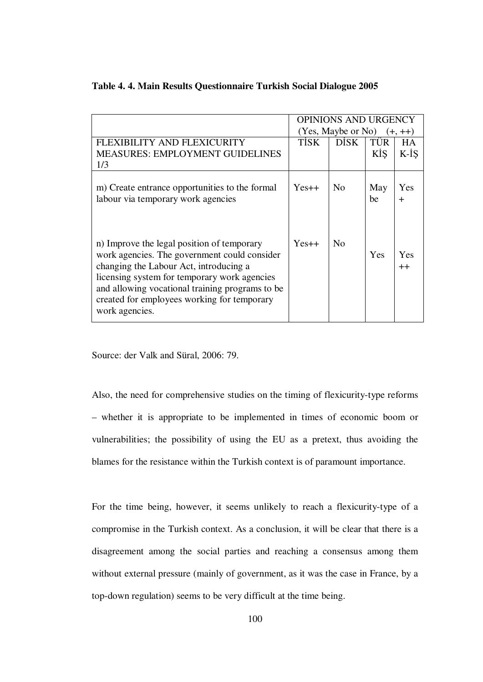|                                                 | <b>OPINIONS AND URGENCY</b>   |                |     |           |
|-------------------------------------------------|-------------------------------|----------------|-----|-----------|
|                                                 | $(Yes, Maybe or No)$ $(+,++)$ |                |     |           |
| FLEXIBILITY AND FLEXICURITY                     | <b>TISK</b>                   | <b>DISK</b>    | TÜR | <b>HA</b> |
| <b>MEASURES: EMPLOYMENT GUIDELINES</b>          |                               |                | KİS | K-İŞ      |
| 1/3                                             |                               |                |     |           |
|                                                 |                               |                |     |           |
| m) Create entrance opportunities to the formal  | $Yes++$                       | N <sub>0</sub> | May | Yes       |
| labour via temporary work agencies              |                               |                | be  | $\div$    |
|                                                 |                               |                |     |           |
|                                                 |                               |                |     |           |
|                                                 |                               |                |     |           |
| n) Improve the legal position of temporary      | $Yes++$                       | No             |     |           |
| work agencies. The government could consider    |                               |                | Yes | Yes       |
| changing the Labour Act, introducing a          |                               |                |     | $^{++}$   |
| licensing system for temporary work agencies    |                               |                |     |           |
| and allowing vocational training programs to be |                               |                |     |           |
| created for employees working for temporary     |                               |                |     |           |
| work agencies.                                  |                               |                |     |           |
|                                                 |                               |                |     |           |

### **Table 4. 4. Main Results Questionnaire Turkish Social Dialogue 2005**

Source: der Valk and Süral, 2006: 79.

Also, the need for comprehensive studies on the timing of flexicurity-type reforms – whether it is appropriate to be implemented in times of economic boom or vulnerabilities; the possibility of using the EU as a pretext, thus avoiding the blames for the resistance within the Turkish context is of paramount importance.

For the time being, however, it seems unlikely to reach a flexicurity-type of a compromise in the Turkish context. As a conclusion, it will be clear that there is a disagreement among the social parties and reaching a consensus among them without external pressure (mainly of government, as it was the case in France, by a top-down regulation) seems to be very difficult at the time being.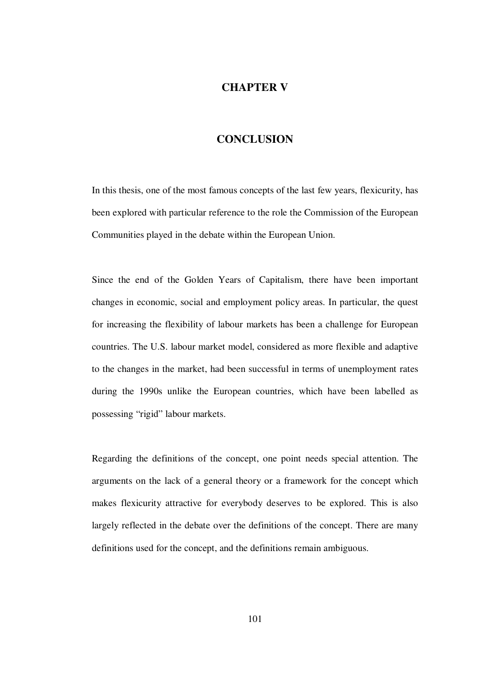## **CHAPTER V**

# **CONCLUSION**

In this thesis, one of the most famous concepts of the last few years, flexicurity, has been explored with particular reference to the role the Commission of the European Communities played in the debate within the European Union.

Since the end of the Golden Years of Capitalism, there have been important changes in economic, social and employment policy areas. In particular, the quest for increasing the flexibility of labour markets has been a challenge for European countries. The U.S. labour market model, considered as more flexible and adaptive to the changes in the market, had been successful in terms of unemployment rates during the 1990s unlike the European countries, which have been labelled as possessing "rigid" labour markets.

Regarding the definitions of the concept, one point needs special attention. The arguments on the lack of a general theory or a framework for the concept which makes flexicurity attractive for everybody deserves to be explored. This is also largely reflected in the debate over the definitions of the concept. There are many definitions used for the concept, and the definitions remain ambiguous.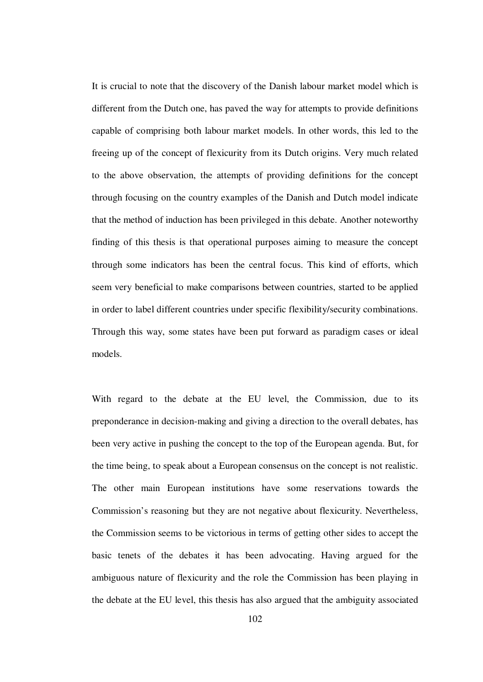It is crucial to note that the discovery of the Danish labour market model which is different from the Dutch one, has paved the way for attempts to provide definitions capable of comprising both labour market models. In other words, this led to the freeing up of the concept of flexicurity from its Dutch origins. Very much related to the above observation, the attempts of providing definitions for the concept through focusing on the country examples of the Danish and Dutch model indicate that the method of induction has been privileged in this debate. Another noteworthy finding of this thesis is that operational purposes aiming to measure the concept through some indicators has been the central focus. This kind of efforts, which seem very beneficial to make comparisons between countries, started to be applied in order to label different countries under specific flexibility/security combinations. Through this way, some states have been put forward as paradigm cases or ideal models.

With regard to the debate at the EU level, the Commission, due to its preponderance in decision-making and giving a direction to the overall debates, has been very active in pushing the concept to the top of the European agenda. But, for the time being, to speak about a European consensus on the concept is not realistic. The other main European institutions have some reservations towards the Commission's reasoning but they are not negative about flexicurity. Nevertheless, the Commission seems to be victorious in terms of getting other sides to accept the basic tenets of the debates it has been advocating. Having argued for the ambiguous nature of flexicurity and the role the Commission has been playing in the debate at the EU level, this thesis has also argued that the ambiguity associated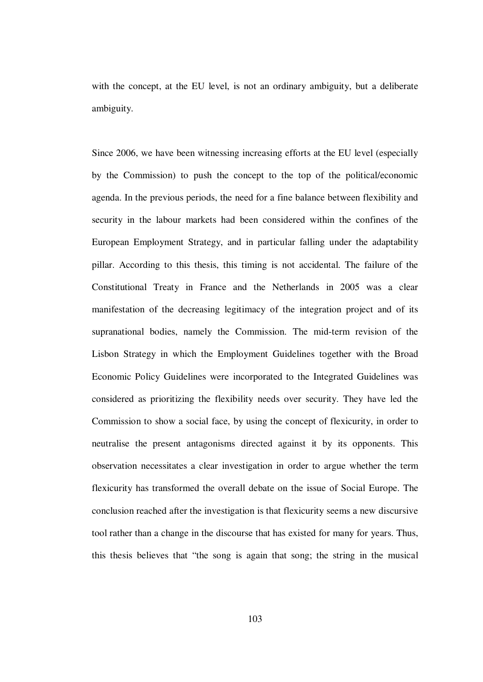with the concept, at the EU level, is not an ordinary ambiguity, but a deliberate ambiguity.

Since 2006, we have been witnessing increasing efforts at the EU level (especially by the Commission) to push the concept to the top of the political/economic agenda. In the previous periods, the need for a fine balance between flexibility and security in the labour markets had been considered within the confines of the European Employment Strategy, and in particular falling under the adaptability pillar. According to this thesis, this timing is not accidental. The failure of the Constitutional Treaty in France and the Netherlands in 2005 was a clear manifestation of the decreasing legitimacy of the integration project and of its supranational bodies, namely the Commission. The mid-term revision of the Lisbon Strategy in which the Employment Guidelines together with the Broad Economic Policy Guidelines were incorporated to the Integrated Guidelines was considered as prioritizing the flexibility needs over security. They have led the Commission to show a social face, by using the concept of flexicurity, in order to neutralise the present antagonisms directed against it by its opponents. This observation necessitates a clear investigation in order to argue whether the term flexicurity has transformed the overall debate on the issue of Social Europe. The conclusion reached after the investigation is that flexicurity seems a new discursive tool rather than a change in the discourse that has existed for many for years. Thus, this thesis believes that "the song is again that song; the string in the musical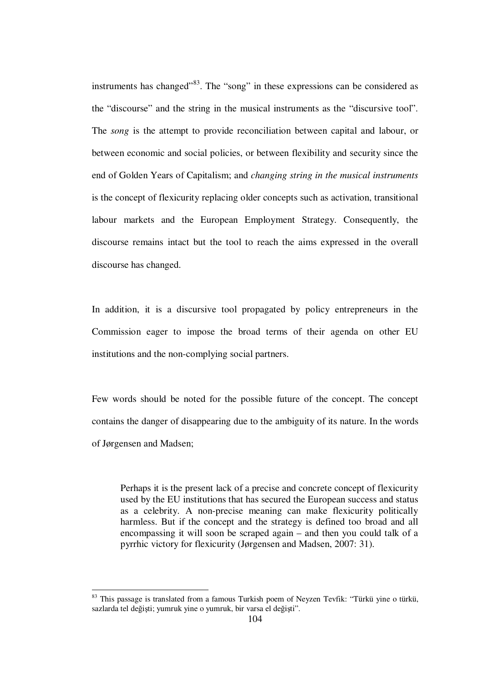instruments has changed"<sup>83</sup>. The "song" in these expressions can be considered as the "discourse" and the string in the musical instruments as the "discursive tool". The *song* is the attempt to provide reconciliation between capital and labour, or between economic and social policies, or between flexibility and security since the end of Golden Years of Capitalism; and *changing string in the musical instruments* is the concept of flexicurity replacing older concepts such as activation, transitional labour markets and the European Employment Strategy. Consequently, the discourse remains intact but the tool to reach the aims expressed in the overall discourse has changed.

In addition, it is a discursive tool propagated by policy entrepreneurs in the Commission eager to impose the broad terms of their agenda on other EU institutions and the non-complying social partners.

Few words should be noted for the possible future of the concept. The concept contains the danger of disappearing due to the ambiguity of its nature. In the words of Jørgensen and Madsen;

Perhaps it is the present lack of a precise and concrete concept of flexicurity used by the EU institutions that has secured the European success and status as a celebrity. A non-precise meaning can make flexicurity politically harmless. But if the concept and the strategy is defined too broad and all encompassing it will soon be scraped again – and then you could talk of a pyrrhic victory for flexicurity (Jørgensen and Madsen, 2007: 31).

1

 $83$  This passage is translated from a famous Turkish poem of Neyzen Tevfik: "Türkü yine o türkü, sazlarda tel değişti; yumruk yine o yumruk, bir varsa el değişti".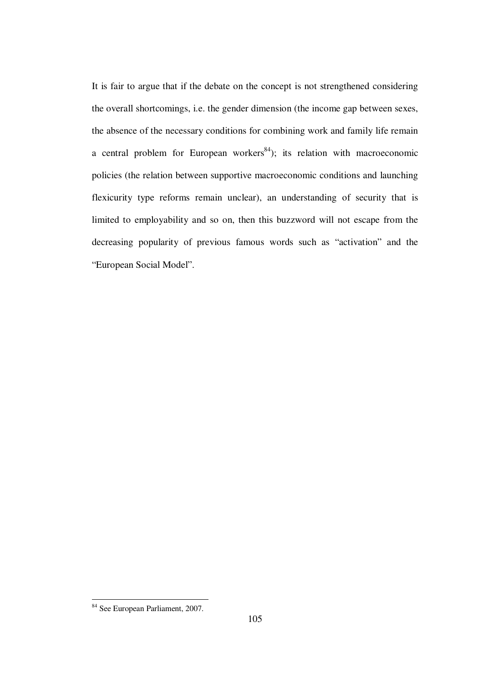It is fair to argue that if the debate on the concept is not strengthened considering the overall shortcomings, i.e. the gender dimension (the income gap between sexes, the absence of the necessary conditions for combining work and family life remain a central problem for European workers<sup>84</sup>); its relation with macroeconomic policies (the relation between supportive macroeconomic conditions and launching flexicurity type reforms remain unclear), an understanding of security that is limited to employability and so on, then this buzzword will not escape from the decreasing popularity of previous famous words such as "activation" and the "European Social Model".

1

<sup>&</sup>lt;sup>84</sup> See European Parliament, 2007.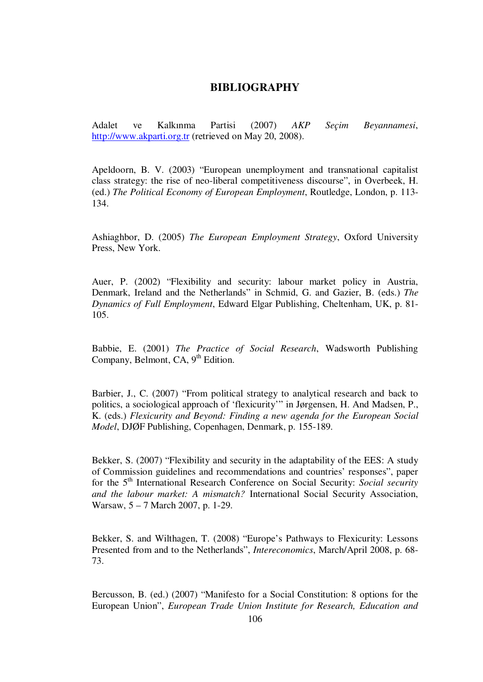## **BIBLIOGRAPHY**

Adalet ve Kalkınma Partisi (2007) *AKP Seçim Beyannamesi*, http://www.akparti.org.tr (retrieved on May 20, 2008).

Apeldoorn, B. V. (2003) "European unemployment and transnational capitalist class strategy: the rise of neo-liberal competitiveness discourse", in Overbeek, H. (ed.) *The Political Economy of European Employment*, Routledge, London, p. 113- 134.

Ashiaghbor, D. (2005) *The European Employment Strategy*, Oxford University Press, New York.

Auer, P. (2002) "Flexibility and security: labour market policy in Austria, Denmark, Ireland and the Netherlands" in Schmid, G. and Gazier, B. (eds.) *The Dynamics of Full Employment*, Edward Elgar Publishing, Cheltenham, UK, p. 81- 105.

Babbie, E. (2001) *The Practice of Social Research*, Wadsworth Publishing Company, Belmont, CA, 9<sup>th</sup> Edition.

Barbier, J., C. (2007) "From political strategy to analytical research and back to politics, a sociological approach of 'flexicurity'" in Jørgensen, H. And Madsen, P., K. (eds.) *Flexicurity and Beyond: Finding a new agenda for the European Social Model*, DJØF Publishing, Copenhagen, Denmark, p. 155-189.

Bekker, S. (2007) "Flexibility and security in the adaptability of the EES: A study of Commission guidelines and recommendations and countries' responses", paper for the 5<sup>th</sup> International Research Conference on Social Security: *Social security and the labour market: A mismatch?* International Social Security Association, Warsaw, 5 – 7 March 2007, p. 1-29.

Bekker, S. and Wilthagen, T. (2008) "Europe's Pathways to Flexicurity: Lessons Presented from and to the Netherlands", *Intereconomics*, March/April 2008, p. 68- 73.

Bercusson, B. (ed.) (2007) "Manifesto for a Social Constitution: 8 options for the European Union", *European Trade Union Institute for Research, Education and*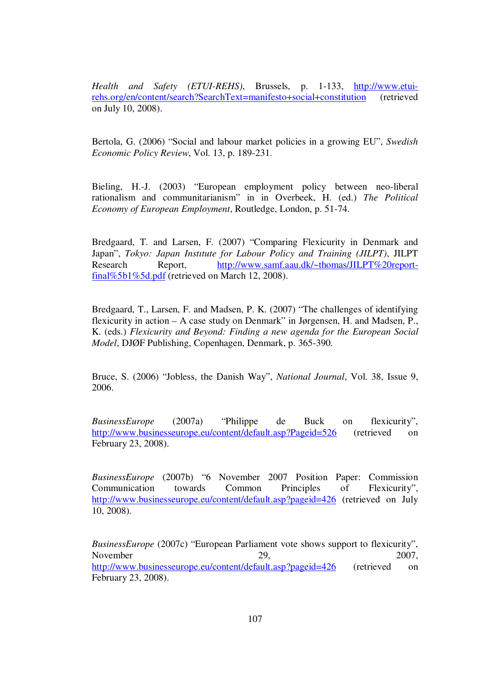*Health and Safety (ETUI-REHS)*, Brussels, p. 1-133, http://www.etuirehs.org/en/content/search?SearchText=manifesto+social+constitution (retrieved on July 10, 2008).

Bertola, G. (2006) "Social and labour market policies in a growing EU", *Swedish Economic Policy Review*, Vol. 13, p. 189-231.

Bieling, H.-J. (2003) "European employment policy between neo-liberal rationalism and communitarianism" in in Overbeek, H. (ed.) *The Political Economy of European Employment*, Routledge, London, p. 51-74.

Bredgaard, T. and Larsen, F. (2007) "Comparing Flexicurity in Denmark and Japan", *Tokyo: Japan Instıtute for Labour Policy and Training (JILPT)*, JILPT Research Report, http://www.samf.aau.dk/~thomas/JILPT%20reportfinal%5b1%5d.pdf (retrieved on March 12, 2008).

Bredgaard, T., Larsen, F. and Madsen, P. K. (2007) "The challenges of identifying flexicurity in action – A case study on Denmark" in Jørgensen, H. and Madsen, P., K. (eds.) *Flexicurity and Beyond: Finding a new agenda for the European Social Model*, DJØF Publishing, Copenhagen, Denmark, p. 365-390.

Bruce, S. (2006) "Jobless, the Danish Way", *National Journal*, Vol. 38, Issue 9, 2006.

*BusinessEurope* (2007a) "Philippe de Buck on flexicurity", http://www.businesseurope.eu/content/default.asp?Pageid=526 (retrieved on February 23, 2008).

*BusinessEurope* (2007b) "6 November 2007 Position Paper: Commission Communication towards Common Principles of Flexicurity", http://www.businesseurope.eu/content/default.asp?pageid=426 (retrieved on July 10, 2008).

*BusinessEurope* (2007c) "European Parliament vote shows support to flexicurity", November 29, 2007, http://www.businesseurope.eu/content/default.asp?pageid=426 (retrieved on February 23, 2008).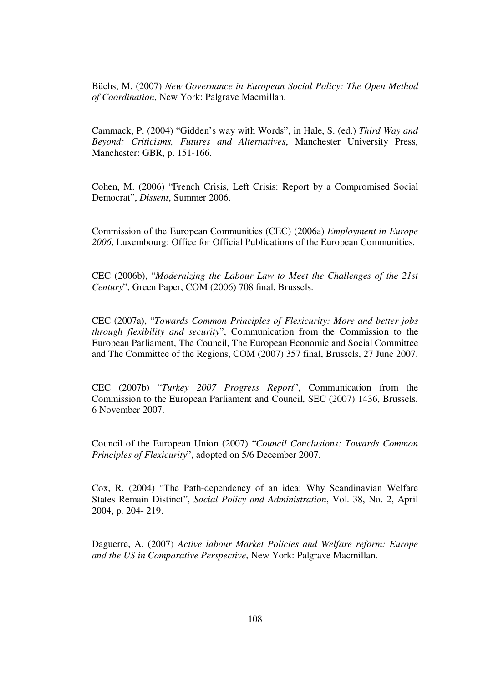Büchs, M. (2007) *New Governance in European Social Policy: The Open Method of Coordination*, New York: Palgrave Macmillan.

Cammack, P. (2004) "Gidden's way with Words", in Hale, S. (ed.) *Third Way and Beyond: Criticisms, Futures and Alternatives*, Manchester University Press, Manchester: GBR, p. 151-166.

Cohen, M. (2006) "French Crisis, Left Crisis: Report by a Compromised Social Democrat", *Dissent*, Summer 2006.

Commission of the European Communities (CEC) (2006a) *Employment in Europe*  2006, Luxembourg: Office for Official Publications of the European Communities.

CEC (2006b), "*Modernizing the Labour Law to Meet the Challenges of the 21st Century*", Green Paper, COM (2006) 708 final, Brussels.

CEC (2007a), "*Towards Common Principles of Flexicurity: More and better jobs through flexibility and security*", Communication from the Commission to the European Parliament, The Council, The European Economic and Social Committee and The Committee of the Regions, COM (2007) 357 final, Brussels, 27 June 2007.

CEC (2007b) "*Turkey 2007 Progress Report*", Communication from the Commission to the European Parliament and Council, SEC (2007) 1436, Brussels, 6 November 2007.

Council of the European Union (2007) "*Council Conclusions: Towards Common Principles of Flexicurity*", adopted on 5/6 December 2007.

Cox, R. (2004) "The Path-dependency of an idea: Why Scandinavian Welfare States Remain Distinct", *Social Policy and Administration*, Vol. 38, No. 2, April 2004, p. 204- 219.

Daguerre, A. (2007) *Active labour Market Policies and Welfare reform: Europe and the US in Comparative Perspective*, New York: Palgrave Macmillan.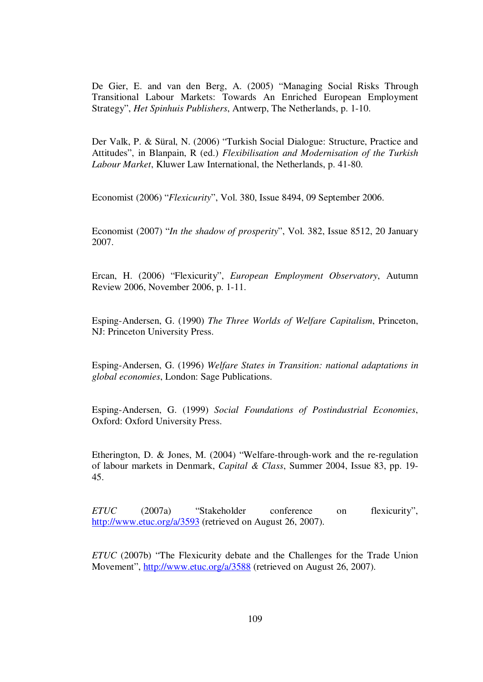De Gier, E. and van den Berg, A. (2005) "Managing Social Risks Through Transitional Labour Markets: Towards An Enriched European Employment Strategy", *Het Spinhuis Publishers*, Antwerp, The Netherlands, p. 1-10.

Der Valk, P. & Süral, N. (2006) "Turkish Social Dialogue: Structure, Practice and Attitudes", in Blanpain, R (ed.) *Flexibilisation and Modernisation of the Turkish Labour Market*, Kluwer Law International, the Netherlands, p. 41-80.

Economist (2006) "*Flexicurity*", Vol. 380, Issue 8494, 09 September 2006.

Economist (2007) "*In the shadow of prosperity*", Vol. 382, Issue 8512, 20 January 2007.

Ercan, H. (2006) "Flexicurity", *European Employment Observatory*, Autumn Review 2006, November 2006, p. 1-11.

Esping-Andersen, G. (1990) *The Three Worlds of Welfare Capitalism*, Princeton, NJ: Princeton University Press.

Esping-Andersen, G. (1996) *Welfare States in Transition: national adaptations in global economies*, London: Sage Publications.

Esping-Andersen, G. (1999) *Social Foundations of Postindustrial Economies*, Oxford: Oxford University Press.

Etherington, D. & Jones, M. (2004) "Welfare-through-work and the re-regulation of labour markets in Denmark, *Capital & Class*, Summer 2004, Issue 83, pp. 19- 45.

*ETUC* (2007a) "Stakeholder conference on flexicurity", http://www.etuc.org/a/3593 (retrieved on August 26, 2007).

*ETUC* (2007b) "The Flexicurity debate and the Challenges for the Trade Union Movement", http://www.etuc.org/a/3588 (retrieved on August 26, 2007).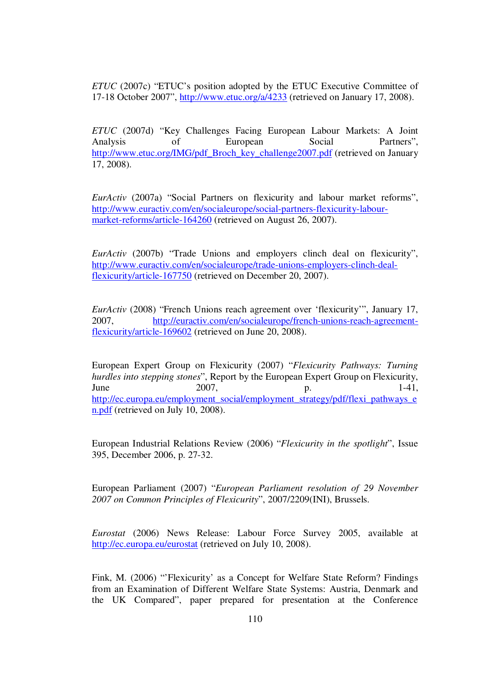*ETUC* (2007c) "ETUC's position adopted by the ETUC Executive Committee of 17-18 October 2007", http://www.etuc.org/a/4233 (retrieved on January 17, 2008).

*ETUC* (2007d) "Key Challenges Facing European Labour Markets: A Joint Analysis of European Social Partners", http://www.etuc.org/IMG/pdf\_Broch\_key\_challenge2007.pdf (retrieved on January 17, 2008).

*EurActiv* (2007a) "Social Partners on flexicurity and labour market reforms", http://www.euractiv.com/en/socialeurope/social-partners-flexicurity-labourmarket-reforms/article-164260 (retrieved on August 26, 2007).

*EurActiv* (2007b) "Trade Unions and employers clinch deal on flexicurity", http://www.euractiv.com/en/socialeurope/trade-unions-employers-clinch-dealflexicurity/article-167750 (retrieved on December 20, 2007).

*EurActiv* (2008) "French Unions reach agreement over 'flexicurity'", January 17, 2007, http://euractiv.com/en/socialeurope/french-unions-reach-agreementflexicurity/article-169602 (retrieved on June 20, 2008).

European Expert Group on Flexicurity (2007) "*Flexicurity Pathways: Turning hurdles into stepping stones*", Report by the European Expert Group on Flexicurity, June 2007, p. 1-41, http://ec.europa.eu/employment\_social/employment\_strategy/pdf/flexi\_pathways\_e n.pdf (retrieved on July 10, 2008).

European Industrial Relations Review (2006) "*Flexicurity in the spotlight*", Issue 395, December 2006, p. 27-32.

European Parliament (2007) "*European Parliament resolution of 29 November 2007 on Common Principles of Flexicurity*", 2007/2209(INI), Brussels.

*Eurostat* (2006) News Release: Labour Force Survey 2005, available at http://ec.europa.eu/eurostat (retrieved on July 10, 2008).

Fink, M. (2006) "'Flexicurity' as a Concept for Welfare State Reform? Findings from an Examination of Different Welfare State Systems: Austria, Denmark and the UK Compared", paper prepared for presentation at the Conference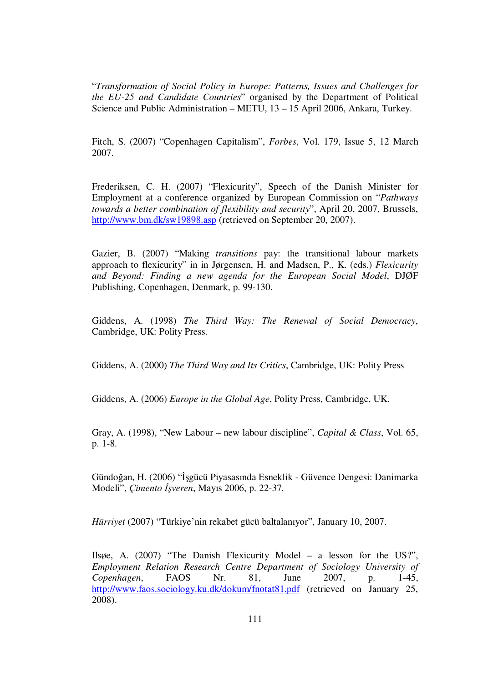"*Transformation of Social Policy in Europe: Patterns, Issues and Challenges for the EU-25 and Candidate Countries*" organised by the Department of Political Science and Public Administration – METU, 13 – 15 April 2006, Ankara, Turkey.

Fitch, S. (2007) "Copenhagen Capitalism", *Forbes*, Vol. 179, Issue 5, 12 March 2007.

Frederiksen, C. H. (2007) "Flexicurity", Speech of the Danish Minister for Employment at a conference organized by European Commission on "*Pathways towards a better combination of flexibility and security*", April 20, 2007, Brussels, http://www.bm.dk/sw19898.asp (retrieved on September 20, 2007).

Gazier, B. (2007) "Making *transitions* pay: the transitional labour markets approach to flexicurity" in in Jørgensen, H. and Madsen, P., K. (eds.) *Flexicurity and Beyond: Finding a new agenda for the European Social Model*, DJØF Publishing, Copenhagen, Denmark, p. 99-130.

Giddens, A. (1998) *The Third Way: The Renewal of Social Democracy*, Cambridge, UK: Polity Press.

Giddens, A. (2000) *The Third Way and Its Critics*, Cambridge, UK: Polity Press

Giddens, A. (2006) *Europe in the Global Age*, Polity Press, Cambridge, UK.

Gray, A. (1998), "New Labour – new labour discipline", *Capital & Class*, Vol. 65, p. 1-8.

Gündoğan, H. (2006) "İşgücü Piyasasında Esneklik - Güvence Dengesi: Danimarka Modeli", *Çimento* İş*veren*, Mayıs 2006, p. 22-37.

*Hürriyet* (2007) "Türkiye'nin rekabet gücü baltalanıyor", January 10, 2007.

Ilsøe, A. (2007) "The Danish Flexicurity Model – a lesson for the US?", *Employment Relation Research Centre Department of Sociology University of Copenhagen*, FAOS Nr. 81, June 2007, p. 1-45, http://www.faos.sociology.ku.dk/dokum/fnotat81.pdf (retrieved on January 25, 2008).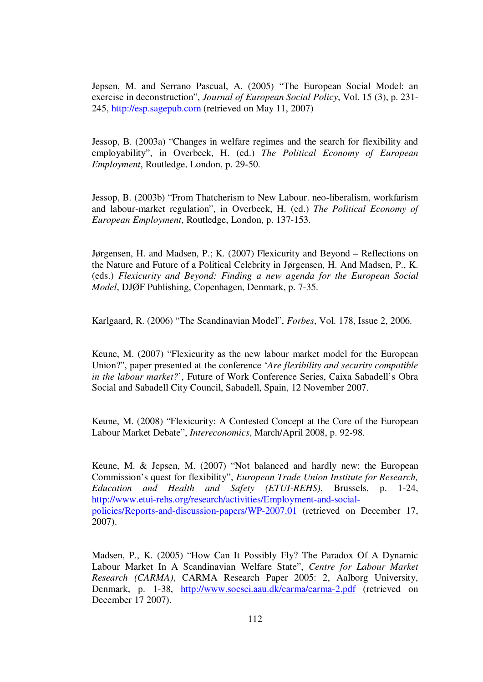Jepsen, M. and Serrano Pascual, A. (2005) "The European Social Model: an exercise in deconstruction", *Journal of European Social Policy*, Vol. 15 (3), p. 231- 245, http://esp.sagepub.com (retrieved on May 11, 2007)

Jessop, B. (2003a) "Changes in welfare regimes and the search for flexibility and employability", in Overbeek, H. (ed.) *The Political Economy of European Employment*, Routledge, London, p. 29-50.

Jessop, B. (2003b) "From Thatcherism to New Labour. neo-liberalism, workfarism and labour-market regulation", in Overbeek, H. (ed.) *The Political Economy of European Employment*, Routledge, London, p. 137-153.

Jørgensen, H. and Madsen, P.; K. (2007) Flexicurity and Beyond – Reflections on the Nature and Future of a Political Celebrity in Jørgensen, H. And Madsen, P., K. (eds.) *Flexicurity and Beyond: Finding a new agenda for the European Social Model*, DJØF Publishing, Copenhagen, Denmark, p. 7-35.

Karlgaard, R. (2006) "The Scandinavian Model", *Forbes*, Vol. 178, Issue 2, 2006.

Keune, M. (2007) "Flexicurity as the new labour market model for the European Union?", paper presented at the conference '*Are flexibility and security compatible in the labour market?*', Future of Work Conference Series, Caixa Sabadell's Obra Social and Sabadell City Council, Sabadell, Spain, 12 November 2007.

Keune, M. (2008) "Flexicurity: A Contested Concept at the Core of the European Labour Market Debate", *Intereconomics*, March/April 2008, p. 92-98.

Keune, M. & Jepsen, M. (2007) "Not balanced and hardly new: the European Commission's quest for flexibility", *European Trade Union Institute for Research, Education and Health and Safety (ETUI-REHS)*, Brussels, p. 1-24, http://www.etui-rehs.org/research/activities/Employment-and-socialpolicies/Reports-and-discussion-papers/WP-2007.01 (retrieved on December 17, 2007).

Madsen, P., K. (2005) "How Can It Possibly Fly? The Paradox Of A Dynamic Labour Market In A Scandinavian Welfare State", *Centre for Labour Market Research (CARMA)*, CARMA Research Paper 2005: 2, Aalborg University, Denmark, p. 1-38, http://www.socsci.aau.dk/carma/carma-2.pdf (retrieved on December 17 2007).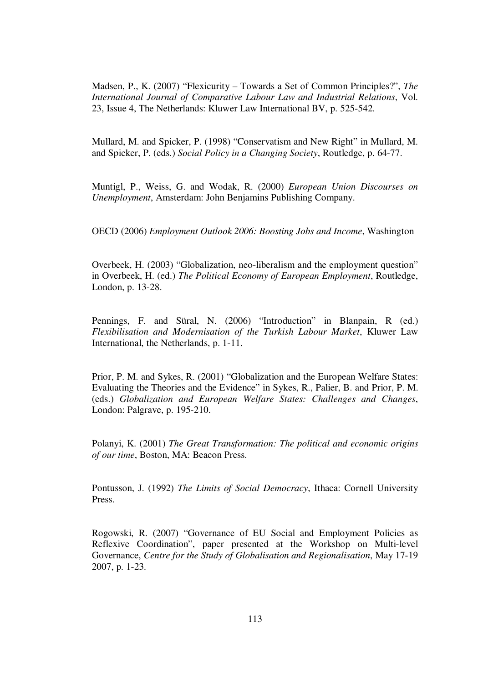Madsen, P., K. (2007) "Flexicurity – Towards a Set of Common Principles?", *The International Journal of Comparative Labour Law and Industrial Relations*, Vol. 23, Issue 4, The Netherlands: Kluwer Law International BV, p. 525-542.

Mullard, M. and Spicker, P. (1998) "Conservatism and New Right" in Mullard, M. and Spicker, P. (eds.) *Social Policy in a Changing Society*, Routledge, p. 64-77.

Muntigl, P., Weiss, G. and Wodak, R. (2000) *European Union Discourses on Unemployment*, Amsterdam: John Benjamins Publishing Company.

OECD (2006) *Employment Outlook 2006: Boosting Jobs and Income*, Washington

Overbeek, H. (2003) "Globalization, neo-liberalism and the employment question" in Overbeek, H. (ed.) *The Political Economy of European Employment*, Routledge, London, p. 13-28.

Pennings, F. and Süral, N. (2006) "Introduction" in Blanpain, R (ed.) *Flexibilisation and Modernisation of the Turkish Labour Market*, Kluwer Law International, the Netherlands, p. 1-11.

Prior, P. M. and Sykes, R. (2001) "Globalization and the European Welfare States: Evaluating the Theories and the Evidence" in Sykes, R., Palier, B. and Prior, P. M. (eds.) *Globalization and European Welfare States: Challenges and Changes*, London: Palgrave, p. 195-210.

Polanyi, K. (2001) *The Great Transformation: The political and economic origins of our time*, Boston, MA: Beacon Press.

Pontusson, J. (1992) *The Limits of Social Democracy*, Ithaca: Cornell University Press.

Rogowski, R. (2007) "Governance of EU Social and Employment Policies as Reflexive Coordination", paper presented at the Workshop on Multi-level Governance, *Centre for the Study of Globalisation and Regionalisation*, May 17-19 2007, p. 1-23.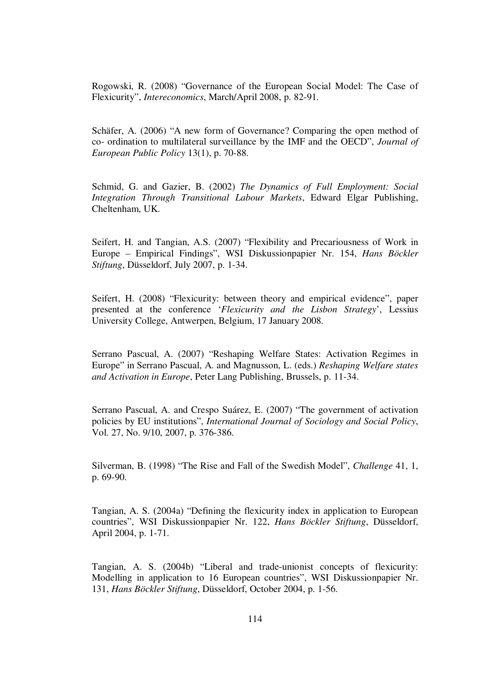Rogowski, R. (2008) "Governance of the European Social Model: The Case of Flexicurity", *Intereconomics*, March/April 2008, p. 82-91.

Schäfer, A. (2006) "A new form of Governance? Comparing the open method of co- ordination to multilateral surveillance by the IMF and the OECD", *Journal of European Public Policy* 13(1), p. 70-88.

Schmid, G. and Gazier, B. (2002) *The Dynamics of Full Employment: Social Integration Through Transitional Labour Markets*, Edward Elgar Publishing, Cheltenham, UK.

Seifert, H. and Tangian, A.S. (2007) "Flexibility and Precariousness of Work in Europe – Empirical Findings", WSI Diskussionpapier Nr. 154, *Hans Böckler Stiftung*, Düsseldorf, July 2007, p. 1-34.

Seifert, H. (2008) "Flexicurity: between theory and empirical evidence", paper presented at the conference '*Flexicurity and the Lisbon Strategy*', Lessius University College, Antwerpen, Belgium, 17 January 2008.

Serrano Pascual, A. (2007) "Reshaping Welfare States: Activation Regimes in Europe" in Serrano Pascual, A. and Magnusson, L. (eds.) *Reshaping Welfare states and Activation in Europe*, Peter Lang Publishing, Brussels, p. 11-34.

Serrano Pascual, A. and Crespo Suárez, E. (2007) "The government of activation policies by EU institutions", *International Journal of Sociology and Social Policy*, Vol. 27, No. 9/10, 2007, p. 376-386.

Silverman, B. (1998) "The Rise and Fall of the Swedish Model", *Challenge* 41, 1, p. 69-90.

Tangian, A. S. (2004a) "Defining the flexicurity index in application to European countries", WSI Diskussionpapier Nr. 122, *Hans Böckler Stiftung*, Düsseldorf, April 2004, p. 1-71.

Tangian, A. S. (2004b) "Liberal and trade-unionist concepts of flexicurity: Modelling in application to 16 European countries", WSI Diskussionpapier Nr. 131, *Hans Böckler Stiftung*, Düsseldorf, October 2004, p. 1-56.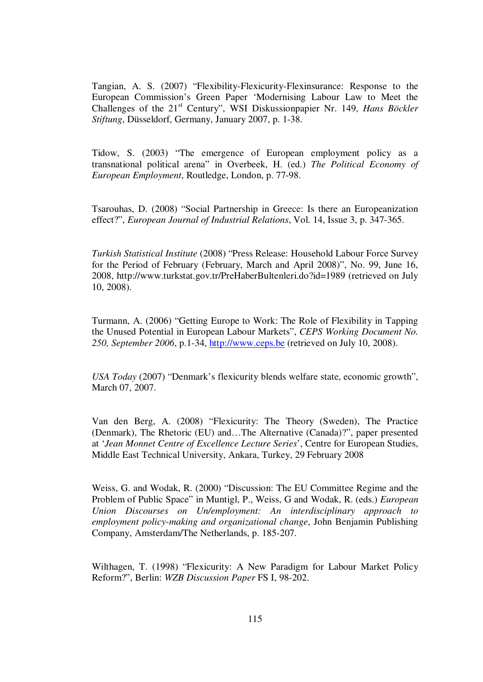Tangian, A. S. (2007) "Flexibility-Flexicurity-Flexinsurance: Response to the European Commission's Green Paper 'Modernising Labour Law to Meet the Challenges of the 21<sup>st</sup> Century", WSI Diskussionpapier Nr. 149, *Hans Böckler Stiftung*, Düsseldorf, Germany, January 2007, p. 1-38.

Tidow, S. (2003) "The emergence of European employment policy as a transnational political arena" in Overbeek, H. (ed.) *The Political Economy of European Employment*, Routledge, London, p. 77-98.

Tsarouhas, D. (2008) "Social Partnership in Greece: Is there an Europeanization effect?", *European Journal of Industrial Relations*, Vol. 14, Issue 3, p. 347-365.

*Turkish Statistical Institute* (2008) "Press Release: Household Labour Force Survey for the Period of February (February, March and April 2008)", No. 99, June 16, 2008, http://www.turkstat.gov.tr/PreHaberBultenleri.do?id=1989 (retrieved on July 10, 2008).

Turmann, A. (2006) "Getting Europe to Work: The Role of Flexibility in Tapping the Unused Potential in European Labour Markets", *CEPS Working Document No. 250, September 2006*, p.1-34, http://www.ceps.be (retrieved on July 10, 2008).

*USA Today* (2007) "Denmark's flexicurity blends welfare state, economic growth", March 07, 2007.

Van den Berg, A. (2008) "Flexicurity: The Theory (Sweden), The Practice (Denmark), The Rhetoric (EU) and…The Alternative (Canada)?", paper presented at '*Jean Monnet Centre of Excellence Lecture Series*', Centre for European Studies, Middle East Technical University, Ankara, Turkey, 29 February 2008

Weiss, G. and Wodak, R. (2000) "Discussion: The EU Committee Regime and the Problem of Public Space" in Muntigl, P., Weiss, G and Wodak, R. (eds.) *European Union Discourses on Un/employment: An interdisciplinary approach to employment policy-making and organizational change*, John Benjamin Publishing Company, Amsterdam/The Netherlands, p. 185-207.

Wilthagen, T. (1998) "Flexicurity: A New Paradigm for Labour Market Policy Reform?", Berlin: *WZB Discussion Paper* FS I, 98-202.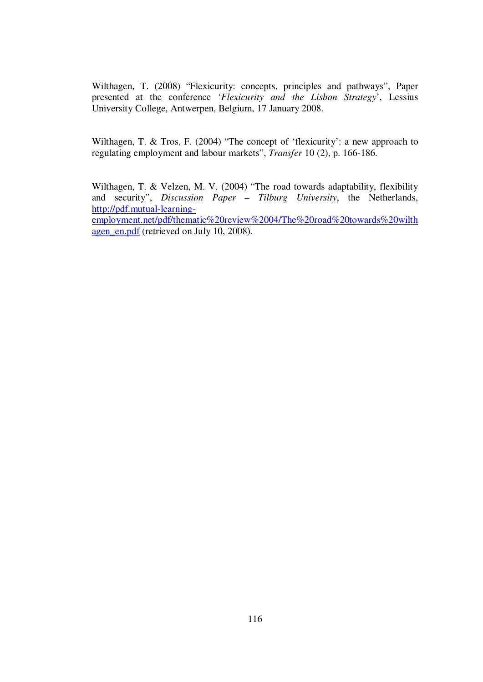Wilthagen, T. (2008) "Flexicurity: concepts, principles and pathways", Paper presented at the conference '*Flexicurity and the Lisbon Strategy*', Lessius University College, Antwerpen, Belgium, 17 January 2008.

Wilthagen, T. & Tros, F. (2004) "The concept of 'flexicurity': a new approach to regulating employment and labour markets", *Transfer* 10 (2), p. 166-186.

Wilthagen, T. & Velzen, M. V. (2004) "The road towards adaptability, flexibility and security", *Discussion Paper – Tilburg University*, the Netherlands, http://pdf.mutual-learningemployment.net/pdf/thematic%20review%2004/The%20road%20towards%20wilth agen\_en.pdf (retrieved on July 10, 2008).